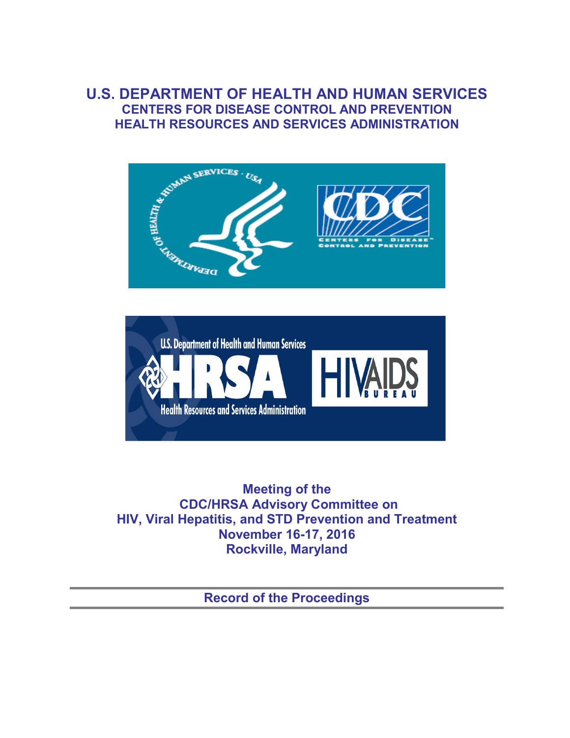## **U.S. DEPARTMENT OF HEALTH AND HUMAN SERVICES CENTERS FOR DISEASE CONTROL AND PREVENTION HEALTH RESOURCES AND SERVICES ADMINISTRATION**





**Meeting of the CDC/HRSA Advisory Committee on HIV, Viral Hepatitis, and STD Prevention and Treatment November 16-17, 2016 Rockville, Maryland**

**Record of the Proceedings**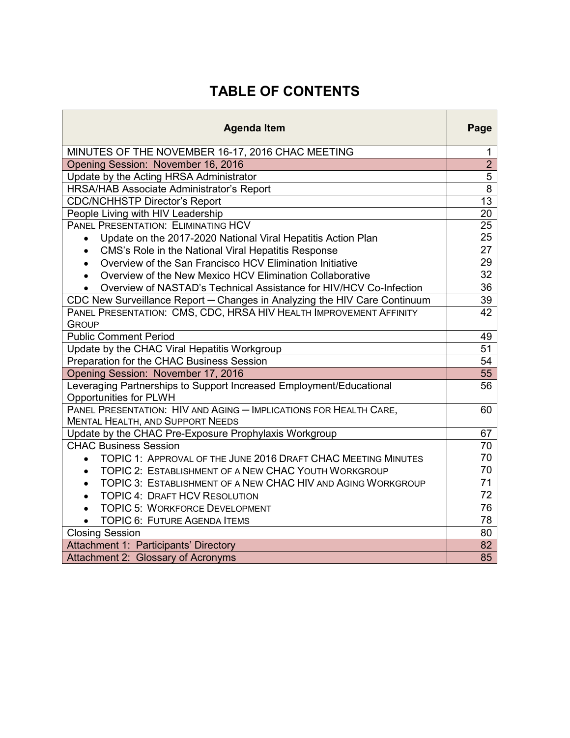# **TABLE OF CONTENTS**

| <b>Agenda Item</b>                                                                                           | Page            |
|--------------------------------------------------------------------------------------------------------------|-----------------|
| MINUTES OF THE NOVEMBER 16-17, 2016 CHAC MEETING                                                             | 1               |
| Opening Session: November 16, 2016                                                                           | $\overline{2}$  |
| Update by the Acting HRSA Administrator                                                                      | $\overline{5}$  |
| HRSA/HAB Associate Administrator's Report                                                                    | $\overline{8}$  |
| <b>CDC/NCHHSTP Director's Report</b>                                                                         | $\overline{13}$ |
| People Living with HIV Leadership                                                                            | 20              |
| PANEL PRESENTATION: ELIMINATING HCV                                                                          | 25              |
| Update on the 2017-2020 National Viral Hepatitis Action Plan                                                 | 25              |
| CMS's Role in the National Viral Hepatitis Response<br>$\bullet$                                             | 27              |
| Overview of the San Francisco HCV Elimination Initiative<br>$\bullet$                                        | 29              |
| Overview of the New Mexico HCV Elimination Collaborative                                                     | 32              |
| Overview of NASTAD's Technical Assistance for HIV/HCV Co-Infection                                           | 36              |
| CDC New Surveillance Report - Changes in Analyzing the HIV Care Continuum                                    | 39              |
| PANEL PRESENTATION: CMS, CDC, HRSA HIV HEALTH IMPROVEMENT AFFINITY<br><b>GROUP</b>                           | 42              |
| <b>Public Comment Period</b>                                                                                 | 49              |
| Update by the CHAC Viral Hepatitis Workgroup                                                                 | 51              |
| Preparation for the CHAC Business Session                                                                    | 54              |
| Opening Session: November 17, 2016                                                                           | 55              |
| Leveraging Partnerships to Support Increased Employment/Educational<br><b>Opportunities for PLWH</b>         | 56              |
| PANEL PRESENTATION: HIV AND AGING - IMPLICATIONS FOR HEALTH CARE,<br><b>MENTAL HEALTH, AND SUPPORT NEEDS</b> | 60              |
| Update by the CHAC Pre-Exposure Prophylaxis Workgroup                                                        | 67              |
| <b>CHAC Business Session</b>                                                                                 | 70              |
| TOPIC 1: APPROVAL OF THE JUNE 2016 DRAFT CHAC MEETING MINUTES<br>$\bullet$                                   | 70              |
| TOPIC 2: ESTABLISHMENT OF A NEW CHAC YOUTH WORKGROUP<br>$\bullet$                                            | 70              |
| TOPIC 3: ESTABLISHMENT OF A NEW CHAC HIV AND AGING WORKGROUP<br>$\bullet$                                    | 71              |
| <b>TOPIC 4: DRAFT HCV RESOLUTION</b><br>$\bullet$                                                            | 72              |
| <b>TOPIC 5: WORKFORCE DEVELOPMENT</b><br>$\bullet$                                                           | 76              |
| <b>TOPIC 6: FUTURE AGENDA ITEMS</b><br>$\bullet$                                                             | 78              |
| <b>Closing Session</b>                                                                                       | 80              |
| Attachment 1: Participants' Directory                                                                        | 82              |
| Attachment 2: Glossary of Acronyms                                                                           | 85              |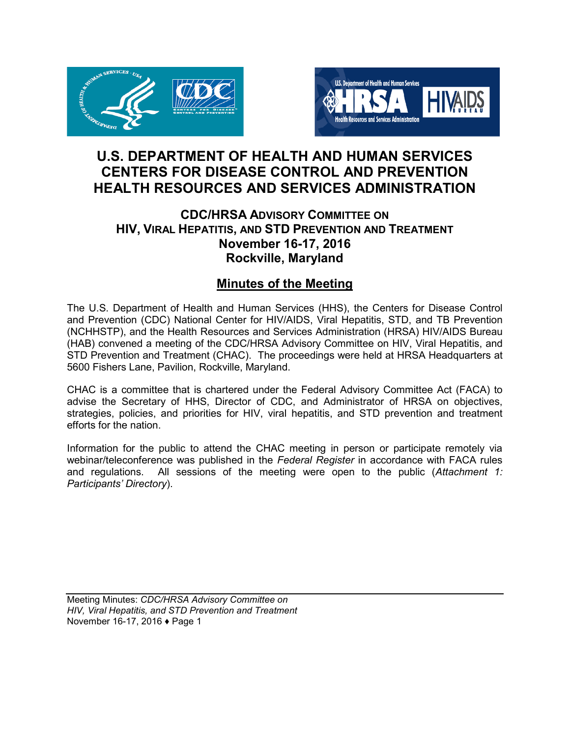



## **U.S. DEPARTMENT OF HEALTH AND HUMAN SERVICES CENTERS FOR DISEASE CONTROL AND PREVENTION HEALTH RESOURCES AND SERVICES ADMINISTRATION**

## **CDC/HRSA ADVISORY COMMITTEE ON HIV, VIRAL HEPATITIS, AND STD PREVENTION AND TREATMENT November 16-17, 2016 Rockville, Maryland**

## **Minutes of the Meeting**

The U.S. Department of Health and Human Services (HHS), the Centers for Disease Control and Prevention (CDC) National Center for HIV/AIDS, Viral Hepatitis, STD, and TB Prevention (NCHHSTP), and the Health Resources and Services Administration (HRSA) HIV/AIDS Bureau (HAB) convened a meeting of the CDC/HRSA Advisory Committee on HIV, Viral Hepatitis, and STD Prevention and Treatment (CHAC). The proceedings were held at HRSA Headquarters at 5600 Fishers Lane, Pavilion, Rockville, Maryland.

CHAC is a committee that is chartered under the Federal Advisory Committee Act (FACA) to advise the Secretary of HHS, Director of CDC, and Administrator of HRSA on objectives, strategies, policies, and priorities for HIV, viral hepatitis, and STD prevention and treatment efforts for the nation.

Information for the public to attend the CHAC meeting in person or participate remotely via webinar/teleconference was published in the *Federal Register* in accordance with FACA rules and regulations. All sessions of the meeting were open to the public (Attachment 1: All sessions of the meeting were open to the public (*Attachment 1: Participants' Directory*).

Meeting Minutes: *CDC/HRSA Advisory Committee on HIV, Viral Hepatitis, and STD Prevention and Treatment* November 16-17, 2016 ♦ Page 1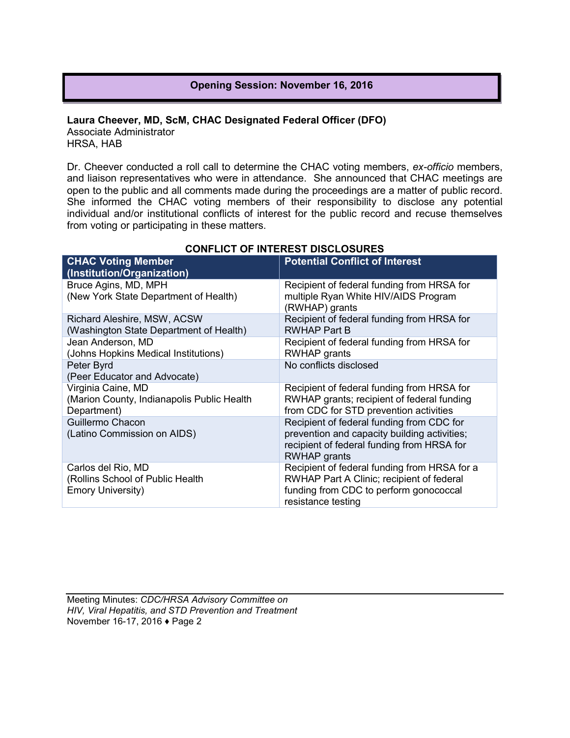## **Opening Session: November 16, 2016**

#### **Laura Cheever, MD, ScM, CHAC Designated Federal Officer (DFO)** Associate Administrator HRSA, HAB

Dr. Cheever conducted a roll call to determine the CHAC voting members, *ex-officio* members, and liaison representatives who were in attendance. She announced that CHAC meetings are open to the public and all comments made during the proceedings are a matter of public record. She informed the CHAC voting members of their responsibility to disclose any potential individual and/or institutional conflicts of interest for the public record and recuse themselves from voting or participating in these matters.

| <b>CHAC Voting Member</b><br>(Institution/Organization)                            | <b>Potential Conflict of Interest</b>                                                                                                                     |
|------------------------------------------------------------------------------------|-----------------------------------------------------------------------------------------------------------------------------------------------------------|
| Bruce Agins, MD, MPH<br>(New York State Department of Health)                      | Recipient of federal funding from HRSA for<br>multiple Ryan White HIV/AIDS Program<br>(RWHAP) grants                                                      |
| Richard Aleshire, MSW, ACSW<br>(Washington State Department of Health)             | Recipient of federal funding from HRSA for<br>RWHAP Part B                                                                                                |
| Jean Anderson, MD<br>(Johns Hopkins Medical Institutions)                          | Recipient of federal funding from HRSA for<br>RWHAP grants                                                                                                |
| Peter Byrd<br>(Peer Educator and Advocate)                                         | No conflicts disclosed                                                                                                                                    |
| Virginia Caine, MD<br>(Marion County, Indianapolis Public Health<br>Department)    | Recipient of federal funding from HRSA for<br>RWHAP grants; recipient of federal funding<br>from CDC for STD prevention activities                        |
| Guillermo Chacon<br>(Latino Commission on AIDS)                                    | Recipient of federal funding from CDC for<br>prevention and capacity building activities;<br>recipient of federal funding from HRSA for<br>RWHAP grants   |
| Carlos del Rio, MD<br>(Rollins School of Public Health<br><b>Emory University)</b> | Recipient of federal funding from HRSA for a<br>RWHAP Part A Clinic; recipient of federal<br>funding from CDC to perform gonococcal<br>resistance testing |

## **CONFLICT OF INTEREST DISCLOSURES**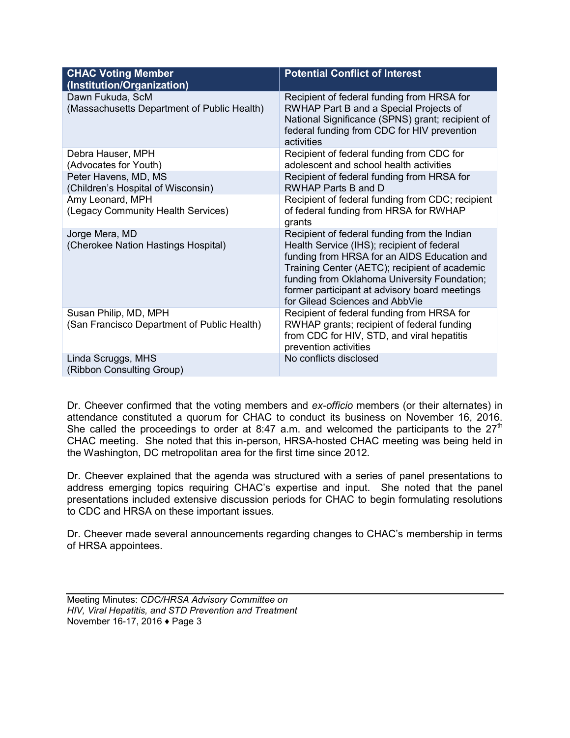| <b>CHAC Voting Member</b><br>(Institution/Organization)              | <b>Potential Conflict of Interest</b>                                                                                                                                                                                                                                                                                         |
|----------------------------------------------------------------------|-------------------------------------------------------------------------------------------------------------------------------------------------------------------------------------------------------------------------------------------------------------------------------------------------------------------------------|
| Dawn Fukuda, ScM<br>(Massachusetts Department of Public Health)      | Recipient of federal funding from HRSA for<br>RWHAP Part B and a Special Projects of<br>National Significance (SPNS) grant; recipient of<br>federal funding from CDC for HIV prevention<br>activities                                                                                                                         |
| Debra Hauser, MPH<br>(Advocates for Youth)                           | Recipient of federal funding from CDC for<br>adolescent and school health activities                                                                                                                                                                                                                                          |
| Peter Havens, MD, MS<br>(Children's Hospital of Wisconsin)           | Recipient of federal funding from HRSA for<br>RWHAP Parts B and D                                                                                                                                                                                                                                                             |
| Amy Leonard, MPH<br>(Legacy Community Health Services)               | Recipient of federal funding from CDC; recipient<br>of federal funding from HRSA for RWHAP<br>grants                                                                                                                                                                                                                          |
| Jorge Mera, MD<br>(Cherokee Nation Hastings Hospital)                | Recipient of federal funding from the Indian<br>Health Service (IHS); recipient of federal<br>funding from HRSA for an AIDS Education and<br>Training Center (AETC); recipient of academic<br>funding from Oklahoma University Foundation;<br>former participant at advisory board meetings<br>for Gilead Sciences and AbbVie |
| Susan Philip, MD, MPH<br>(San Francisco Department of Public Health) | Recipient of federal funding from HRSA for<br>RWHAP grants; recipient of federal funding<br>from CDC for HIV, STD, and viral hepatitis<br>prevention activities                                                                                                                                                               |
| Linda Scruggs, MHS<br>(Ribbon Consulting Group)                      | No conflicts disclosed                                                                                                                                                                                                                                                                                                        |

Dr. Cheever confirmed that the voting members and *ex-officio* members (or their alternates) in attendance constituted a quorum for CHAC to conduct its business on November 16, 2016. She called the proceedings to order at 8:47 a.m. and welcomed the participants to the  $27<sup>th</sup>$ CHAC meeting. She noted that this in-person, HRSA-hosted CHAC meeting was being held in the Washington, DC metropolitan area for the first time since 2012.

Dr. Cheever explained that the agenda was structured with a series of panel presentations to address emerging topics requiring CHAC's expertise and input. She noted that the panel presentations included extensive discussion periods for CHAC to begin formulating resolutions to CDC and HRSA on these important issues.

Dr. Cheever made several announcements regarding changes to CHAC's membership in terms of HRSA appointees.

Meeting Minutes: *CDC/HRSA Advisory Committee on HIV, Viral Hepatitis, and STD Prevention and Treatment* November 16-17, 2016 ♦ Page 3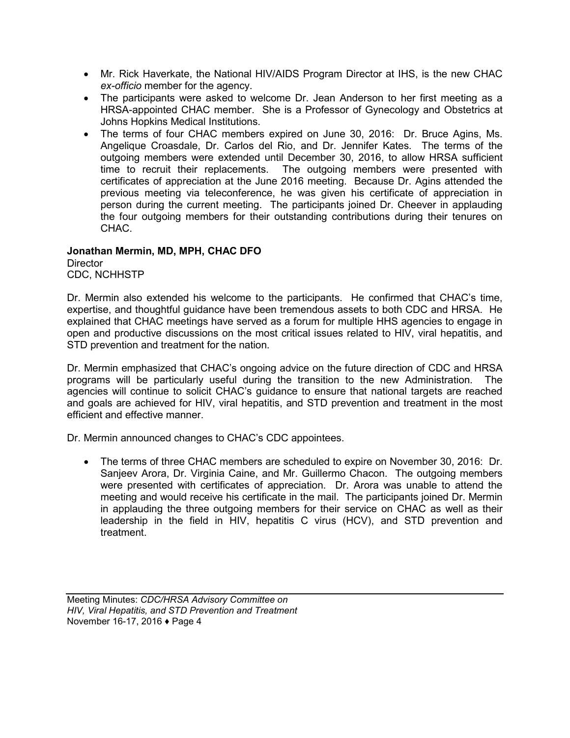- Mr. Rick Haverkate, the National HIV/AIDS Program Director at IHS, is the new CHAC *ex-officio* member for the agency.
- The participants were asked to welcome Dr. Jean Anderson to her first meeting as a HRSA-appointed CHAC member. She is a Professor of Gynecology and Obstetrics at Johns Hopkins Medical Institutions.
- The terms of four CHAC members expired on June 30, 2016: Dr. Bruce Agins, Ms. Angelique Croasdale, Dr. Carlos del Rio, and Dr. Jennifer Kates. The terms of the outgoing members were extended until December 30, 2016, to allow HRSA sufficient time to recruit their replacements. The outgoing members were presented with certificates of appreciation at the June 2016 meeting. Because Dr. Agins attended the previous meeting via teleconference, he was given his certificate of appreciation in person during the current meeting. The participants joined Dr. Cheever in applauding the four outgoing members for their outstanding contributions during their tenures on CHAC.

## **Jonathan Mermin, MD, MPH, CHAC DFO**

**Director** CDC, NCHHSTP

Dr. Mermin also extended his welcome to the participants. He confirmed that CHAC's time, expertise, and thoughtful guidance have been tremendous assets to both CDC and HRSA. He explained that CHAC meetings have served as a forum for multiple HHS agencies to engage in open and productive discussions on the most critical issues related to HIV, viral hepatitis, and STD prevention and treatment for the nation.

Dr. Mermin emphasized that CHAC's ongoing advice on the future direction of CDC and HRSA programs will be particularly useful during the transition to the new Administration. The agencies will continue to solicit CHAC's guidance to ensure that national targets are reached and goals are achieved for HIV, viral hepatitis, and STD prevention and treatment in the most efficient and effective manner.

Dr. Mermin announced changes to CHAC's CDC appointees.

• The terms of three CHAC members are scheduled to expire on November 30, 2016: Dr. Sanjeev Arora, Dr. Virginia Caine, and Mr. Guillermo Chacon. The outgoing members were presented with certificates of appreciation. Dr. Arora was unable to attend the meeting and would receive his certificate in the mail. The participants joined Dr. Mermin in applauding the three outgoing members for their service on CHAC as well as their leadership in the field in HIV, hepatitis C virus (HCV), and STD prevention and treatment.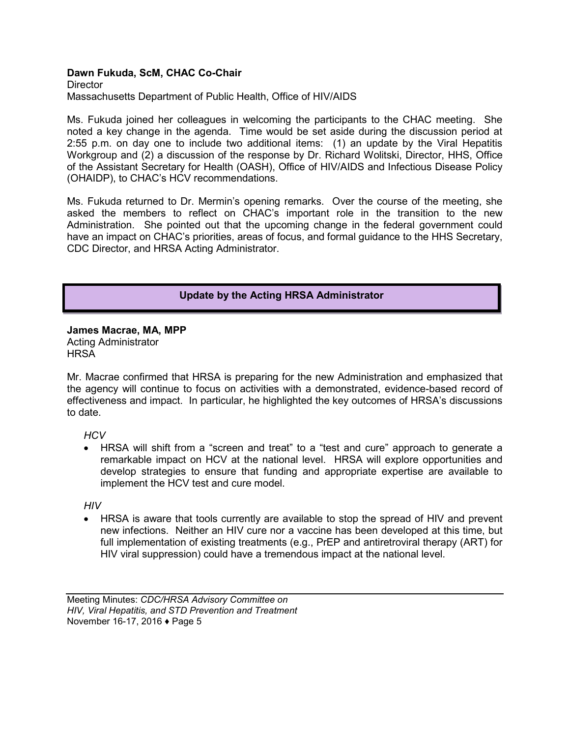## **Dawn Fukuda, ScM, CHAC Co-Chair**

**Director** Massachusetts Department of Public Health, Office of HIV/AIDS

Ms. Fukuda joined her colleagues in welcoming the participants to the CHAC meeting. She noted a key change in the agenda. Time would be set aside during the discussion period at 2:55 p.m. on day one to include two additional items: (1) an update by the Viral Hepatitis Workgroup and (2) a discussion of the response by Dr. Richard Wolitski, Director, HHS, Office of the Assistant Secretary for Health (OASH), Office of HIV/AIDS and Infectious Disease Policy (OHAIDP), to CHAC's HCV recommendations.

Ms. Fukuda returned to Dr. Mermin's opening remarks. Over the course of the meeting, she asked the members to reflect on CHAC's important role in the transition to the new Administration. She pointed out that the upcoming change in the federal government could have an impact on CHAC's priorities, areas of focus, and formal guidance to the HHS Secretary, CDC Director, and HRSA Acting Administrator.

## **Update by the Acting HRSA Administrator**

**James Macrae, MA, MPP** Acting Administrator **HRSA** 

Mr. Macrae confirmed that HRSA is preparing for the new Administration and emphasized that the agency will continue to focus on activities with a demonstrated, evidence-based record of effectiveness and impact. In particular, he highlighted the key outcomes of HRSA's discussions to date.

## *HCV*

• HRSA will shift from a "screen and treat" to a "test and cure" approach to generate a remarkable impact on HCV at the national level. HRSA will explore opportunities and develop strategies to ensure that funding and appropriate expertise are available to implement the HCV test and cure model.

*HIV*

• HRSA is aware that tools currently are available to stop the spread of HIV and prevent new infections. Neither an HIV cure nor a vaccine has been developed at this time, but full implementation of existing treatments (e.g., PrEP and antiretroviral therapy (ART) for HIV viral suppression) could have a tremendous impact at the national level.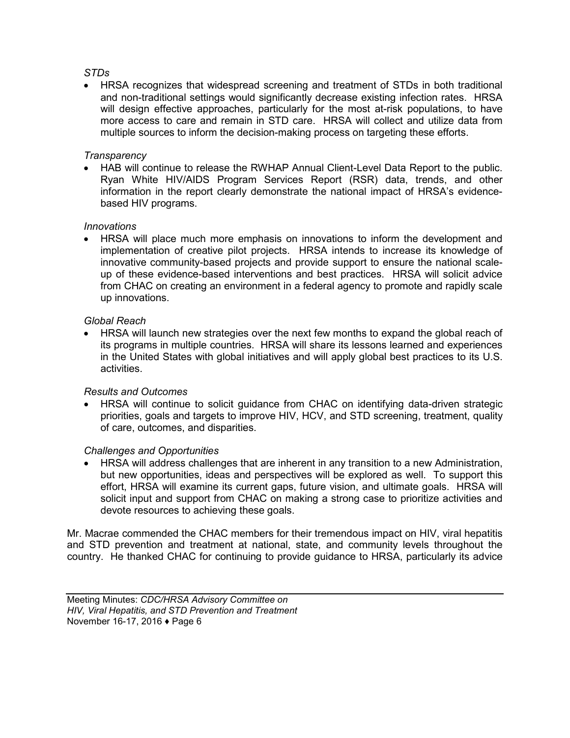## *STDs*

• HRSA recognizes that widespread screening and treatment of STDs in both traditional and non-traditional settings would significantly decrease existing infection rates. HRSA will design effective approaches, particularly for the most at-risk populations, to have more access to care and remain in STD care. HRSA will collect and utilize data from multiple sources to inform the decision-making process on targeting these efforts.

## *Transparency*

• HAB will continue to release the RWHAP Annual Client-Level Data Report to the public. Ryan White HIV/AIDS Program Services Report (RSR) data, trends, and other information in the report clearly demonstrate the national impact of HRSA's evidencebased HIV programs.

## *Innovations*

• HRSA will place much more emphasis on innovations to inform the development and implementation of creative pilot projects. HRSA intends to increase its knowledge of innovative community-based projects and provide support to ensure the national scaleup of these evidence-based interventions and best practices. HRSA will solicit advice from CHAC on creating an environment in a federal agency to promote and rapidly scale up innovations.

## *Global Reach*

• HRSA will launch new strategies over the next few months to expand the global reach of its programs in multiple countries. HRSA will share its lessons learned and experiences in the United States with global initiatives and will apply global best practices to its U.S. activities.

#### *Results and Outcomes*

• HRSA will continue to solicit guidance from CHAC on identifying data-driven strategic priorities, goals and targets to improve HIV, HCV, and STD screening, treatment, quality of care, outcomes, and disparities.

## *Challenges and Opportunities*

• HRSA will address challenges that are inherent in any transition to a new Administration, but new opportunities, ideas and perspectives will be explored as well. To support this effort, HRSA will examine its current gaps, future vision, and ultimate goals. HRSA will solicit input and support from CHAC on making a strong case to prioritize activities and devote resources to achieving these goals.

Mr. Macrae commended the CHAC members for their tremendous impact on HIV, viral hepatitis and STD prevention and treatment at national, state, and community levels throughout the country. He thanked CHAC for continuing to provide guidance to HRSA, particularly its advice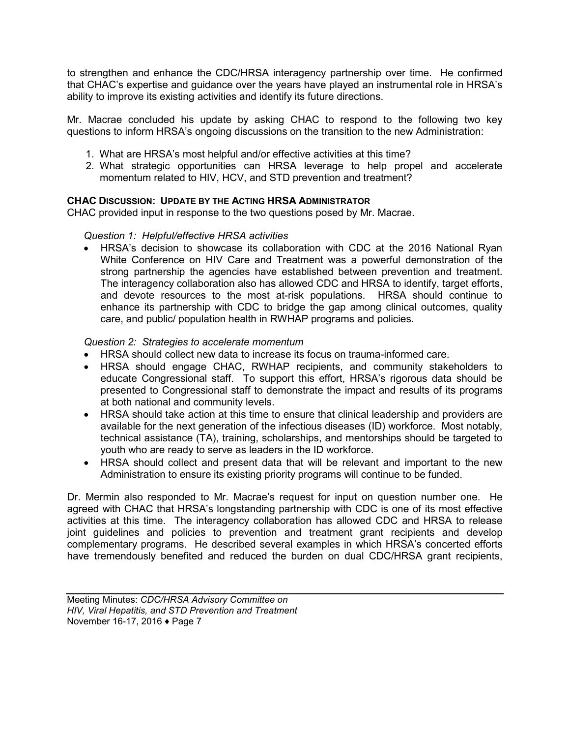to strengthen and enhance the CDC/HRSA interagency partnership over time. He confirmed that CHAC's expertise and guidance over the years have played an instrumental role in HRSA's ability to improve its existing activities and identify its future directions.

Mr. Macrae concluded his update by asking CHAC to respond to the following two key questions to inform HRSA's ongoing discussions on the transition to the new Administration:

- 1. What are HRSA's most helpful and/or effective activities at this time?
- 2. What strategic opportunities can HRSA leverage to help propel and accelerate momentum related to HIV, HCV, and STD prevention and treatment?

## **CHAC DISCUSSION: UPDATE BY THE ACTING HRSA ADMINISTRATOR**

CHAC provided input in response to the two questions posed by Mr. Macrae.

## *Question 1: Helpful/effective HRSA activities*

• HRSA's decision to showcase its collaboration with CDC at the 2016 National Ryan White Conference on HIV Care and Treatment was a powerful demonstration of the strong partnership the agencies have established between prevention and treatment. The interagency collaboration also has allowed CDC and HRSA to identify, target efforts, and devote resources to the most at-risk populations. HRSA should continue to enhance its partnership with CDC to bridge the gap among clinical outcomes, quality care, and public/ population health in RWHAP programs and policies.

## *Question 2: Strategies to accelerate momentum*

- HRSA should collect new data to increase its focus on trauma-informed care.
- HRSA should engage CHAC, RWHAP recipients, and community stakeholders to educate Congressional staff. To support this effort, HRSA's rigorous data should be presented to Congressional staff to demonstrate the impact and results of its programs at both national and community levels.
- HRSA should take action at this time to ensure that clinical leadership and providers are available for the next generation of the infectious diseases (ID) workforce. Most notably, technical assistance (TA), training, scholarships, and mentorships should be targeted to youth who are ready to serve as leaders in the ID workforce.
- HRSA should collect and present data that will be relevant and important to the new Administration to ensure its existing priority programs will continue to be funded.

Dr. Mermin also responded to Mr. Macrae's request for input on question number one. He agreed with CHAC that HRSA's longstanding partnership with CDC is one of its most effective activities at this time. The interagency collaboration has allowed CDC and HRSA to release joint guidelines and policies to prevention and treatment grant recipients and develop complementary programs. He described several examples in which HRSA's concerted efforts have tremendously benefited and reduced the burden on dual CDC/HRSA grant recipients,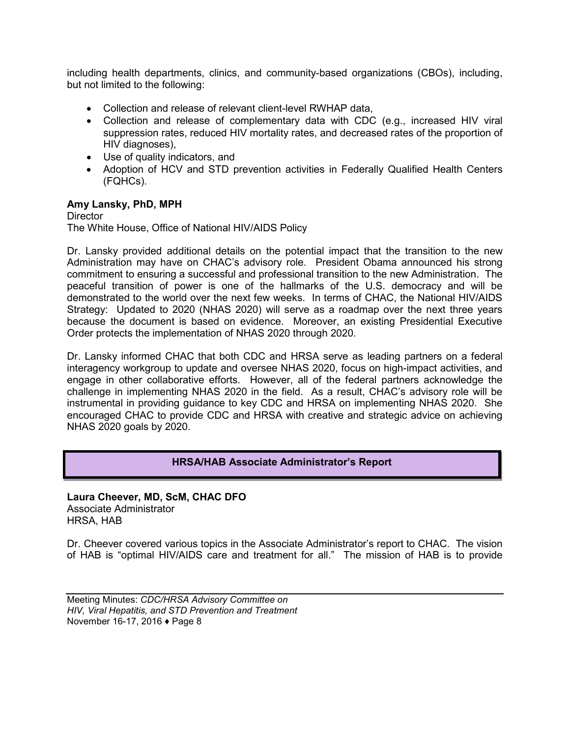including health departments, clinics, and community-based organizations (CBOs), including, but not limited to the following:

- Collection and release of relevant client-level RWHAP data,
- Collection and release of complementary data with CDC (e.g., increased HIV viral suppression rates, reduced HIV mortality rates, and decreased rates of the proportion of HIV diagnoses),
- Use of quality indicators, and
- Adoption of HCV and STD prevention activities in Federally Qualified Health Centers (FQHCs).

## **Amy Lansky, PhD, MPH**

**Director** The White House, Office of National HIV/AIDS Policy

Dr. Lansky provided additional details on the potential impact that the transition to the new Administration may have on CHAC's advisory role. President Obama announced his strong commitment to ensuring a successful and professional transition to the new Administration. The peaceful transition of power is one of the hallmarks of the U.S. democracy and will be demonstrated to the world over the next few weeks. In terms of CHAC, the National HIV/AIDS Strategy: Updated to 2020 (NHAS 2020) will serve as a roadmap over the next three years because the document is based on evidence. Moreover, an existing Presidential Executive Order protects the implementation of NHAS 2020 through 2020.

Dr. Lansky informed CHAC that both CDC and HRSA serve as leading partners on a federal interagency workgroup to update and oversee NHAS 2020, focus on high-impact activities, and engage in other collaborative efforts. However, all of the federal partners acknowledge the challenge in implementing NHAS 2020 in the field. As a result, CHAC's advisory role will be instrumental in providing guidance to key CDC and HRSA on implementing NHAS 2020. She encouraged CHAC to provide CDC and HRSA with creative and strategic advice on achieving NHAS 2020 goals by 2020.

## **HRSA/HAB Associate Administrator's Report**

**Laura Cheever, MD, ScM, CHAC DFO** Associate Administrator HRSA, HAB

Dr. Cheever covered various topics in the Associate Administrator's report to CHAC. The vision of HAB is "optimal HIV/AIDS care and treatment for all." The mission of HAB is to provide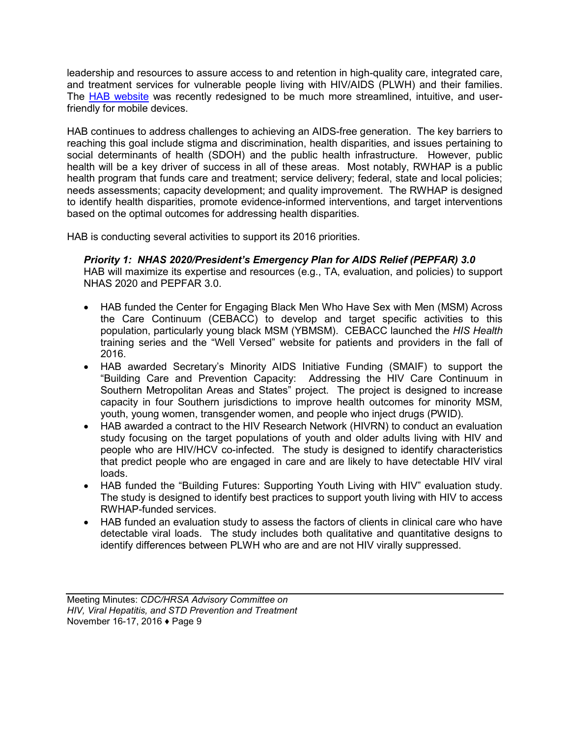leadership and resources to assure access to and retention in high-quality care, integrated care, and treatment services for vulnerable people living with HIV/AIDS (PLWH) and their families. The [HAB website](http://hab.hrsa.gov/) was recently redesigned to be much more streamlined, intuitive, and userfriendly for mobile devices.

HAB continues to address challenges to achieving an AIDS-free generation. The key barriers to reaching this goal include stigma and discrimination, health disparities, and issues pertaining to social determinants of health (SDOH) and the public health infrastructure. However, public health will be a key driver of success in all of these areas. Most notably, RWHAP is a public health program that funds care and treatment; service delivery; federal, state and local policies; needs assessments; capacity development; and quality improvement. The RWHAP is designed to identify health disparities, promote evidence-informed interventions, and target interventions based on the optimal outcomes for addressing health disparities.

HAB is conducting several activities to support its 2016 priorities.

*Priority 1: NHAS 2020/President's Emergency Plan for AIDS Relief (PEPFAR) 3.0* HAB will maximize its expertise and resources (e.g., TA, evaluation, and policies) to support NHAS 2020 and PEPFAR 3.0.

- HAB funded the Center for Engaging Black Men Who Have Sex with Men (MSM) Across the Care Continuum (CEBACC) to develop and target specific activities to this population, particularly young black MSM (YBMSM). CEBACC launched the *HIS Health* training series and the "Well Versed" website for patients and providers in the fall of 2016.
- HAB awarded Secretary's Minority AIDS Initiative Funding (SMAIF) to support the "Building Care and Prevention Capacity: Addressing the HIV Care Continuum in Southern Metropolitan Areas and States" project. The project is designed to increase capacity in four Southern jurisdictions to improve health outcomes for minority MSM, youth, young women, transgender women, and people who inject drugs (PWID).
- HAB awarded a contract to the HIV Research Network (HIVRN) to conduct an evaluation study focusing on the target populations of youth and older adults living with HIV and people who are HIV/HCV co-infected. The study is designed to identify characteristics that predict people who are engaged in care and are likely to have detectable HIV viral loads.
- HAB funded the "Building Futures: Supporting Youth Living with HIV" evaluation study. The study is designed to identify best practices to support youth living with HIV to access RWHAP-funded services.
- HAB funded an evaluation study to assess the factors of clients in clinical care who have detectable viral loads. The study includes both qualitative and quantitative designs to identify differences between PLWH who are and are not HIV virally suppressed.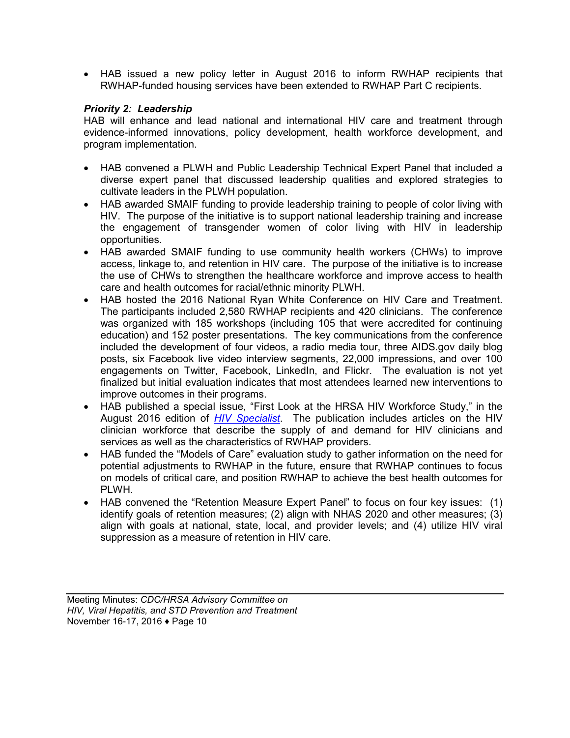• HAB issued a new policy letter in August 2016 to inform RWHAP recipients that RWHAP-funded housing services have been extended to RWHAP Part C recipients.

## *Priority 2: Leadership*

HAB will enhance and lead national and international HIV care and treatment through evidence-informed innovations, policy development, health workforce development, and program implementation.

- HAB convened a PLWH and Public Leadership Technical Expert Panel that included a diverse expert panel that discussed leadership qualities and explored strategies to cultivate leaders in the PLWH population.
- HAB awarded SMAIF funding to provide leadership training to people of color living with HIV. The purpose of the initiative is to support national leadership training and increase the engagement of transgender women of color living with HIV in leadership opportunities.
- HAB awarded SMAIF funding to use community health workers (CHWs) to improve access, linkage to, and retention in HIV care. The purpose of the initiative is to increase the use of CHWs to strengthen the healthcare workforce and improve access to health care and health outcomes for racial/ethnic minority PLWH.
- HAB hosted the 2016 National Ryan White Conference on HIV Care and Treatment. The participants included 2,580 RWHAP recipients and 420 clinicians. The conference was organized with 185 workshops (including 105 that were accredited for continuing education) and 152 poster presentations. The key communications from the conference included the development of four videos, a radio media tour, three AIDS.gov daily blog posts, six Facebook live video interview segments, 22,000 impressions, and over 100 engagements on Twitter, Facebook, LinkedIn, and Flickr. The evaluation is not yet finalized but initial evaluation indicates that most attendees learned new interventions to improve outcomes in their programs.
- HAB published a special issue, "First Look at the HRSA HIV Workforce Study," in the August 2016 edition of *[HIV Specialist](http://www.aahivm.org/)*. The publication includes articles on the HIV clinician workforce that describe the supply of and demand for HIV clinicians and services as well as the characteristics of RWHAP providers.
- HAB funded the "Models of Care" evaluation study to gather information on the need for potential adjustments to RWHAP in the future, ensure that RWHAP continues to focus on models of critical care, and position RWHAP to achieve the best health outcomes for PLWH.
- HAB convened the "Retention Measure Expert Panel" to focus on four key issues: (1) identify goals of retention measures; (2) align with NHAS 2020 and other measures; (3) align with goals at national, state, local, and provider levels; and (4) utilize HIV viral suppression as a measure of retention in HIV care.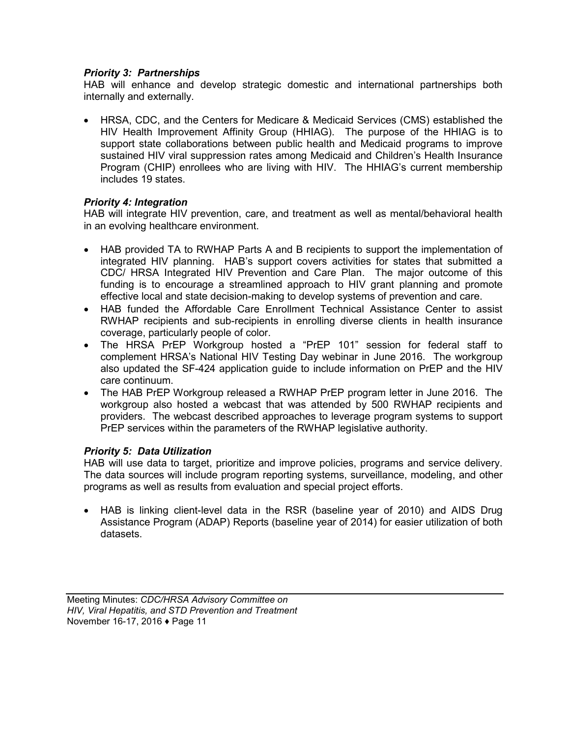## *Priority 3: Partnerships*

HAB will enhance and develop strategic domestic and international partnerships both internally and externally.

• HRSA, CDC, and the Centers for Medicare & Medicaid Services (CMS) established the HIV Health Improvement Affinity Group (HHIAG). The purpose of the HHIAG is to support state collaborations between public health and Medicaid programs to improve sustained HIV viral suppression rates among Medicaid and Children's Health Insurance Program (CHIP) enrollees who are living with HIV. The HHIAG's current membership includes 19 states.

## *Priority 4: Integration*

HAB will integrate HIV prevention, care, and treatment as well as mental/behavioral health in an evolving healthcare environment.

- HAB provided TA to RWHAP Parts A and B recipients to support the implementation of integrated HIV planning. HAB's support covers activities for states that submitted a CDC/ HRSA Integrated HIV Prevention and Care Plan. The major outcome of this funding is to encourage a streamlined approach to HIV grant planning and promote effective local and state decision-making to develop systems of prevention and care.
- HAB funded the Affordable Care Enrollment Technical Assistance Center to assist RWHAP recipients and sub-recipients in enrolling diverse clients in health insurance coverage, particularly people of color.
- The HRSA PrEP Workgroup hosted a "PrEP 101" session for federal staff to complement HRSA's National HIV Testing Day webinar in June 2016. The workgroup also updated the SF-424 application guide to include information on PrEP and the HIV care continuum.
- The HAB PrEP Workgroup released a RWHAP PrEP program letter in June 2016. The workgroup also hosted a webcast that was attended by 500 RWHAP recipients and providers. The webcast described approaches to leverage program systems to support PrEP services within the parameters of the RWHAP legislative authority.

## *Priority 5: Data Utilization*

HAB will use data to target, prioritize and improve policies, programs and service delivery. The data sources will include program reporting systems, surveillance, modeling, and other programs as well as results from evaluation and special project efforts.

• HAB is linking client-level data in the RSR (baseline year of 2010) and AIDS Drug Assistance Program (ADAP) Reports (baseline year of 2014) for easier utilization of both datasets.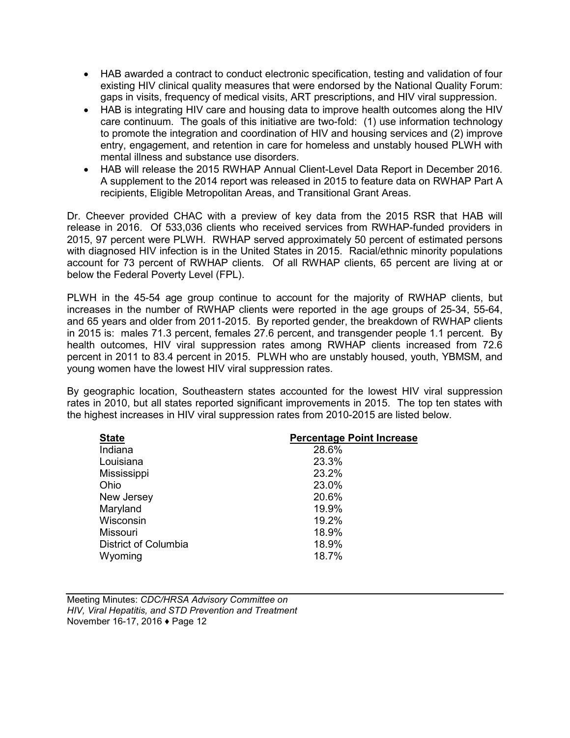- HAB awarded a contract to conduct electronic specification, testing and validation of four existing HIV clinical quality measures that were endorsed by the National Quality Forum: gaps in visits, frequency of medical visits, ART prescriptions, and HIV viral suppression.
- HAB is integrating HIV care and housing data to improve health outcomes along the HIV care continuum. The goals of this initiative are two-fold: (1) use information technology to promote the integration and coordination of HIV and housing services and (2) improve entry, engagement, and retention in care for homeless and unstably housed PLWH with mental illness and substance use disorders.
- HAB will release the 2015 RWHAP Annual Client-Level Data Report in December 2016. A supplement to the 2014 report was released in 2015 to feature data on RWHAP Part A recipients, Eligible Metropolitan Areas, and Transitional Grant Areas.

Dr. Cheever provided CHAC with a preview of key data from the 2015 RSR that HAB will release in 2016. Of 533,036 clients who received services from RWHAP-funded providers in 2015, 97 percent were PLWH. RWHAP served approximately 50 percent of estimated persons with diagnosed HIV infection is in the United States in 2015. Racial/ethnic minority populations account for 73 percent of RWHAP clients. Of all RWHAP clients, 65 percent are living at or below the Federal Poverty Level (FPL).

PLWH in the 45-54 age group continue to account for the majority of RWHAP clients, but increases in the number of RWHAP clients were reported in the age groups of 25-34, 55-64, and 65 years and older from 2011-2015. By reported gender, the breakdown of RWHAP clients in 2015 is: males 71.3 percent, females 27.6 percent, and transgender people 1.1 percent. By health outcomes, HIV viral suppression rates among RWHAP clients increased from 72.6 percent in 2011 to 83.4 percent in 2015. PLWH who are unstably housed, youth, YBMSM, and young women have the lowest HIV viral suppression rates.

By geographic location, Southeastern states accounted for the lowest HIV viral suppression rates in 2010, but all states reported significant improvements in 2015. The top ten states with the highest increases in HIV viral suppression rates from 2010-2015 are listed below.

| <b>State</b>         | <b>Percentage Point Increase</b> |
|----------------------|----------------------------------|
| Indiana              | 28.6%                            |
| Louisiana            | 23.3%                            |
| Mississippi          | 23.2%                            |
| Ohio                 | 23.0%                            |
| New Jersey           | 20.6%                            |
| Maryland             | 19.9%                            |
| Wisconsin            | 19.2%                            |
| Missouri             | 18.9%                            |
| District of Columbia | 18.9%                            |
| Wyoming              | 18.7%                            |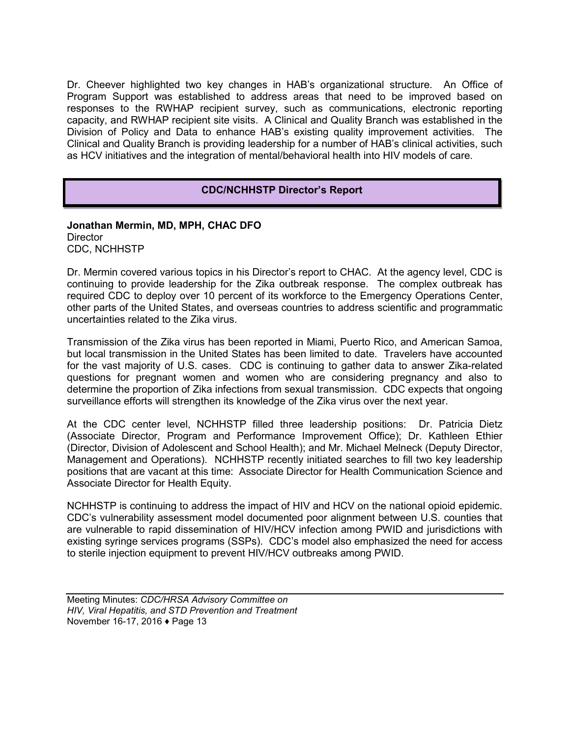Dr. Cheever highlighted two key changes in HAB's organizational structure. An Office of Program Support was established to address areas that need to be improved based on responses to the RWHAP recipient survey, such as communications, electronic reporting capacity, and RWHAP recipient site visits. A Clinical and Quality Branch was established in the Division of Policy and Data to enhance HAB's existing quality improvement activities. The Clinical and Quality Branch is providing leadership for a number of HAB's clinical activities, such as HCV initiatives and the integration of mental/behavioral health into HIV models of care.

## **CDC/NCHHSTP Director's Report**

#### **Jonathan Mermin, MD, MPH, CHAC DFO Director** CDC, NCHHSTP

Dr. Mermin covered various topics in his Director's report to CHAC. At the agency level, CDC is continuing to provide leadership for the Zika outbreak response. The complex outbreak has required CDC to deploy over 10 percent of its workforce to the Emergency Operations Center, other parts of the United States, and overseas countries to address scientific and programmatic uncertainties related to the Zika virus.

Transmission of the Zika virus has been reported in Miami, Puerto Rico, and American Samoa, but local transmission in the United States has been limited to date. Travelers have accounted for the vast majority of U.S. cases. CDC is continuing to gather data to answer Zika-related questions for pregnant women and women who are considering pregnancy and also to determine the proportion of Zika infections from sexual transmission. CDC expects that ongoing surveillance efforts will strengthen its knowledge of the Zika virus over the next year.

At the CDC center level, NCHHSTP filled three leadership positions: Dr. Patricia Dietz (Associate Director, Program and Performance Improvement Office); Dr. Kathleen Ethier (Director, Division of Adolescent and School Health); and Mr. Michael Melneck (Deputy Director, Management and Operations). NCHHSTP recently initiated searches to fill two key leadership positions that are vacant at this time: Associate Director for Health Communication Science and Associate Director for Health Equity.

NCHHSTP is continuing to address the impact of HIV and HCV on the national opioid epidemic. CDC's vulnerability assessment model documented poor alignment between U.S. counties that are vulnerable to rapid dissemination of HIV/HCV infection among PWID and jurisdictions with existing syringe services programs (SSPs). CDC's model also emphasized the need for access to sterile injection equipment to prevent HIV/HCV outbreaks among PWID.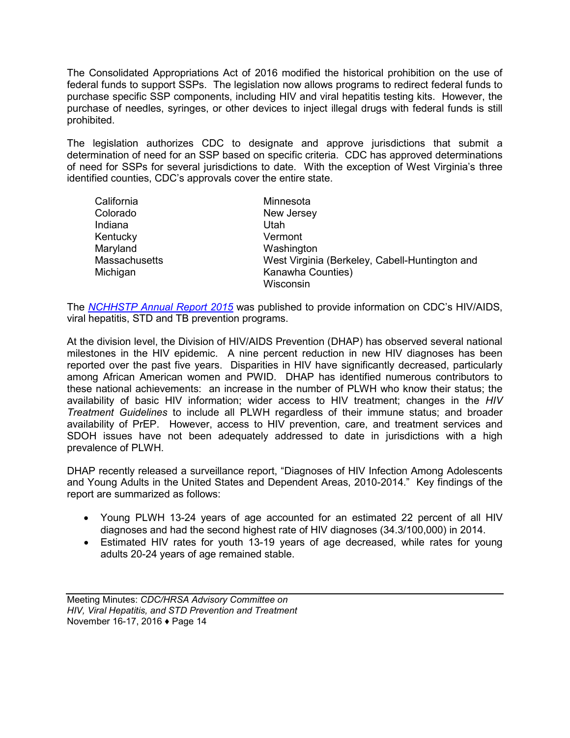The Consolidated Appropriations Act of 2016 modified the historical prohibition on the use of federal funds to support SSPs. The legislation now allows programs to redirect federal funds to purchase specific SSP components, including HIV and viral hepatitis testing kits. However, the purchase of needles, syringes, or other devices to inject illegal drugs with federal funds is still prohibited.

The legislation authorizes CDC to designate and approve jurisdictions that submit a determination of need for an SSP based on specific criteria. CDC has approved determinations of need for SSPs for several jurisdictions to date. With the exception of West Virginia's three identified counties, CDC's approvals cover the entire state.

| California           | Minnesota                                      |
|----------------------|------------------------------------------------|
| Colorado             | New Jersey                                     |
| Indiana              | Utah                                           |
| Kentucky             | Vermont                                        |
| Maryland             | Washington                                     |
| <b>Massachusetts</b> | West Virginia (Berkeley, Cabell-Huntington and |
| Michigan             | Kanawha Counties)                              |
|                      | Wisconsin                                      |

The *[NCHHSTP Annual Report 2015](https://www.cdc.gov/nchhstp/publications/docs/nchhstp-annual-report-2015.pdf)* was published to provide information on CDC's HIV/AIDS, viral hepatitis, STD and TB prevention programs.

At the division level, the Division of HIV/AIDS Prevention (DHAP) has observed several national milestones in the HIV epidemic. A nine percent reduction in new HIV diagnoses has been reported over the past five years. Disparities in HIV have significantly decreased, particularly among African American women and PWID. DHAP has identified numerous contributors to these national achievements: an increase in the number of PLWH who know their status; the availability of basic HIV information; wider access to HIV treatment; changes in the *HIV Treatment Guidelines* to include all PLWH regardless of their immune status; and broader availability of PrEP. However, access to HIV prevention, care, and treatment services and SDOH issues have not been adequately addressed to date in jurisdictions with a high prevalence of PLWH.

DHAP recently released a surveillance report, "Diagnoses of HIV Infection Among Adolescents and Young Adults in the United States and Dependent Areas, 2010-2014." Key findings of the report are summarized as follows:

- Young PLWH 13-24 years of age accounted for an estimated 22 percent of all HIV diagnoses and had the second highest rate of HIV diagnoses (34.3/100,000) in 2014.
- Estimated HIV rates for youth 13-19 years of age decreased, while rates for young adults 20-24 years of age remained stable.

Meeting Minutes: *CDC/HRSA Advisory Committee on HIV, Viral Hepatitis, and STD Prevention and Treatment* November 16-17, 2016 ♦ Page 14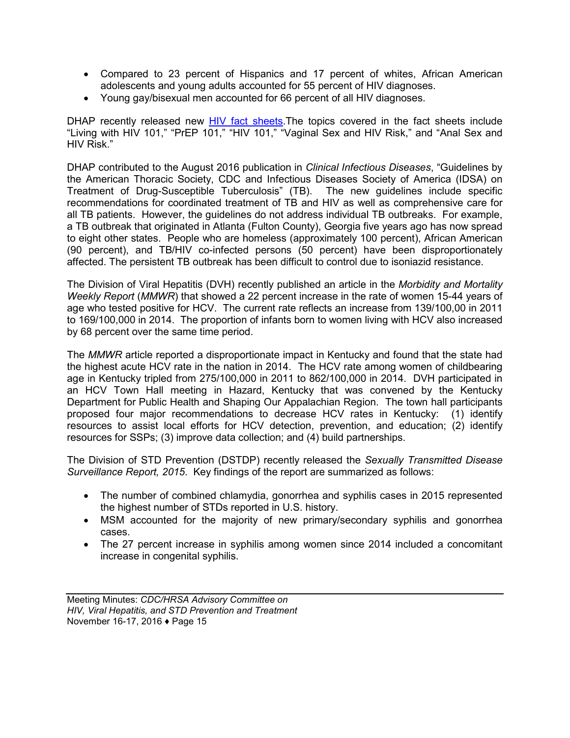- Compared to 23 percent of Hispanics and 17 percent of whites, African American adolescents and young adults accounted for 55 percent of HIV diagnoses.
- Young gay/bisexual men accounted for 66 percent of all HIV diagnoses.

DHAP recently released new [HIV fact sheets.](http://www.cdc.gov/hiv/library/factsheets/index.html) The topics covered in the fact sheets include "Living with HIV 101," "PrEP 101," "HIV 101," "Vaginal Sex and HIV Risk," and "Anal Sex and HIV Risk."

DHAP contributed to the August 2016 publication in *Clinical Infectious Diseases*, "Guidelines by the American Thoracic Society, CDC and Infectious Diseases Society of America (IDSA) on Treatment of Drug-Susceptible Tuberculosis" (TB). The new guidelines include specific recommendations for coordinated treatment of TB and HIV as well as comprehensive care for all TB patients. However, the guidelines do not address individual TB outbreaks. For example, a TB outbreak that originated in Atlanta (Fulton County), Georgia five years ago has now spread to eight other states. People who are homeless (approximately 100 percent), African American (90 percent), and TB/HIV co-infected persons (50 percent) have been disproportionately affected. The persistent TB outbreak has been difficult to control due to isoniazid resistance.

The Division of Viral Hepatitis (DVH) recently published an article in the *Morbidity and Mortality Weekly Report* (*MMWR*) that showed a 22 percent increase in the rate of women 15-44 years of age who tested positive for HCV. The current rate reflects an increase from 139/100,00 in 2011 to 169/100,000 in 2014. The proportion of infants born to women living with HCV also increased by 68 percent over the same time period.

The *MMWR* article reported a disproportionate impact in Kentucky and found that the state had the highest acute HCV rate in the nation in 2014. The HCV rate among women of childbearing age in Kentucky tripled from 275/100,000 in 2011 to 862/100,000 in 2014. DVH participated in an HCV Town Hall meeting in Hazard, Kentucky that was convened by the Kentucky Department for Public Health and Shaping Our Appalachian Region. The town hall participants proposed four major recommendations to decrease HCV rates in Kentucky: (1) identify resources to assist local efforts for HCV detection, prevention, and education; (2) identify resources for SSPs; (3) improve data collection; and (4) build partnerships.

The Division of STD Prevention (DSTDP) recently released the *Sexually Transmitted Disease Surveillance Report, 2015*. Key findings of the report are summarized as follows:

- The number of combined chlamydia, gonorrhea and syphilis cases in 2015 represented the highest number of STDs reported in U.S. history.
- MSM accounted for the majority of new primary/secondary syphilis and gonorrhea cases.
- The 27 percent increase in syphilis among women since 2014 included a concomitant increase in congenital syphilis.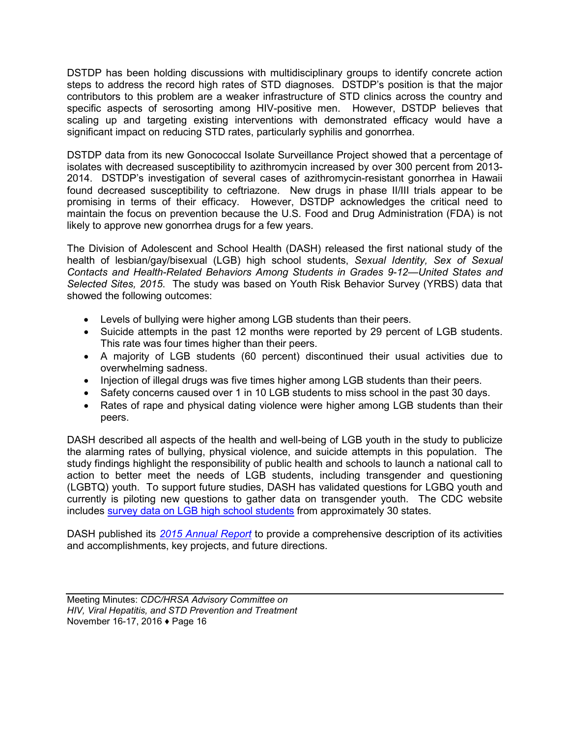DSTDP has been holding discussions with multidisciplinary groups to identify concrete action steps to address the record high rates of STD diagnoses. DSTDP's position is that the major contributors to this problem are a weaker infrastructure of STD clinics across the country and specific aspects of serosorting among HIV-positive men. However, DSTDP believes that scaling up and targeting existing interventions with demonstrated efficacy would have a significant impact on reducing STD rates, particularly syphilis and gonorrhea.

DSTDP data from its new Gonococcal Isolate Surveillance Project showed that a percentage of isolates with decreased susceptibility to azithromycin increased by over 300 percent from 2013- 2014. DSTDP's investigation of several cases of azithromycin-resistant gonorrhea in Hawaii found decreased susceptibility to ceftriazone. New drugs in phase II/III trials appear to be promising in terms of their efficacy. However, DSTDP acknowledges the critical need to maintain the focus on prevention because the U.S. Food and Drug Administration (FDA) is not likely to approve new gonorrhea drugs for a few years.

The Division of Adolescent and School Health (DASH) released the first national study of the health of lesbian/gay/bisexual (LGB) high school students, *Sexual Identity, Sex of Sexual Contacts and Health-Related Behaviors Among Students in Grades 9-12*—*United States and Selected Sites, 2015*. The study was based on Youth Risk Behavior Survey (YRBS) data that showed the following outcomes:

- Levels of bullying were higher among LGB students than their peers.
- Suicide attempts in the past 12 months were reported by 29 percent of LGB students. This rate was four times higher than their peers.
- A majority of LGB students (60 percent) discontinued their usual activities due to overwhelming sadness.
- Injection of illegal drugs was five times higher among LGB students than their peers.
- Safety concerns caused over 1 in 10 LGB students to miss school in the past 30 days.
- Rates of rape and physical dating violence were higher among LGB students than their peers.

DASH described all aspects of the health and well-being of LGB youth in the study to publicize the alarming rates of bullying, physical violence, and suicide attempts in this population. The study findings highlight the responsibility of public health and schools to launch a national call to action to better meet the needs of LGB students, including transgender and questioning (LGBTQ) youth. To support future studies, DASH has validated questions for LGBQ youth and currently is piloting new questions to gather data on transgender youth. The CDC website includes [survey data on LGB high school students](http://www.cdc.gov/mmwr/volumes/65/ss/ss6509a1.htm) from approximately 30 states.

DASH published its *[2015 Annual Report](https://www.cdc.gov/healthyyouth/about/pdf/dash2015annualreport.pdf)* to provide a comprehensive description of its activities and accomplishments, key projects, and future directions.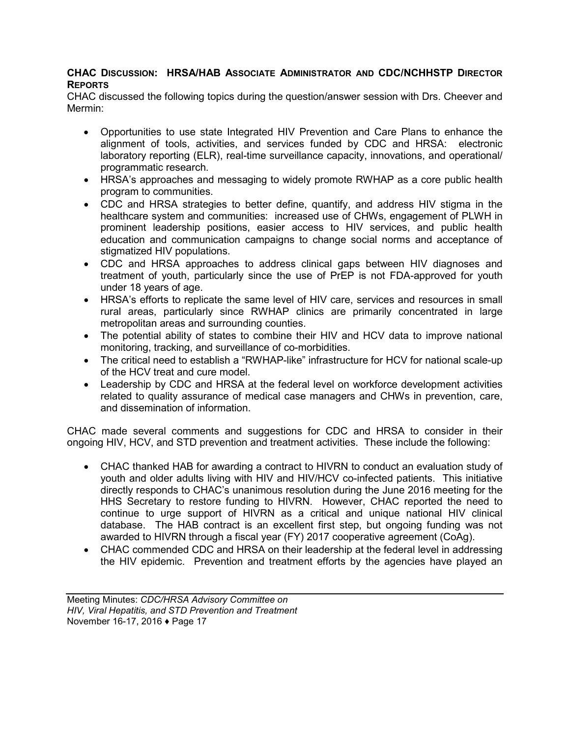## **CHAC DISCUSSION: HRSA/HAB ASSOCIATE ADMINISTRATOR AND CDC/NCHHSTP DIRECTOR REPORTS**

CHAC discussed the following topics during the question/answer session with Drs. Cheever and Mermin:

- Opportunities to use state Integrated HIV Prevention and Care Plans to enhance the alignment of tools, activities, and services funded by CDC and HRSA: electronic laboratory reporting (ELR), real-time surveillance capacity, innovations, and operational/ programmatic research.
- HRSA's approaches and messaging to widely promote RWHAP as a core public health program to communities.
- CDC and HRSA strategies to better define, quantify, and address HIV stigma in the healthcare system and communities: increased use of CHWs, engagement of PLWH in prominent leadership positions, easier access to HIV services, and public health education and communication campaigns to change social norms and acceptance of stigmatized HIV populations.
- CDC and HRSA approaches to address clinical gaps between HIV diagnoses and treatment of youth, particularly since the use of PrEP is not FDA-approved for youth under 18 years of age.
- HRSA's efforts to replicate the same level of HIV care, services and resources in small rural areas, particularly since RWHAP clinics are primarily concentrated in large metropolitan areas and surrounding counties.
- The potential ability of states to combine their HIV and HCV data to improve national monitoring, tracking, and surveillance of co-morbidities.
- The critical need to establish a "RWHAP-like" infrastructure for HCV for national scale-up of the HCV treat and cure model.
- Leadership by CDC and HRSA at the federal level on workforce development activities related to quality assurance of medical case managers and CHWs in prevention, care, and dissemination of information.

CHAC made several comments and suggestions for CDC and HRSA to consider in their ongoing HIV, HCV, and STD prevention and treatment activities. These include the following:

- CHAC thanked HAB for awarding a contract to HIVRN to conduct an evaluation study of youth and older adults living with HIV and HIV/HCV co-infected patients. This initiative directly responds to CHAC's unanimous resolution during the June 2016 meeting for the HHS Secretary to restore funding to HIVRN. However, CHAC reported the need to continue to urge support of HIVRN as a critical and unique national HIV clinical database. The HAB contract is an excellent first step, but ongoing funding was not awarded to HIVRN through a fiscal year (FY) 2017 cooperative agreement (CoAg).
- CHAC commended CDC and HRSA on their leadership at the federal level in addressing the HIV epidemic. Prevention and treatment efforts by the agencies have played an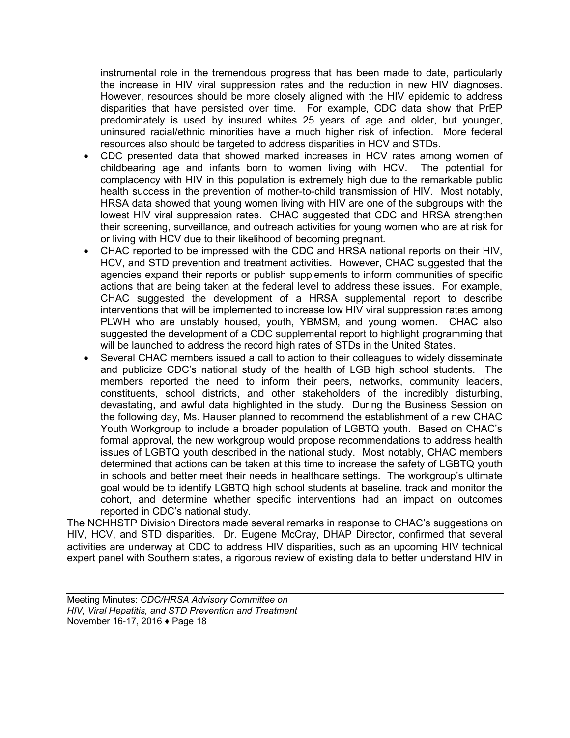instrumental role in the tremendous progress that has been made to date, particularly the increase in HIV viral suppression rates and the reduction in new HIV diagnoses. However, resources should be more closely aligned with the HIV epidemic to address disparities that have persisted over time. For example, CDC data show that PrEP predominately is used by insured whites 25 years of age and older, but younger, uninsured racial/ethnic minorities have a much higher risk of infection. More federal resources also should be targeted to address disparities in HCV and STDs.

- CDC presented data that showed marked increases in HCV rates among women of childbearing age and infants born to women living with HCV. The potential for complacency with HIV in this population is extremely high due to the remarkable public health success in the prevention of mother-to-child transmission of HIV. Most notably, HRSA data showed that young women living with HIV are one of the subgroups with the lowest HIV viral suppression rates. CHAC suggested that CDC and HRSA strengthen their screening, surveillance, and outreach activities for young women who are at risk for or living with HCV due to their likelihood of becoming pregnant.
- CHAC reported to be impressed with the CDC and HRSA national reports on their HIV, HCV, and STD prevention and treatment activities. However, CHAC suggested that the agencies expand their reports or publish supplements to inform communities of specific actions that are being taken at the federal level to address these issues. For example, CHAC suggested the development of a HRSA supplemental report to describe interventions that will be implemented to increase low HIV viral suppression rates among PLWH who are unstably housed, youth, YBMSM, and young women. CHAC also suggested the development of a CDC supplemental report to highlight programming that will be launched to address the record high rates of STDs in the United States.
- Several CHAC members issued a call to action to their colleagues to widely disseminate and publicize CDC's national study of the health of LGB high school students. The members reported the need to inform their peers, networks, community leaders, constituents, school districts, and other stakeholders of the incredibly disturbing, devastating, and awful data highlighted in the study. During the Business Session on the following day, Ms. Hauser planned to recommend the establishment of a new CHAC Youth Workgroup to include a broader population of LGBTQ youth. Based on CHAC's formal approval, the new workgroup would propose recommendations to address health issues of LGBTQ youth described in the national study. Most notably, CHAC members determined that actions can be taken at this time to increase the safety of LGBTQ youth in schools and better meet their needs in healthcare settings. The workgroup's ultimate goal would be to identify LGBTQ high school students at baseline, track and monitor the cohort, and determine whether specific interventions had an impact on outcomes reported in CDC's national study.

The NCHHSTP Division Directors made several remarks in response to CHAC's suggestions on HIV, HCV, and STD disparities. Dr. Eugene McCray, DHAP Director, confirmed that several activities are underway at CDC to address HIV disparities, such as an upcoming HIV technical expert panel with Southern states, a rigorous review of existing data to better understand HIV in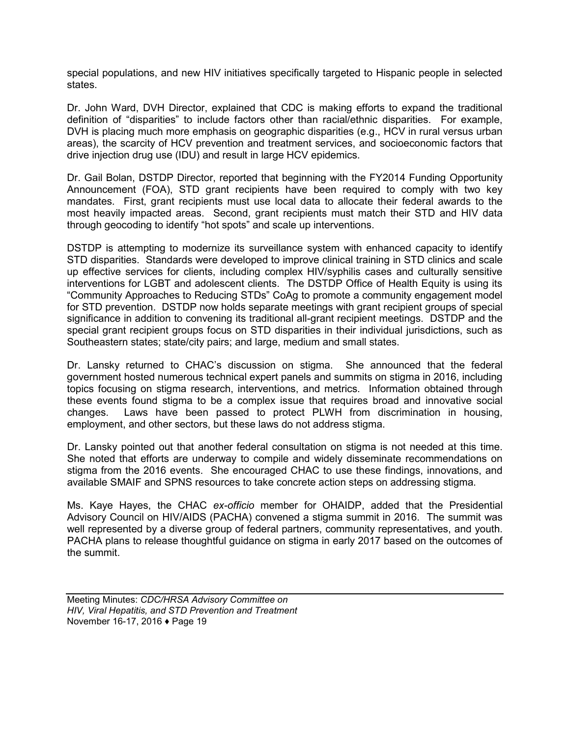special populations, and new HIV initiatives specifically targeted to Hispanic people in selected states.

Dr. John Ward, DVH Director, explained that CDC is making efforts to expand the traditional definition of "disparities" to include factors other than racial/ethnic disparities. For example, DVH is placing much more emphasis on geographic disparities (e.g., HCV in rural versus urban areas), the scarcity of HCV prevention and treatment services, and socioeconomic factors that drive injection drug use (IDU) and result in large HCV epidemics.

Dr. Gail Bolan, DSTDP Director, reported that beginning with the FY2014 Funding Opportunity Announcement (FOA), STD grant recipients have been required to comply with two key mandates. First, grant recipients must use local data to allocate their federal awards to the most heavily impacted areas. Second, grant recipients must match their STD and HIV data through geocoding to identify "hot spots" and scale up interventions.

DSTDP is attempting to modernize its surveillance system with enhanced capacity to identify STD disparities. Standards were developed to improve clinical training in STD clinics and scale up effective services for clients, including complex HIV/syphilis cases and culturally sensitive interventions for LGBT and adolescent clients. The DSTDP Office of Health Equity is using its "Community Approaches to Reducing STDs" CoAg to promote a community engagement model for STD prevention. DSTDP now holds separate meetings with grant recipient groups of special significance in addition to convening its traditional all-grant recipient meetings. DSTDP and the special grant recipient groups focus on STD disparities in their individual jurisdictions, such as Southeastern states; state/city pairs; and large, medium and small states.

Dr. Lansky returned to CHAC's discussion on stigma. She announced that the federal government hosted numerous technical expert panels and summits on stigma in 2016, including topics focusing on stigma research, interventions, and metrics. Information obtained through these events found stigma to be a complex issue that requires broad and innovative social changes. Laws have been passed to protect PLWH from discrimination in housing, employment, and other sectors, but these laws do not address stigma.

Dr. Lansky pointed out that another federal consultation on stigma is not needed at this time. She noted that efforts are underway to compile and widely disseminate recommendations on stigma from the 2016 events. She encouraged CHAC to use these findings, innovations, and available SMAIF and SPNS resources to take concrete action steps on addressing stigma.

Ms. Kaye Hayes, the CHAC *ex-officio* member for OHAIDP, added that the Presidential Advisory Council on HIV/AIDS (PACHA) convened a stigma summit in 2016. The summit was well represented by a diverse group of federal partners, community representatives, and youth. PACHA plans to release thoughtful guidance on stigma in early 2017 based on the outcomes of the summit.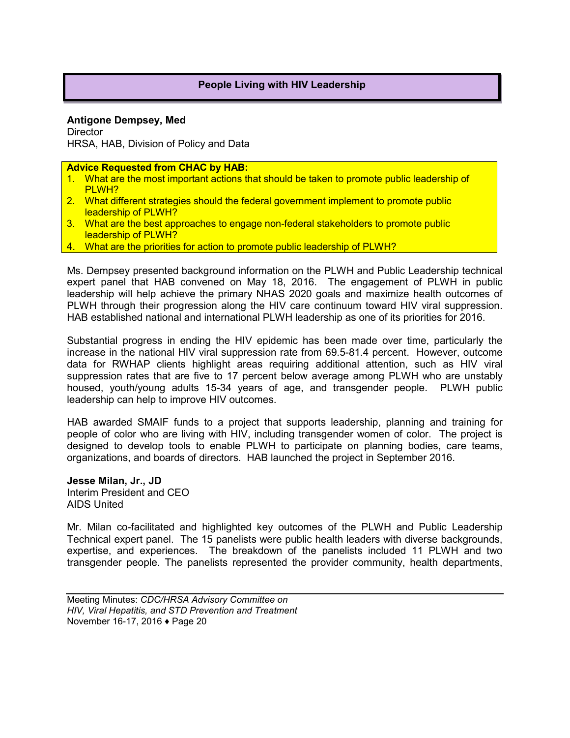## **People Living with HIV Leadership**

**Antigone Dempsey, Med Director** HRSA, HAB, Division of Policy and Data

**Advice Requested from CHAC by HAB:**

- 1. What are the most important actions that should be taken to promote public leadership of PLWH?
- 2. What different strategies should the federal government implement to promote public leadership of PLWH?
- 3. What are the best approaches to engage non-federal stakeholders to promote public leadership of PLWH?
- 4. What are the priorities for action to promote public leadership of PLWH?

Ms. Dempsey presented background information on the PLWH and Public Leadership technical expert panel that HAB convened on May 18, 2016. The engagement of PLWH in public leadership will help achieve the primary NHAS 2020 goals and maximize health outcomes of PLWH through their progression along the HIV care continuum toward HIV viral suppression. HAB established national and international PLWH leadership as one of its priorities for 2016.

Substantial progress in ending the HIV epidemic has been made over time, particularly the increase in the national HIV viral suppression rate from 69.5-81.4 percent. However, outcome data for RWHAP clients highlight areas requiring additional attention, such as HIV viral suppression rates that are five to 17 percent below average among PLWH who are unstably housed, youth/young adults 15-34 years of age, and transgender people. PLWH public leadership can help to improve HIV outcomes.

HAB awarded SMAIF funds to a project that supports leadership, planning and training for people of color who are living with HIV, including transgender women of color. The project is designed to develop tools to enable PLWH to participate on planning bodies, care teams, organizations, and boards of directors. HAB launched the project in September 2016.

**Jesse Milan, Jr., JD** Interim President and CEO AIDS United

Mr. Milan co-facilitated and highlighted key outcomes of the PLWH and Public Leadership Technical expert panel. The 15 panelists were public health leaders with diverse backgrounds, expertise, and experiences. The breakdown of the panelists included 11 PLWH and two transgender people. The panelists represented the provider community, health departments,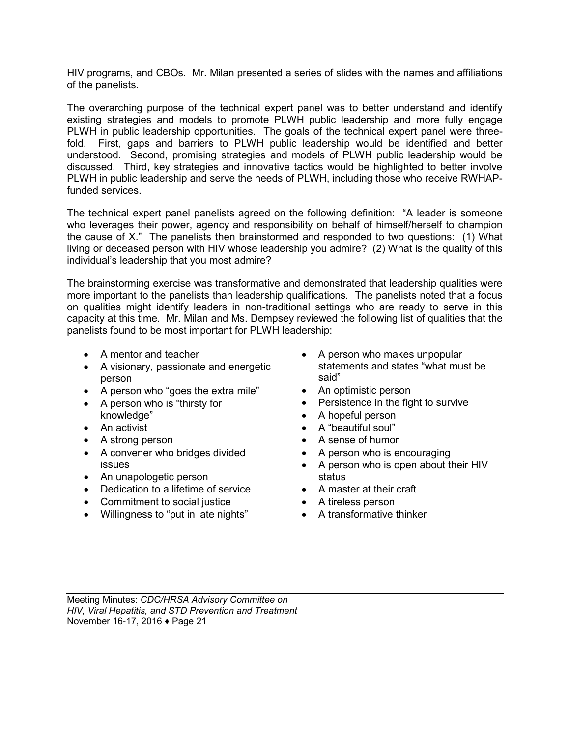HIV programs, and CBOs. Mr. Milan presented a series of slides with the names and affiliations of the panelists.

The overarching purpose of the technical expert panel was to better understand and identify existing strategies and models to promote PLWH public leadership and more fully engage PLWH in public leadership opportunities. The goals of the technical expert panel were threefold. First, gaps and barriers to PLWH public leadership would be identified and better understood. Second, promising strategies and models of PLWH public leadership would be discussed. Third, key strategies and innovative tactics would be highlighted to better involve PLWH in public leadership and serve the needs of PLWH, including those who receive RWHAPfunded services.

The technical expert panel panelists agreed on the following definition: "A leader is someone who leverages their power, agency and responsibility on behalf of himself/herself to champion the cause of X." The panelists then brainstormed and responded to two questions: (1) What living or deceased person with HIV whose leadership you admire? (2) What is the quality of this individual's leadership that you most admire?

The brainstorming exercise was transformative and demonstrated that leadership qualities were more important to the panelists than leadership qualifications. The panelists noted that a focus on qualities might identify leaders in non-traditional settings who are ready to serve in this capacity at this time. Mr. Milan and Ms. Dempsey reviewed the following list of qualities that the panelists found to be most important for PLWH leadership:

- A mentor and teacher
- A visionary, passionate and energetic person
- A person who "goes the extra mile"
- A person who is "thirsty for knowledge"
- An activist
- A strong person
- A convener who bridges divided issues
- An unapologetic person
- Dedication to a lifetime of service
- Commitment to social justice
- Willingness to "put in late nights"
- A person who makes unpopular statements and states "what must be said"
- An optimistic person
- Persistence in the fight to survive
- A hopeful person
- A "beautiful soul"
- A sense of humor
- A person who is encouraging
- A person who is open about their HIV status
- A master at their craft
- A tireless person
- A transformative thinker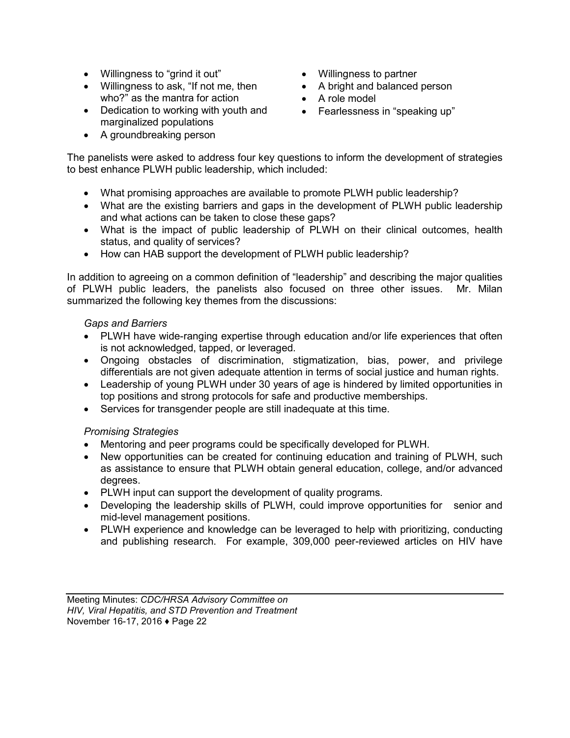- Willingness to "grind it out" Willingness to partner
- Willingness to ask, "If not me, then who?" as the mantra for action
- Dedication to working with youth and **•** Fearlessness in "speaking up" marginalized populations
- A groundbreaking person
- 
- A bright and balanced person
- A role model
- 

The panelists were asked to address four key questions to inform the development of strategies to best enhance PLWH public leadership, which included:

- What promising approaches are available to promote PLWH public leadership?
- What are the existing barriers and gaps in the development of PLWH public leadership and what actions can be taken to close these gaps?
- What is the impact of public leadership of PLWH on their clinical outcomes, health status, and quality of services?
- How can HAB support the development of PLWH public leadership?

In addition to agreeing on a common definition of "leadership" and describing the major qualities of PLWH public leaders, the panelists also focused on three other issues. Mr. Milan summarized the following key themes from the discussions:

## *Gaps and Barriers*

- PLWH have wide-ranging expertise through education and/or life experiences that often is not acknowledged, tapped, or leveraged.
- Ongoing obstacles of discrimination, stigmatization, bias, power, and privilege differentials are not given adequate attention in terms of social justice and human rights.
- Leadership of young PLWH under 30 years of age is hindered by limited opportunities in top positions and strong protocols for safe and productive memberships.
- Services for transgender people are still inadequate at this time.

## *Promising Strategies*

- Mentoring and peer programs could be specifically developed for PLWH.
- New opportunities can be created for continuing education and training of PLWH, such as assistance to ensure that PLWH obtain general education, college, and/or advanced degrees.
- PLWH input can support the development of quality programs.
- Developing the leadership skills of PLWH, could improve opportunities for senior and mid-level management positions.
- PLWH experience and knowledge can be leveraged to help with prioritizing, conducting and publishing research. For example, 309,000 peer-reviewed articles on HIV have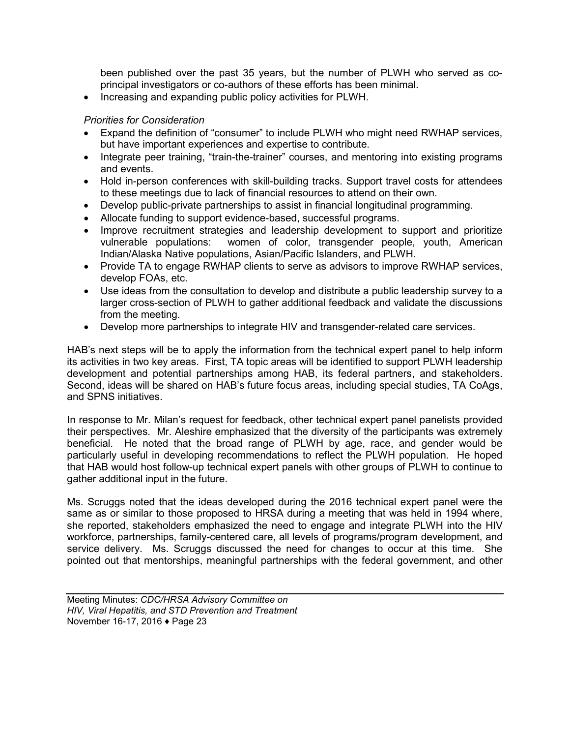been published over the past 35 years, but the number of PLWH who served as coprincipal investigators or co-authors of these efforts has been minimal.

• Increasing and expanding public policy activities for PLWH.

## *Priorities for Consideration*

- Expand the definition of "consumer" to include PLWH who might need RWHAP services, but have important experiences and expertise to contribute.
- Integrate peer training, "train-the-trainer" courses, and mentoring into existing programs and events.
- Hold in-person conferences with skill-building tracks. Support travel costs for attendees to these meetings due to lack of financial resources to attend on their own.
- Develop public-private partnerships to assist in financial longitudinal programming.
- Allocate funding to support evidence-based, successful programs.
- Improve recruitment strategies and leadership development to support and prioritize vulnerable populations: women of color, transgender people, youth, American Indian/Alaska Native populations, Asian/Pacific Islanders, and PLWH.
- Provide TA to engage RWHAP clients to serve as advisors to improve RWHAP services, develop FOAs, etc.
- Use ideas from the consultation to develop and distribute a public leadership survey to a larger cross-section of PLWH to gather additional feedback and validate the discussions from the meeting.
- Develop more partnerships to integrate HIV and transgender-related care services.

HAB's next steps will be to apply the information from the technical expert panel to help inform its activities in two key areas. First, TA topic areas will be identified to support PLWH leadership development and potential partnerships among HAB, its federal partners, and stakeholders. Second, ideas will be shared on HAB's future focus areas, including special studies, TA CoAgs, and SPNS initiatives.

In response to Mr. Milan's request for feedback, other technical expert panel panelists provided their perspectives. Mr. Aleshire emphasized that the diversity of the participants was extremely beneficial. He noted that the broad range of PLWH by age, race, and gender would be particularly useful in developing recommendations to reflect the PLWH population. He hoped that HAB would host follow-up technical expert panels with other groups of PLWH to continue to gather additional input in the future.

Ms. Scruggs noted that the ideas developed during the 2016 technical expert panel were the same as or similar to those proposed to HRSA during a meeting that was held in 1994 where, she reported, stakeholders emphasized the need to engage and integrate PLWH into the HIV workforce, partnerships, family-centered care, all levels of programs/program development, and service delivery. Ms. Scruggs discussed the need for changes to occur at this time. She pointed out that mentorships, meaningful partnerships with the federal government, and other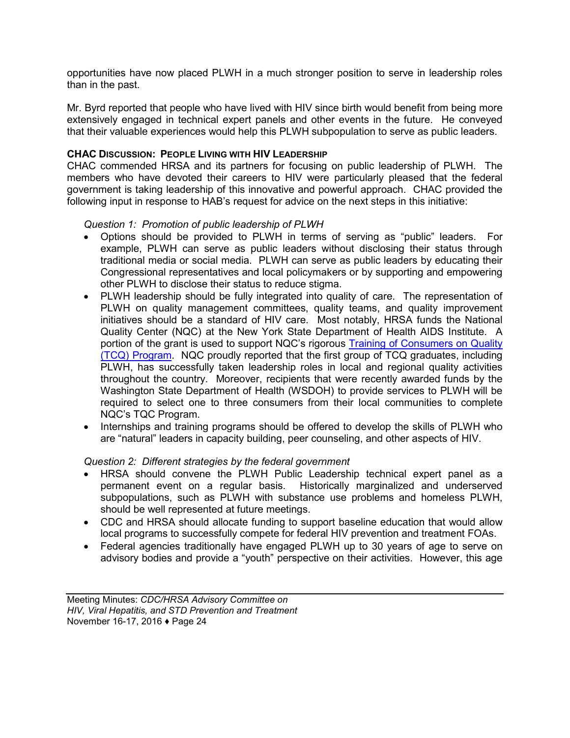opportunities have now placed PLWH in a much stronger position to serve in leadership roles than in the past.

Mr. Byrd reported that people who have lived with HIV since birth would benefit from being more extensively engaged in technical expert panels and other events in the future. He conveyed that their valuable experiences would help this PLWH subpopulation to serve as public leaders.

## **CHAC DISCUSSION: PEOPLE LIVING WITH HIV LEADERSHIP**

CHAC commended HRSA and its partners for focusing on public leadership of PLWH. The members who have devoted their careers to HIV were particularly pleased that the federal government is taking leadership of this innovative and powerful approach. CHAC provided the following input in response to HAB's request for advice on the next steps in this initiative:

#### *Question 1: Promotion of public leadership of PLWH*

- Options should be provided to PLWH in terms of serving as "public" leaders. For example, PLWH can serve as public leaders without disclosing their status through traditional media or social media. PLWH can serve as public leaders by educating their Congressional representatives and local policymakers or by supporting and empowering other PLWH to disclose their status to reduce stigma.
- PLWH leadership should be fully integrated into quality of care. The representation of PLWH on quality management committees, quality teams, and quality improvement initiatives should be a standard of HIV care. Most notably, HRSA funds the National Quality Center (NQC) at the New York State Department of Health AIDS Institute. A portion of the grant is used to support NQC's rigorous [Training of Consumers on Quality](http://nationalqualitycenter.org/nqc-activities/training-of-consumers-on-quality-tcq)  [\(TCQ\) Program.](http://nationalqualitycenter.org/nqc-activities/training-of-consumers-on-quality-tcq) NQC proudly reported that the first group of TCQ graduates, including PLWH, has successfully taken leadership roles in local and regional quality activities throughout the country. Moreover, recipients that were recently awarded funds by the Washington State Department of Health (WSDOH) to provide services to PLWH will be required to select one to three consumers from their local communities to complete NQC's TQC Program.
- Internships and training programs should be offered to develop the skills of PLWH who are "natural" leaders in capacity building, peer counseling, and other aspects of HIV.

## *Question 2: Different strategies by the federal government*

- HRSA should convene the PLWH Public Leadership technical expert panel as a permanent event on a regular basis. Historically marginalized and underserved subpopulations, such as PLWH with substance use problems and homeless PLWH, should be well represented at future meetings.
- CDC and HRSA should allocate funding to support baseline education that would allow local programs to successfully compete for federal HIV prevention and treatment FOAs.
- Federal agencies traditionally have engaged PLWH up to 30 years of age to serve on advisory bodies and provide a "youth" perspective on their activities. However, this age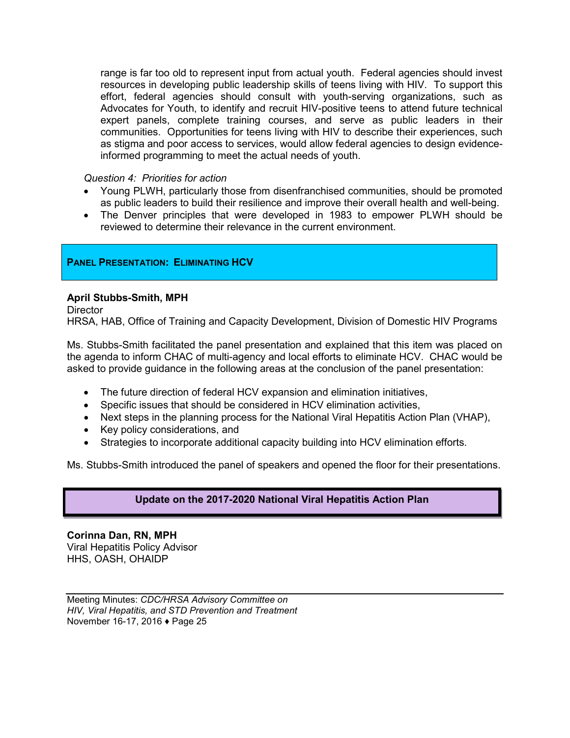range is far too old to represent input from actual youth. Federal agencies should invest resources in developing public leadership skills of teens living with HIV. To support this effort, federal agencies should consult with youth-serving organizations, such as Advocates for Youth, to identify and recruit HIV-positive teens to attend future technical expert panels, complete training courses, and serve as public leaders in their communities. Opportunities for teens living with HIV to describe their experiences, such as stigma and poor access to services, would allow federal agencies to design evidenceinformed programming to meet the actual needs of youth.

## *Question 4: Priorities for action*

- Young PLWH, particularly those from disenfranchised communities, should be promoted as public leaders to build their resilience and improve their overall health and well-being.
- The Denver principles that were developed in 1983 to empower PLWH should be reviewed to determine their relevance in the current environment.

## **PANEL PRESENTATION: ELIMINATING HCV**

## **April Stubbs-Smith, MPH**

**Director** 

HRSA, HAB, Office of Training and Capacity Development, Division of Domestic HIV Programs

Ms. Stubbs-Smith facilitated the panel presentation and explained that this item was placed on the agenda to inform CHAC of multi-agency and local efforts to eliminate HCV. CHAC would be asked to provide guidance in the following areas at the conclusion of the panel presentation:

- The future direction of federal HCV expansion and elimination initiatives,
- Specific issues that should be considered in HCV elimination activities,
- Next steps in the planning process for the National Viral Hepatitis Action Plan (VHAP),
- Key policy considerations, and
- Strategies to incorporate additional capacity building into HCV elimination efforts.

Ms. Stubbs-Smith introduced the panel of speakers and opened the floor for their presentations.

## **Update on the 2017-2020 National Viral Hepatitis Action Plan**

**Corinna Dan, RN, MPH** Viral Hepatitis Policy Advisor HHS, OASH, OHAIDP

Meeting Minutes: *CDC/HRSA Advisory Committee on HIV, Viral Hepatitis, and STD Prevention and Treatment* November 16-17, 2016 ♦ Page 25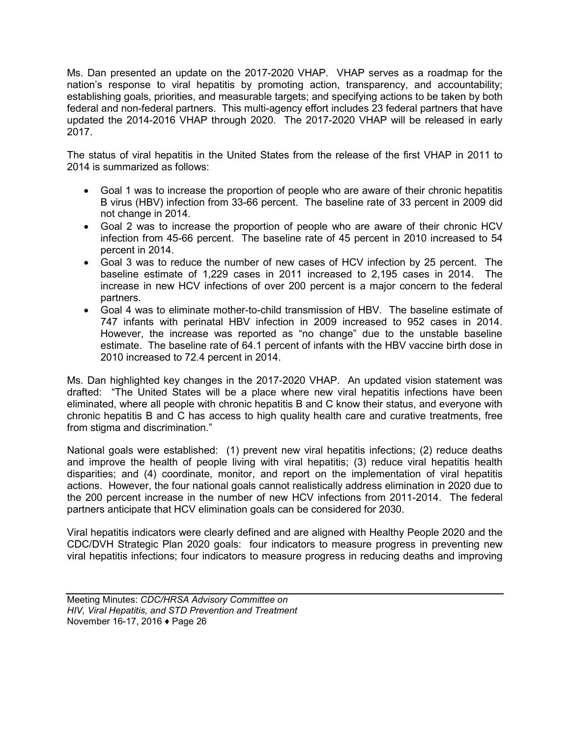Ms. Dan presented an update on the 2017-2020 VHAP. VHAP serves as a roadmap for the nation's response to viral hepatitis by promoting action, transparency, and accountability; establishing goals, priorities, and measurable targets; and specifying actions to be taken by both federal and non-federal partners. This multi-agency effort includes 23 federal partners that have updated the 2014-2016 VHAP through 2020. The 2017-2020 VHAP will be released in early 2017.

The status of viral hepatitis in the United States from the release of the first VHAP in 2011 to 2014 is summarized as follows:

- Goal 1 was to increase the proportion of people who are aware of their chronic hepatitis B virus (HBV) infection from 33-66 percent. The baseline rate of 33 percent in 2009 did not change in 2014.
- Goal 2 was to increase the proportion of people who are aware of their chronic HCV infection from 45-66 percent. The baseline rate of 45 percent in 2010 increased to 54 percent in 2014.
- Goal 3 was to reduce the number of new cases of HCV infection by 25 percent. The baseline estimate of 1,229 cases in 2011 increased to 2,195 cases in 2014. The increase in new HCV infections of over 200 percent is a major concern to the federal partners.
- Goal 4 was to eliminate mother-to-child transmission of HBV. The baseline estimate of 747 infants with perinatal HBV infection in 2009 increased to 952 cases in 2014. However, the increase was reported as "no change" due to the unstable baseline estimate. The baseline rate of 64.1 percent of infants with the HBV vaccine birth dose in 2010 increased to 72.4 percent in 2014.

Ms. Dan highlighted key changes in the 2017-2020 VHAP. An updated vision statement was drafted: "The United States will be a place where new viral hepatitis infections have been eliminated, where all people with chronic hepatitis B and C know their status, and everyone with chronic hepatitis B and C has access to high quality health care and curative treatments, free from stigma and discrimination."

National goals were established: (1) prevent new viral hepatitis infections; (2) reduce deaths and improve the health of people living with viral hepatitis; (3) reduce viral hepatitis health disparities; and (4) coordinate, monitor, and report on the implementation of viral hepatitis actions. However, the four national goals cannot realistically address elimination in 2020 due to the 200 percent increase in the number of new HCV infections from 2011-2014. The federal partners anticipate that HCV elimination goals can be considered for 2030.

Viral hepatitis indicators were clearly defined and are aligned with Healthy People 2020 and the CDC/DVH Strategic Plan 2020 goals: four indicators to measure progress in preventing new viral hepatitis infections; four indicators to measure progress in reducing deaths and improving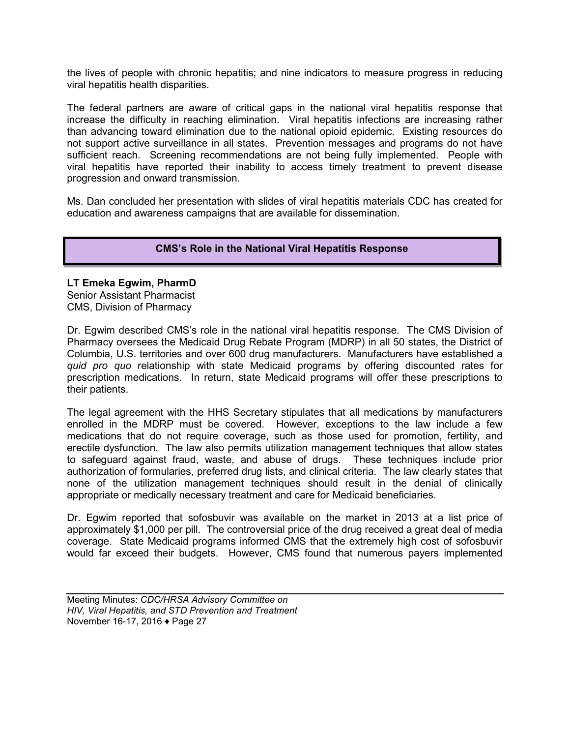the lives of people with chronic hepatitis; and nine indicators to measure progress in reducing viral hepatitis health disparities.

The federal partners are aware of critical gaps in the national viral hepatitis response that increase the difficulty in reaching elimination. Viral hepatitis infections are increasing rather than advancing toward elimination due to the national opioid epidemic. Existing resources do not support active surveillance in all states. Prevention messages and programs do not have sufficient reach. Screening recommendations are not being fully implemented. People with viral hepatitis have reported their inability to access timely treatment to prevent disease progression and onward transmission.

Ms. Dan concluded her presentation with slides of viral hepatitis materials CDC has created for education and awareness campaigns that are available for dissemination.

## **CMS's Role in the National Viral Hepatitis Response**

#### **LT Emeka Egwim, PharmD**

Senior Assistant Pharmacist CMS, Division of Pharmacy

Dr. Egwim described CMS's role in the national viral hepatitis response. The CMS Division of Pharmacy oversees the Medicaid Drug Rebate Program (MDRP) in all 50 states, the District of Columbia, U.S. territories and over 600 drug manufacturers. Manufacturers have established a *quid pro quo* relationship with state Medicaid programs by offering discounted rates for prescription medications. In return, state Medicaid programs will offer these prescriptions to their patients.

The legal agreement with the HHS Secretary stipulates that all medications by manufacturers enrolled in the MDRP must be covered. However, exceptions to the law include a few medications that do not require coverage, such as those used for promotion, fertility, and erectile dysfunction. The law also permits utilization management techniques that allow states to safeguard against fraud, waste, and abuse of drugs. These techniques include prior authorization of formularies, preferred drug lists, and clinical criteria. The law clearly states that none of the utilization management techniques should result in the denial of clinically appropriate or medically necessary treatment and care for Medicaid beneficiaries.

Dr. Egwim reported that sofosbuvir was available on the market in 2013 at a list price of approximately \$1,000 per pill. The controversial price of the drug received a great deal of media coverage. State Medicaid programs informed CMS that the extremely high cost of sofosbuvir would far exceed their budgets. However, CMS found that numerous payers implemented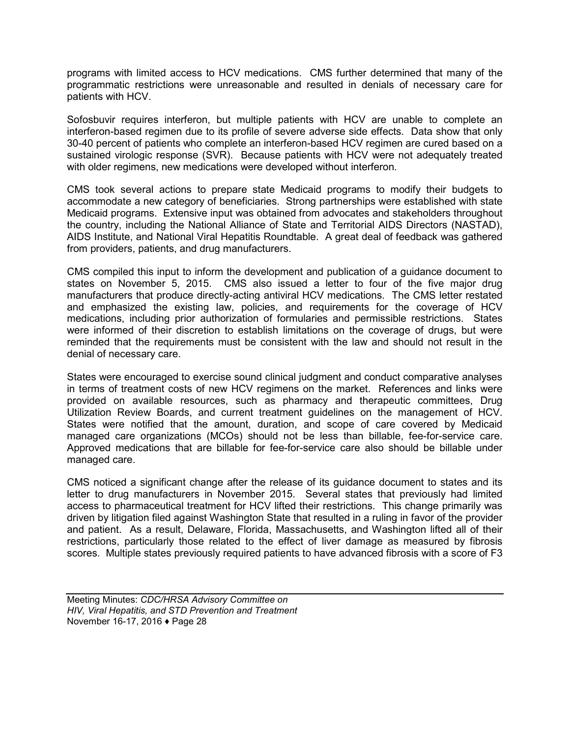programs with limited access to HCV medications. CMS further determined that many of the programmatic restrictions were unreasonable and resulted in denials of necessary care for patients with HCV.

Sofosbuvir requires interferon, but multiple patients with HCV are unable to complete an interferon-based regimen due to its profile of severe adverse side effects. Data show that only 30-40 percent of patients who complete an interferon-based HCV regimen are cured based on a sustained virologic response (SVR). Because patients with HCV were not adequately treated with older regimens, new medications were developed without interferon.

CMS took several actions to prepare state Medicaid programs to modify their budgets to accommodate a new category of beneficiaries. Strong partnerships were established with state Medicaid programs. Extensive input was obtained from advocates and stakeholders throughout the country, including the National Alliance of State and Territorial AIDS Directors (NASTAD), AIDS Institute, and National Viral Hepatitis Roundtable. A great deal of feedback was gathered from providers, patients, and drug manufacturers.

CMS compiled this input to inform the development and publication of a guidance document to states on November 5, 2015. CMS also issued a letter to four of the five major drug manufacturers that produce directly-acting antiviral HCV medications. The CMS letter restated and emphasized the existing law, policies, and requirements for the coverage of HCV medications, including prior authorization of formularies and permissible restrictions. States were informed of their discretion to establish limitations on the coverage of drugs, but were reminded that the requirements must be consistent with the law and should not result in the denial of necessary care.

States were encouraged to exercise sound clinical judgment and conduct comparative analyses in terms of treatment costs of new HCV regimens on the market. References and links were provided on available resources, such as pharmacy and therapeutic committees, Drug Utilization Review Boards, and current treatment guidelines on the management of HCV. States were notified that the amount, duration, and scope of care covered by Medicaid managed care organizations (MCOs) should not be less than billable, fee-for-service care. Approved medications that are billable for fee-for-service care also should be billable under managed care.

CMS noticed a significant change after the release of its guidance document to states and its letter to drug manufacturers in November 2015. Several states that previously had limited access to pharmaceutical treatment for HCV lifted their restrictions. This change primarily was driven by litigation filed against Washington State that resulted in a ruling in favor of the provider and patient. As a result, Delaware, Florida, Massachusetts, and Washington lifted all of their restrictions, particularly those related to the effect of liver damage as measured by fibrosis scores. Multiple states previously required patients to have advanced fibrosis with a score of F3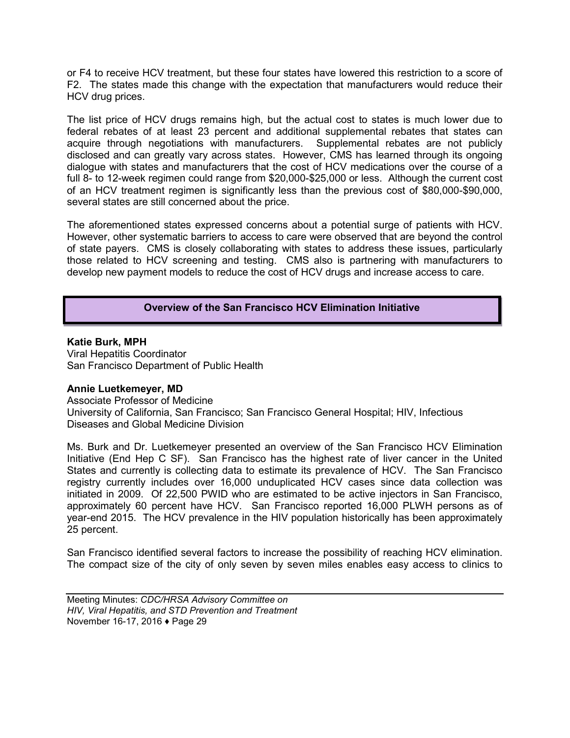or F4 to receive HCV treatment, but these four states have lowered this restriction to a score of F2. The states made this change with the expectation that manufacturers would reduce their HCV drug prices.

The list price of HCV drugs remains high, but the actual cost to states is much lower due to federal rebates of at least 23 percent and additional supplemental rebates that states can acquire through negotiations with manufacturers. Supplemental rebates are not publicly disclosed and can greatly vary across states. However, CMS has learned through its ongoing dialogue with states and manufacturers that the cost of HCV medications over the course of a full 8- to 12-week regimen could range from \$20,000-\$25,000 or less. Although the current cost of an HCV treatment regimen is significantly less than the previous cost of \$80,000-\$90,000, several states are still concerned about the price.

The aforementioned states expressed concerns about a potential surge of patients with HCV. However, other systematic barriers to access to care were observed that are beyond the control of state payers. CMS is closely collaborating with states to address these issues, particularly those related to HCV screening and testing. CMS also is partnering with manufacturers to develop new payment models to reduce the cost of HCV drugs and increase access to care.

## **Overview of the San Francisco HCV Elimination Initiative**

**Katie Burk, MPH** Viral Hepatitis Coordinator San Francisco Department of Public Health

#### **Annie Luetkemeyer, MD**

Associate Professor of Medicine University of California, San Francisco; San Francisco General Hospital; HIV, Infectious Diseases and Global Medicine Division

Ms. Burk and Dr. Luetkemeyer presented an overview of the San Francisco HCV Elimination Initiative (End Hep C SF). San Francisco has the highest rate of liver cancer in the United States and currently is collecting data to estimate its prevalence of HCV. The San Francisco registry currently includes over 16,000 unduplicated HCV cases since data collection was initiated in 2009. Of 22,500 PWID who are estimated to be active injectors in San Francisco, approximately 60 percent have HCV. San Francisco reported 16,000 PLWH persons as of year-end 2015. The HCV prevalence in the HIV population historically has been approximately 25 percent.

San Francisco identified several factors to increase the possibility of reaching HCV elimination. The compact size of the city of only seven by seven miles enables easy access to clinics to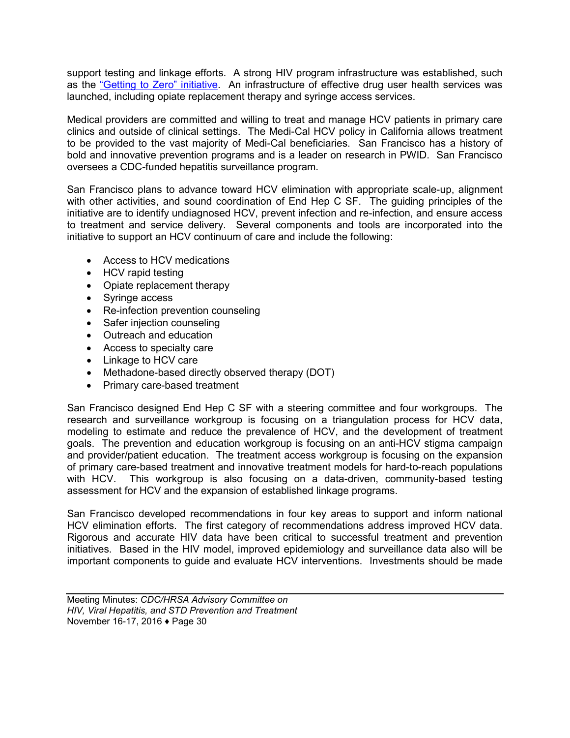support testing and linkage efforts. A strong HIV program infrastructure was established, such as the ["Getting to Zero" initiative.](http://www.gettingtozerosf.org/) An infrastructure of effective drug user health services was launched, including opiate replacement therapy and syringe access services.

Medical providers are committed and willing to treat and manage HCV patients in primary care clinics and outside of clinical settings. The Medi-Cal HCV policy in California allows treatment to be provided to the vast majority of Medi-Cal beneficiaries. San Francisco has a history of bold and innovative prevention programs and is a leader on research in PWID. San Francisco oversees a CDC-funded hepatitis surveillance program.

San Francisco plans to advance toward HCV elimination with appropriate scale-up, alignment with other activities, and sound coordination of End Hep C SF. The guiding principles of the initiative are to identify undiagnosed HCV, prevent infection and re-infection, and ensure access to treatment and service delivery. Several components and tools are incorporated into the initiative to support an HCV continuum of care and include the following:

- Access to HCV medications
- HCV rapid testing
- Opiate replacement therapy
- Syringe access
- Re-infection prevention counseling
- Safer injection counseling
- Outreach and education
- Access to specialty care
- Linkage to HCV care
- Methadone-based directly observed therapy (DOT)
- Primary care-based treatment

San Francisco designed End Hep C SF with a steering committee and four workgroups. The research and surveillance workgroup is focusing on a triangulation process for HCV data, modeling to estimate and reduce the prevalence of HCV, and the development of treatment goals. The prevention and education workgroup is focusing on an anti-HCV stigma campaign and provider/patient education. The treatment access workgroup is focusing on the expansion of primary care-based treatment and innovative treatment models for hard-to-reach populations with HCV. This workgroup is also focusing on a data-driven, community-based testing assessment for HCV and the expansion of established linkage programs.

San Francisco developed recommendations in four key areas to support and inform national HCV elimination efforts. The first category of recommendations address improved HCV data. Rigorous and accurate HIV data have been critical to successful treatment and prevention initiatives. Based in the HIV model, improved epidemiology and surveillance data also will be important components to guide and evaluate HCV interventions. Investments should be made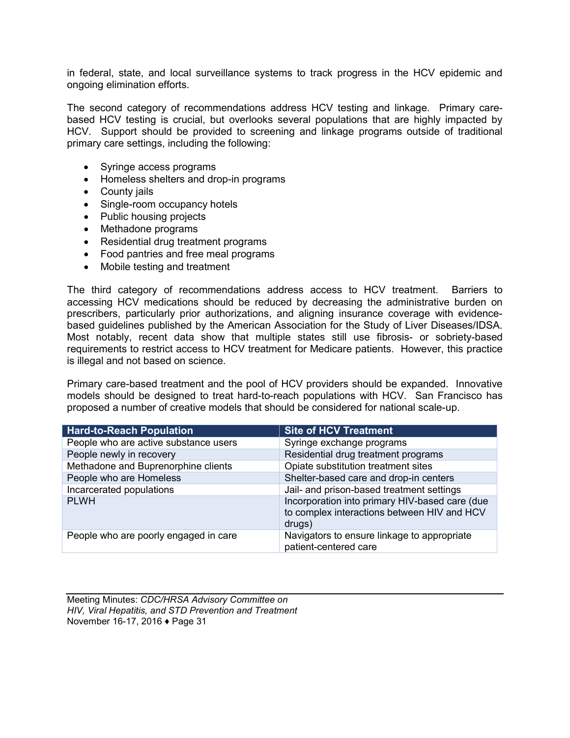in federal, state, and local surveillance systems to track progress in the HCV epidemic and ongoing elimination efforts.

The second category of recommendations address HCV testing and linkage. Primary carebased HCV testing is crucial, but overlooks several populations that are highly impacted by HCV. Support should be provided to screening and linkage programs outside of traditional primary care settings, including the following:

- Syringe access programs
- Homeless shelters and drop-in programs
- County jails
- Single-room occupancy hotels
- Public housing projects
- Methadone programs
- Residential drug treatment programs
- Food pantries and free meal programs
- Mobile testing and treatment

The third category of recommendations address access to HCV treatment. Barriers to accessing HCV medications should be reduced by decreasing the administrative burden on prescribers, particularly prior authorizations, and aligning insurance coverage with evidencebased guidelines published by the American Association for the Study of Liver Diseases/IDSA. Most notably, recent data show that multiple states still use fibrosis- or sobriety-based requirements to restrict access to HCV treatment for Medicare patients. However, this practice is illegal and not based on science.

Primary care-based treatment and the pool of HCV providers should be expanded. Innovative models should be designed to treat hard-to-reach populations with HCV. San Francisco has proposed a number of creative models that should be considered for national scale-up.

| <b>Hard-to-Reach Population</b>       | <b>Site of HCV Treatment</b>                                                                            |
|---------------------------------------|---------------------------------------------------------------------------------------------------------|
| People who are active substance users | Syringe exchange programs                                                                               |
| People newly in recovery              | Residential drug treatment programs                                                                     |
| Methadone and Buprenorphine clients   | Opiate substitution treatment sites                                                                     |
| People who are Homeless               | Shelter-based care and drop-in centers                                                                  |
| Incarcerated populations              | Jail- and prison-based treatment settings                                                               |
| <b>PLWH</b>                           | Incorporation into primary HIV-based care (due<br>to complex interactions between HIV and HCV<br>drugs) |
| People who are poorly engaged in care | Navigators to ensure linkage to appropriate<br>patient-centered care                                    |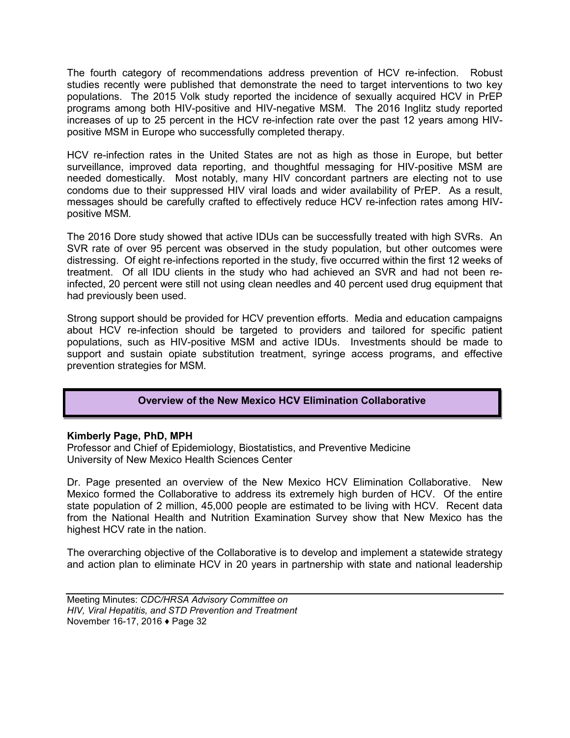The fourth category of recommendations address prevention of HCV re-infection. Robust studies recently were published that demonstrate the need to target interventions to two key populations. The 2015 Volk study reported the incidence of sexually acquired HCV in PrEP programs among both HIV-positive and HIV-negative MSM. The 2016 Inglitz study reported increases of up to 25 percent in the HCV re-infection rate over the past 12 years among HIVpositive MSM in Europe who successfully completed therapy.

HCV re-infection rates in the United States are not as high as those in Europe, but better surveillance, improved data reporting, and thoughtful messaging for HIV-positive MSM are needed domestically. Most notably, many HIV concordant partners are electing not to use condoms due to their suppressed HIV viral loads and wider availability of PrEP. As a result, messages should be carefully crafted to effectively reduce HCV re-infection rates among HIVpositive MSM.

The 2016 Dore study showed that active IDUs can be successfully treated with high SVRs. An SVR rate of over 95 percent was observed in the study population, but other outcomes were distressing. Of eight re-infections reported in the study, five occurred within the first 12 weeks of treatment. Of all IDU clients in the study who had achieved an SVR and had not been reinfected, 20 percent were still not using clean needles and 40 percent used drug equipment that had previously been used.

Strong support should be provided for HCV prevention efforts. Media and education campaigns about HCV re-infection should be targeted to providers and tailored for specific patient populations, such as HIV-positive MSM and active IDUs. Investments should be made to support and sustain opiate substitution treatment, syringe access programs, and effective prevention strategies for MSM.

## **Overview of the New Mexico HCV Elimination Collaborative**

## **Kimberly Page, PhD, MPH**

Professor and Chief of Epidemiology, Biostatistics, and Preventive Medicine University of New Mexico Health Sciences Center

Dr. Page presented an overview of the New Mexico HCV Elimination Collaborative. New Mexico formed the Collaborative to address its extremely high burden of HCV. Of the entire state population of 2 million, 45,000 people are estimated to be living with HCV. Recent data from the National Health and Nutrition Examination Survey show that New Mexico has the highest HCV rate in the nation.

The overarching objective of the Collaborative is to develop and implement a statewide strategy and action plan to eliminate HCV in 20 years in partnership with state and national leadership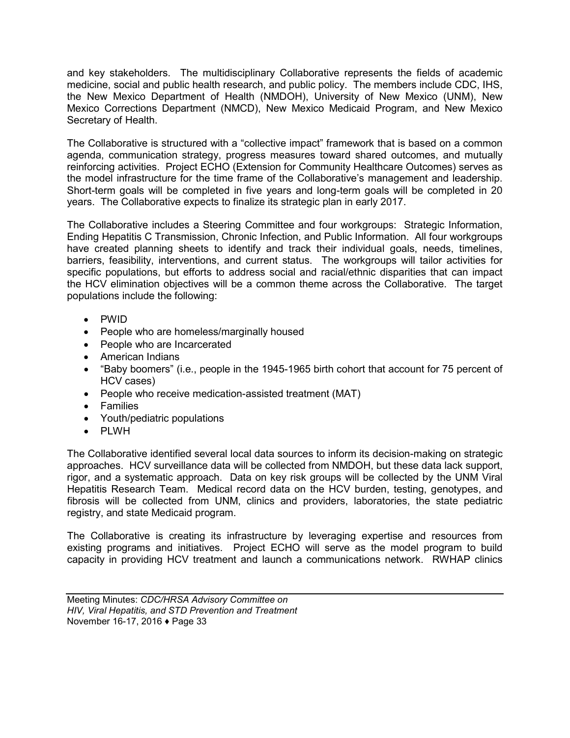and key stakeholders. The multidisciplinary Collaborative represents the fields of academic medicine, social and public health research, and public policy. The members include CDC, IHS, the New Mexico Department of Health (NMDOH), University of New Mexico (UNM), New Mexico Corrections Department (NMCD), New Mexico Medicaid Program, and New Mexico Secretary of Health.

The Collaborative is structured with a "collective impact" framework that is based on a common agenda, communication strategy, progress measures toward shared outcomes, and mutually reinforcing activities. Project ECHO (Extension for Community Healthcare Outcomes) serves as the model infrastructure for the time frame of the Collaborative's management and leadership. Short-term goals will be completed in five years and long-term goals will be completed in 20 years. The Collaborative expects to finalize its strategic plan in early 2017.

The Collaborative includes a Steering Committee and four workgroups: Strategic Information, Ending Hepatitis C Transmission, Chronic Infection, and Public Information. All four workgroups have created planning sheets to identify and track their individual goals, needs, timelines, barriers, feasibility, interventions, and current status. The workgroups will tailor activities for specific populations, but efforts to address social and racial/ethnic disparities that can impact the HCV elimination objectives will be a common theme across the Collaborative. The target populations include the following:

- PWID
- People who are homeless/marginally housed
- People who are Incarcerated
- American Indians
- "Baby boomers" (i.e., people in the 1945-1965 birth cohort that account for 75 percent of HCV cases)
- People who receive medication-assisted treatment (MAT)
- Families
- Youth/pediatric populations
- PLWH

The Collaborative identified several local data sources to inform its decision-making on strategic approaches. HCV surveillance data will be collected from NMDOH, but these data lack support, rigor, and a systematic approach. Data on key risk groups will be collected by the UNM Viral Hepatitis Research Team. Medical record data on the HCV burden, testing, genotypes, and fibrosis will be collected from UNM, clinics and providers, laboratories, the state pediatric registry, and state Medicaid program.

The Collaborative is creating its infrastructure by leveraging expertise and resources from existing programs and initiatives. Project ECHO will serve as the model program to build capacity in providing HCV treatment and launch a communications network. RWHAP clinics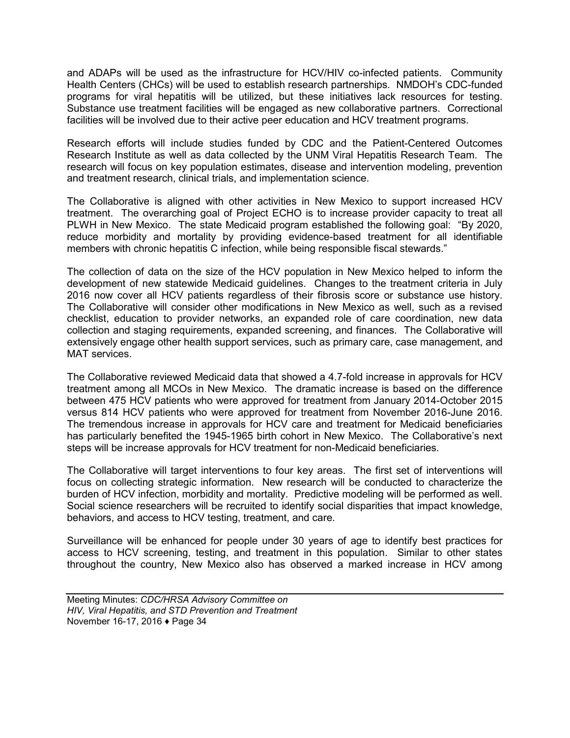and ADAPs will be used as the infrastructure for HCV/HIV co-infected patients. Community Health Centers (CHCs) will be used to establish research partnerships. NMDOH's CDC-funded programs for viral hepatitis will be utilized, but these initiatives lack resources for testing. Substance use treatment facilities will be engaged as new collaborative partners. Correctional facilities will be involved due to their active peer education and HCV treatment programs.

Research efforts will include studies funded by CDC and the Patient-Centered Outcomes Research Institute as well as data collected by the UNM Viral Hepatitis Research Team. The research will focus on key population estimates, disease and intervention modeling, prevention and treatment research, clinical trials, and implementation science.

The Collaborative is aligned with other activities in New Mexico to support increased HCV treatment. The overarching goal of Project ECHO is to increase provider capacity to treat all PLWH in New Mexico. The state Medicaid program established the following goal: "By 2020, reduce morbidity and mortality by providing evidence-based treatment for all identifiable members with chronic hepatitis C infection, while being responsible fiscal stewards."

The collection of data on the size of the HCV population in New Mexico helped to inform the development of new statewide Medicaid guidelines. Changes to the treatment criteria in July 2016 now cover all HCV patients regardless of their fibrosis score or substance use history. The Collaborative will consider other modifications in New Mexico as well, such as a revised checklist, education to provider networks, an expanded role of care coordination, new data collection and staging requirements, expanded screening, and finances. The Collaborative will extensively engage other health support services, such as primary care, case management, and MAT services.

The Collaborative reviewed Medicaid data that showed a 4.7-fold increase in approvals for HCV treatment among all MCOs in New Mexico. The dramatic increase is based on the difference between 475 HCV patients who were approved for treatment from January 2014-October 2015 versus 814 HCV patients who were approved for treatment from November 2016-June 2016. The tremendous increase in approvals for HCV care and treatment for Medicaid beneficiaries has particularly benefited the 1945-1965 birth cohort in New Mexico. The Collaborative's next steps will be increase approvals for HCV treatment for non-Medicaid beneficiaries.

The Collaborative will target interventions to four key areas. The first set of interventions will focus on collecting strategic information. New research will be conducted to characterize the burden of HCV infection, morbidity and mortality. Predictive modeling will be performed as well. Social science researchers will be recruited to identify social disparities that impact knowledge, behaviors, and access to HCV testing, treatment, and care.

Surveillance will be enhanced for people under 30 years of age to identify best practices for access to HCV screening, testing, and treatment in this population. Similar to other states throughout the country, New Mexico also has observed a marked increase in HCV among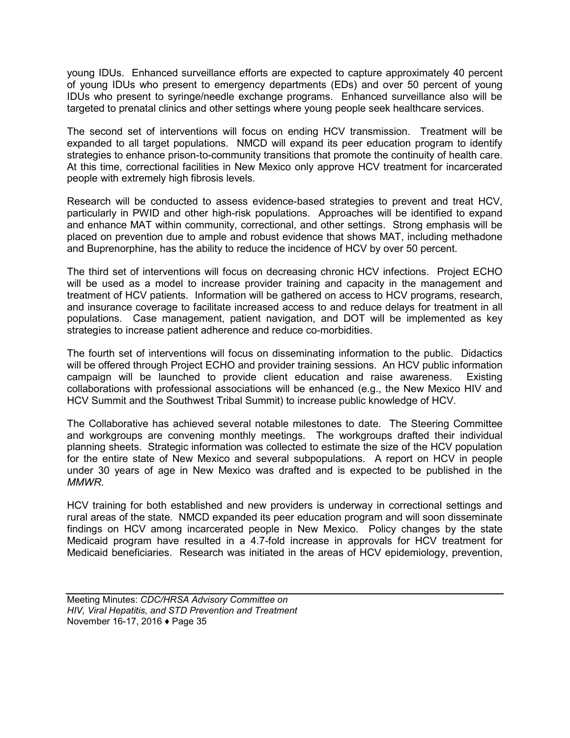young IDUs. Enhanced surveillance efforts are expected to capture approximately 40 percent of young IDUs who present to emergency departments (EDs) and over 50 percent of young IDUs who present to syringe/needle exchange programs. Enhanced surveillance also will be targeted to prenatal clinics and other settings where young people seek healthcare services.

The second set of interventions will focus on ending HCV transmission. Treatment will be expanded to all target populations. NMCD will expand its peer education program to identify strategies to enhance prison-to-community transitions that promote the continuity of health care. At this time, correctional facilities in New Mexico only approve HCV treatment for incarcerated people with extremely high fibrosis levels.

Research will be conducted to assess evidence-based strategies to prevent and treat HCV, particularly in PWID and other high-risk populations. Approaches will be identified to expand and enhance MAT within community, correctional, and other settings. Strong emphasis will be placed on prevention due to ample and robust evidence that shows MAT, including methadone and Buprenorphine, has the ability to reduce the incidence of HCV by over 50 percent.

The third set of interventions will focus on decreasing chronic HCV infections. Project ECHO will be used as a model to increase provider training and capacity in the management and treatment of HCV patients. Information will be gathered on access to HCV programs, research, and insurance coverage to facilitate increased access to and reduce delays for treatment in all populations. Case management, patient navigation, and DOT will be implemented as key strategies to increase patient adherence and reduce co-morbidities.

The fourth set of interventions will focus on disseminating information to the public. Didactics will be offered through Project ECHO and provider training sessions. An HCV public information campaign will be launched to provide client education and raise awareness. Existing collaborations with professional associations will be enhanced (e.g., the New Mexico HIV and HCV Summit and the Southwest Tribal Summit) to increase public knowledge of HCV.

The Collaborative has achieved several notable milestones to date. The Steering Committee and workgroups are convening monthly meetings. The workgroups drafted their individual planning sheets. Strategic information was collected to estimate the size of the HCV population for the entire state of New Mexico and several subpopulations. A report on HCV in people under 30 years of age in New Mexico was drafted and is expected to be published in the *MMWR*.

HCV training for both established and new providers is underway in correctional settings and rural areas of the state. NMCD expanded its peer education program and will soon disseminate findings on HCV among incarcerated people in New Mexico. Policy changes by the state Medicaid program have resulted in a 4.7-fold increase in approvals for HCV treatment for Medicaid beneficiaries. Research was initiated in the areas of HCV epidemiology, prevention,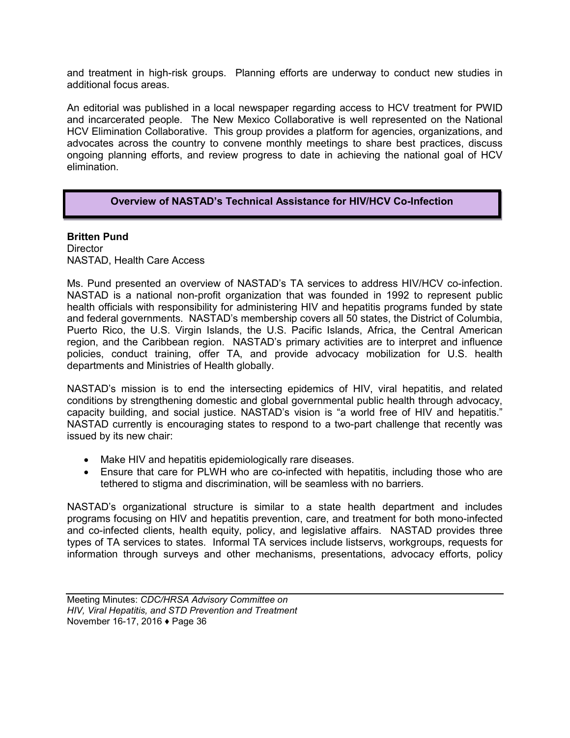and treatment in high-risk groups. Planning efforts are underway to conduct new studies in additional focus areas.

An editorial was published in a local newspaper regarding access to HCV treatment for PWID and incarcerated people. The New Mexico Collaborative is well represented on the National HCV Elimination Collaborative. This group provides a platform for agencies, organizations, and advocates across the country to convene monthly meetings to share best practices, discuss ongoing planning efforts, and review progress to date in achieving the national goal of HCV elimination.

#### **Overview of NASTAD's Technical Assistance for HIV/HCV Co-Infection**

**Britten Pund Director** NASTAD, Health Care Access

Ms. Pund presented an overview of NASTAD's TA services to address HIV/HCV co-infection. NASTAD is a national non-profit organization that was founded in 1992 to represent public health officials with responsibility for administering HIV and hepatitis programs funded by state and federal governments. NASTAD's membership covers all 50 states, the District of Columbia, Puerto Rico, the U.S. Virgin Islands, the U.S. Pacific Islands, Africa, the Central American region, and the Caribbean region. NASTAD's primary activities are to interpret and influence policies, conduct training, offer TA, and provide advocacy mobilization for U.S. health departments and Ministries of Health globally.

NASTAD's mission is to end the intersecting epidemics of HIV, viral hepatitis, and related conditions by strengthening domestic and global governmental public health through advocacy, capacity building, and social justice. NASTAD's vision is "a world free of HIV and hepatitis." NASTAD currently is encouraging states to respond to a two-part challenge that recently was issued by its new chair:

- Make HIV and hepatitis epidemiologically rare diseases.
- Ensure that care for PLWH who are co-infected with hepatitis, including those who are tethered to stigma and discrimination, will be seamless with no barriers.

NASTAD's organizational structure is similar to a state health department and includes programs focusing on HIV and hepatitis prevention, care, and treatment for both mono-infected and co-infected clients, health equity, policy, and legislative affairs. NASTAD provides three types of TA services to states. Informal TA services include listservs, workgroups, requests for information through surveys and other mechanisms, presentations, advocacy efforts, policy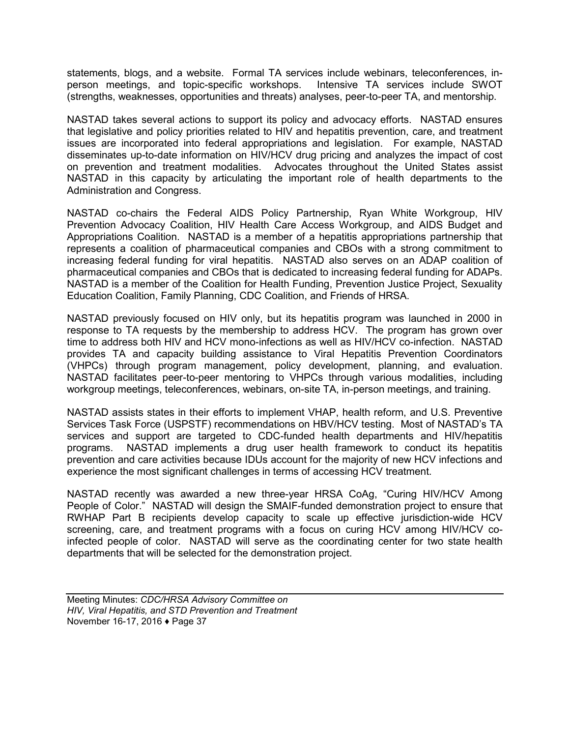statements, blogs, and a website. Formal TA services include webinars, teleconferences, in-<br>person meetings, and topic-specific workshops. Intensive TA services include SWOT person meetings, and topic-specific workshops. (strengths, weaknesses, opportunities and threats) analyses, peer-to-peer TA, and mentorship.

NASTAD takes several actions to support its policy and advocacy efforts. NASTAD ensures that legislative and policy priorities related to HIV and hepatitis prevention, care, and treatment issues are incorporated into federal appropriations and legislation. For example, NASTAD disseminates up-to-date information on HIV/HCV drug pricing and analyzes the impact of cost on prevention and treatment modalities. Advocates throughout the United States assist NASTAD in this capacity by articulating the important role of health departments to the Administration and Congress.

NASTAD co-chairs the Federal AIDS Policy Partnership, Ryan White Workgroup, HIV Prevention Advocacy Coalition, HIV Health Care Access Workgroup, and AIDS Budget and Appropriations Coalition. NASTAD is a member of a hepatitis appropriations partnership that represents a coalition of pharmaceutical companies and CBOs with a strong commitment to increasing federal funding for viral hepatitis. NASTAD also serves on an ADAP coalition of pharmaceutical companies and CBOs that is dedicated to increasing federal funding for ADAPs. NASTAD is a member of the Coalition for Health Funding, Prevention Justice Project, Sexuality Education Coalition, Family Planning, CDC Coalition, and Friends of HRSA.

NASTAD previously focused on HIV only, but its hepatitis program was launched in 2000 in response to TA requests by the membership to address HCV. The program has grown over time to address both HIV and HCV mono-infections as well as HIV/HCV co-infection. NASTAD provides TA and capacity building assistance to Viral Hepatitis Prevention Coordinators (VHPCs) through program management, policy development, planning, and evaluation. NASTAD facilitates peer-to-peer mentoring to VHPCs through various modalities, including workgroup meetings, teleconferences, webinars, on-site TA, in-person meetings, and training.

NASTAD assists states in their efforts to implement VHAP, health reform, and U.S. Preventive Services Task Force (USPSTF) recommendations on HBV/HCV testing. Most of NASTAD's TA services and support are targeted to CDC-funded health departments and HIV/hepatitis programs. NASTAD implements a drug user health framework to conduct its hepatitis prevention and care activities because IDUs account for the majority of new HCV infections and experience the most significant challenges in terms of accessing HCV treatment.

NASTAD recently was awarded a new three-year HRSA CoAg, "Curing HIV/HCV Among People of Color." NASTAD will design the SMAIF-funded demonstration project to ensure that RWHAP Part B recipients develop capacity to scale up effective jurisdiction-wide HCV screening, care, and treatment programs with a focus on curing HCV among HIV/HCV coinfected people of color. NASTAD will serve as the coordinating center for two state health departments that will be selected for the demonstration project.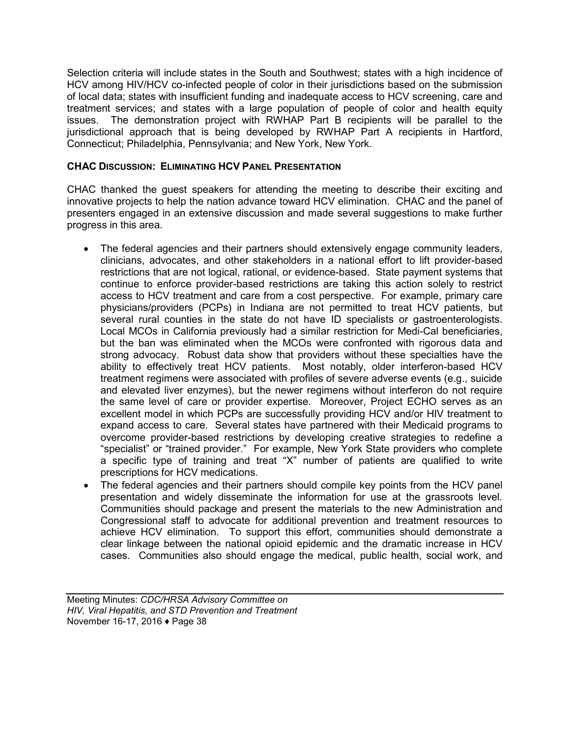Selection criteria will include states in the South and Southwest; states with a high incidence of HCV among HIV/HCV co-infected people of color in their jurisdictions based on the submission of local data; states with insufficient funding and inadequate access to HCV screening, care and treatment services; and states with a large population of people of color and health equity issues. The demonstration project with RWHAP Part B recipients will be parallel to the jurisdictional approach that is being developed by RWHAP Part A recipients in Hartford, Connecticut; Philadelphia, Pennsylvania; and New York, New York.

## **CHAC DISCUSSION: ELIMINATING HCV PANEL PRESENTATION**

CHAC thanked the guest speakers for attending the meeting to describe their exciting and innovative projects to help the nation advance toward HCV elimination. CHAC and the panel of presenters engaged in an extensive discussion and made several suggestions to make further progress in this area.

- The federal agencies and their partners should extensively engage community leaders, clinicians, advocates, and other stakeholders in a national effort to lift provider-based restrictions that are not logical, rational, or evidence-based. State payment systems that continue to enforce provider-based restrictions are taking this action solely to restrict access to HCV treatment and care from a cost perspective. For example, primary care physicians/providers (PCPs) in Indiana are not permitted to treat HCV patients, but several rural counties in the state do not have ID specialists or gastroenterologists. Local MCOs in California previously had a similar restriction for Medi-Cal beneficiaries, but the ban was eliminated when the MCOs were confronted with rigorous data and strong advocacy. Robust data show that providers without these specialties have the ability to effectively treat HCV patients. Most notably, older interferon-based HCV treatment regimens were associated with profiles of severe adverse events (e.g., suicide and elevated liver enzymes), but the newer regimens without interferon do not require the same level of care or provider expertise. Moreover, Project ECHO serves as an excellent model in which PCPs are successfully providing HCV and/or HIV treatment to expand access to care. Several states have partnered with their Medicaid programs to overcome provider-based restrictions by developing creative strategies to redefine a "specialist" or "trained provider." For example, New York State providers who complete a specific type of training and treat "X" number of patients are qualified to write prescriptions for HCV medications.
- The federal agencies and their partners should compile key points from the HCV panel presentation and widely disseminate the information for use at the grassroots level. Communities should package and present the materials to the new Administration and Congressional staff to advocate for additional prevention and treatment resources to achieve HCV elimination. To support this effort, communities should demonstrate a clear linkage between the national opioid epidemic and the dramatic increase in HCV cases. Communities also should engage the medical, public health, social work, and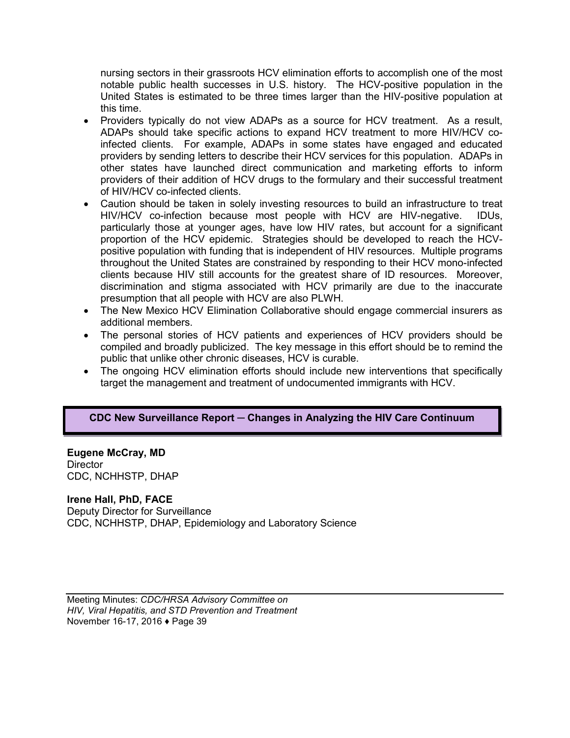nursing sectors in their grassroots HCV elimination efforts to accomplish one of the most notable public health successes in U.S. history. The HCV-positive population in the United States is estimated to be three times larger than the HIV-positive population at this time.

- Providers typically do not view ADAPs as a source for HCV treatment. As a result, ADAPs should take specific actions to expand HCV treatment to more HIV/HCV coinfected clients. For example, ADAPs in some states have engaged and educated providers by sending letters to describe their HCV services for this population. ADAPs in other states have launched direct communication and marketing efforts to inform providers of their addition of HCV drugs to the formulary and their successful treatment of HIV/HCV co-infected clients.
- Caution should be taken in solely investing resources to build an infrastructure to treat HIV/HCV co-infection because most people with HCV are HIV-negative. IDUs, particularly those at younger ages, have low HIV rates, but account for a significant proportion of the HCV epidemic. Strategies should be developed to reach the HCVpositive population with funding that is independent of HIV resources. Multiple programs throughout the United States are constrained by responding to their HCV mono-infected clients because HIV still accounts for the greatest share of ID resources. Moreover, discrimination and stigma associated with HCV primarily are due to the inaccurate presumption that all people with HCV are also PLWH.
- The New Mexico HCV Elimination Collaborative should engage commercial insurers as additional members.
- The personal stories of HCV patients and experiences of HCV providers should be compiled and broadly publicized. The key message in this effort should be to remind the public that unlike other chronic diseases, HCV is curable.
- The ongoing HCV elimination efforts should include new interventions that specifically target the management and treatment of undocumented immigrants with HCV.

## **CDC New Surveillance Report ─ Changes in Analyzing the HIV Care Continuum**

**Eugene McCray, MD Director** CDC, NCHHSTP, DHAP

#### **Irene Hall, PhD, FACE**

Deputy Director for Surveillance CDC, NCHHSTP, DHAP, Epidemiology and Laboratory Science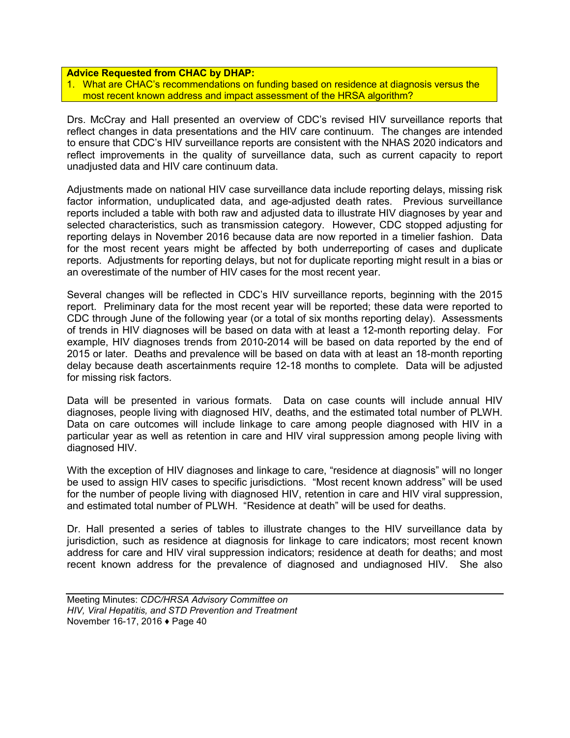#### **Advice Requested from CHAC by DHAP:**

1. What are CHAC's recommendations on funding based on residence at diagnosis versus the most recent known address and impact assessment of the HRSA algorithm?

Drs. McCray and Hall presented an overview of CDC's revised HIV surveillance reports that reflect changes in data presentations and the HIV care continuum. The changes are intended to ensure that CDC's HIV surveillance reports are consistent with the NHAS 2020 indicators and reflect improvements in the quality of surveillance data, such as current capacity to report unadjusted data and HIV care continuum data.

Adjustments made on national HIV case surveillance data include reporting delays, missing risk factor information, unduplicated data, and age-adjusted death rates. Previous surveillance reports included a table with both raw and adjusted data to illustrate HIV diagnoses by year and selected characteristics, such as transmission category. However, CDC stopped adjusting for reporting delays in November 2016 because data are now reported in a timelier fashion. Data for the most recent years might be affected by both underreporting of cases and duplicate reports. Adjustments for reporting delays, but not for duplicate reporting might result in a bias or an overestimate of the number of HIV cases for the most recent year.

Several changes will be reflected in CDC's HIV surveillance reports, beginning with the 2015 report. Preliminary data for the most recent year will be reported; these data were reported to CDC through June of the following year (or a total of six months reporting delay). Assessments of trends in HIV diagnoses will be based on data with at least a 12-month reporting delay. For example, HIV diagnoses trends from 2010-2014 will be based on data reported by the end of 2015 or later. Deaths and prevalence will be based on data with at least an 18-month reporting delay because death ascertainments require 12-18 months to complete. Data will be adjusted for missing risk factors.

Data will be presented in various formats. Data on case counts will include annual HIV diagnoses, people living with diagnosed HIV, deaths, and the estimated total number of PLWH. Data on care outcomes will include linkage to care among people diagnosed with HIV in a particular year as well as retention in care and HIV viral suppression among people living with diagnosed HIV.

With the exception of HIV diagnoses and linkage to care, "residence at diagnosis" will no longer be used to assign HIV cases to specific jurisdictions. "Most recent known address" will be used for the number of people living with diagnosed HIV, retention in care and HIV viral suppression, and estimated total number of PLWH. "Residence at death" will be used for deaths.

Dr. Hall presented a series of tables to illustrate changes to the HIV surveillance data by jurisdiction, such as residence at diagnosis for linkage to care indicators; most recent known address for care and HIV viral suppression indicators; residence at death for deaths; and most recent known address for the prevalence of diagnosed and undiagnosed HIV. She also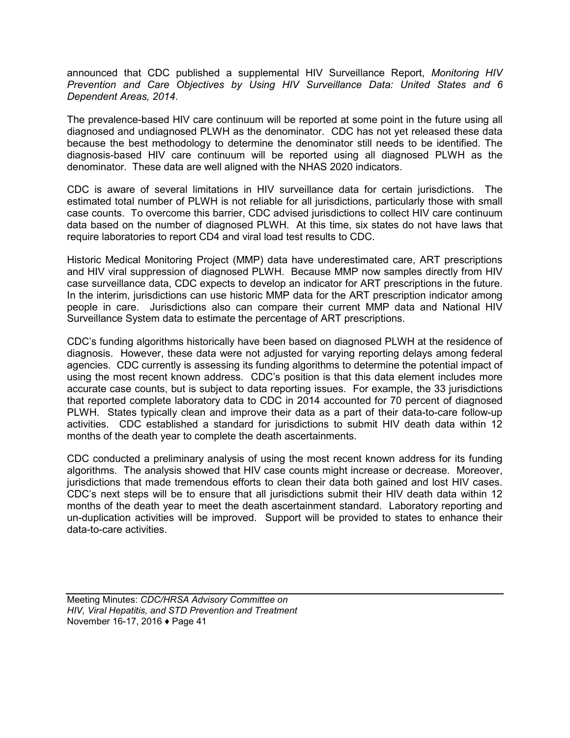announced that CDC published a supplemental HIV Surveillance Report, *Monitoring HIV Prevention and Care Objectives by Using HIV Surveillance Data: United States and 6 Dependent Areas, 2014*.

The prevalence-based HIV care continuum will be reported at some point in the future using all diagnosed and undiagnosed PLWH as the denominator. CDC has not yet released these data because the best methodology to determine the denominator still needs to be identified. The diagnosis-based HIV care continuum will be reported using all diagnosed PLWH as the denominator. These data are well aligned with the NHAS 2020 indicators.

CDC is aware of several limitations in HIV surveillance data for certain jurisdictions. The estimated total number of PLWH is not reliable for all jurisdictions, particularly those with small case counts. To overcome this barrier, CDC advised jurisdictions to collect HIV care continuum data based on the number of diagnosed PLWH. At this time, six states do not have laws that require laboratories to report CD4 and viral load test results to CDC.

Historic Medical Monitoring Project (MMP) data have underestimated care, ART prescriptions and HIV viral suppression of diagnosed PLWH. Because MMP now samples directly from HIV case surveillance data, CDC expects to develop an indicator for ART prescriptions in the future. In the interim, jurisdictions can use historic MMP data for the ART prescription indicator among people in care. Jurisdictions also can compare their current MMP data and National HIV Surveillance System data to estimate the percentage of ART prescriptions.

CDC's funding algorithms historically have been based on diagnosed PLWH at the residence of diagnosis. However, these data were not adjusted for varying reporting delays among federal agencies. CDC currently is assessing its funding algorithms to determine the potential impact of using the most recent known address. CDC's position is that this data element includes more accurate case counts, but is subject to data reporting issues. For example, the 33 jurisdictions that reported complete laboratory data to CDC in 2014 accounted for 70 percent of diagnosed PLWH. States typically clean and improve their data as a part of their data-to-care follow-up activities. CDC established a standard for jurisdictions to submit HIV death data within 12 months of the death year to complete the death ascertainments.

CDC conducted a preliminary analysis of using the most recent known address for its funding algorithms. The analysis showed that HIV case counts might increase or decrease. Moreover, jurisdictions that made tremendous efforts to clean their data both gained and lost HIV cases. CDC's next steps will be to ensure that all jurisdictions submit their HIV death data within 12 months of the death year to meet the death ascertainment standard. Laboratory reporting and un-duplication activities will be improved. Support will be provided to states to enhance their data-to-care activities.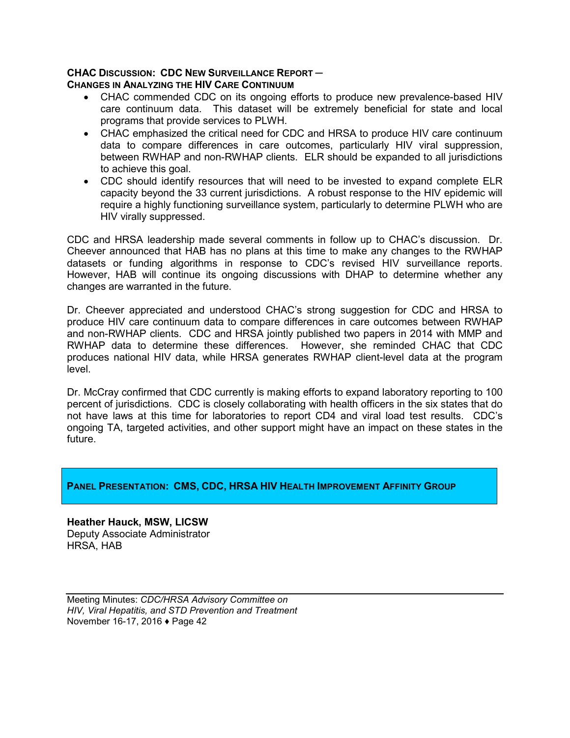#### **CHAC DISCUSSION: CDC NEW SURVEILLANCE REPORT ─ CHANGES IN ANALYZING THE HIV CARE CONTINUUM**

- CHAC commended CDC on its ongoing efforts to produce new prevalence-based HIV care continuum data. This dataset will be extremely beneficial for state and local programs that provide services to PLWH.
- CHAC emphasized the critical need for CDC and HRSA to produce HIV care continuum data to compare differences in care outcomes, particularly HIV viral suppression, between RWHAP and non-RWHAP clients. ELR should be expanded to all jurisdictions to achieve this goal.
- CDC should identify resources that will need to be invested to expand complete ELR capacity beyond the 33 current jurisdictions. A robust response to the HIV epidemic will require a highly functioning surveillance system, particularly to determine PLWH who are HIV virally suppressed.

CDC and HRSA leadership made several comments in follow up to CHAC's discussion. Dr. Cheever announced that HAB has no plans at this time to make any changes to the RWHAP datasets or funding algorithms in response to CDC's revised HIV surveillance reports. However, HAB will continue its ongoing discussions with DHAP to determine whether any changes are warranted in the future.

Dr. Cheever appreciated and understood CHAC's strong suggestion for CDC and HRSA to produce HIV care continuum data to compare differences in care outcomes between RWHAP and non-RWHAP clients. CDC and HRSA jointly published two papers in 2014 with MMP and RWHAP data to determine these differences. However, she reminded CHAC that CDC produces national HIV data, while HRSA generates RWHAP client-level data at the program level.

Dr. McCray confirmed that CDC currently is making efforts to expand laboratory reporting to 100 percent of jurisdictions. CDC is closely collaborating with health officers in the six states that do not have laws at this time for laboratories to report CD4 and viral load test results. CDC's ongoing TA, targeted activities, and other support might have an impact on these states in the future.

## **PANEL PRESENTATION: CMS, CDC, HRSA HIV HEALTH IMPROVEMENT AFFINITY GROUP**

**Heather Hauck, MSW, LICSW** Deputy Associate Administrator HRSA, HAB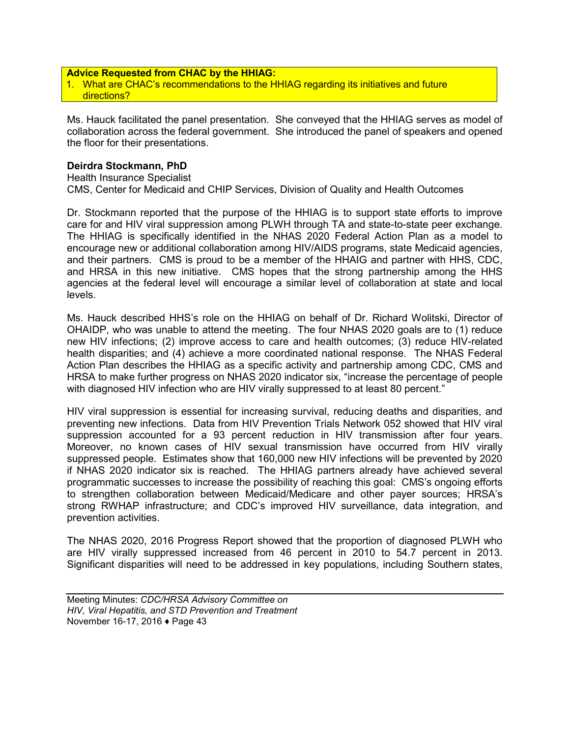#### **Advice Requested from CHAC by the HHIAG:**

1. What are CHAC's recommendations to the HHIAG regarding its initiatives and future directions?

Ms. Hauck facilitated the panel presentation. She conveyed that the HHIAG serves as model of collaboration across the federal government. She introduced the panel of speakers and opened the floor for their presentations.

#### **Deirdra Stockmann, PhD**

Health Insurance Specialist CMS, Center for Medicaid and CHIP Services, Division of Quality and Health Outcomes

Dr. Stockmann reported that the purpose of the HHIAG is to support state efforts to improve care for and HIV viral suppression among PLWH through TA and state-to-state peer exchange. The HHIAG is specifically identified in the NHAS 2020 Federal Action Plan as a model to encourage new or additional collaboration among HIV/AIDS programs, state Medicaid agencies, and their partners. CMS is proud to be a member of the HHAIG and partner with HHS, CDC, and HRSA in this new initiative. CMS hopes that the strong partnership among the HHS agencies at the federal level will encourage a similar level of collaboration at state and local levels.

Ms. Hauck described HHS's role on the HHIAG on behalf of Dr. Richard Wolitski, Director of OHAIDP, who was unable to attend the meeting. The four NHAS 2020 goals are to (1) reduce new HIV infections; (2) improve access to care and health outcomes; (3) reduce HIV-related health disparities; and (4) achieve a more coordinated national response. The NHAS Federal Action Plan describes the HHIAG as a specific activity and partnership among CDC, CMS and HRSA to make further progress on NHAS 2020 indicator six, "increase the percentage of people with diagnosed HIV infection who are HIV virally suppressed to at least 80 percent."

HIV viral suppression is essential for increasing survival, reducing deaths and disparities, and preventing new infections. Data from HIV Prevention Trials Network 052 showed that HIV viral suppression accounted for a 93 percent reduction in HIV transmission after four years. Moreover, no known cases of HIV sexual transmission have occurred from HIV virally suppressed people. Estimates show that 160,000 new HIV infections will be prevented by 2020 if NHAS 2020 indicator six is reached. The HHIAG partners already have achieved several programmatic successes to increase the possibility of reaching this goal: CMS's ongoing efforts to strengthen collaboration between Medicaid/Medicare and other payer sources; HRSA's strong RWHAP infrastructure; and CDC's improved HIV surveillance, data integration, and prevention activities.

The NHAS 2020, 2016 Progress Report showed that the proportion of diagnosed PLWH who are HIV virally suppressed increased from 46 percent in 2010 to 54.7 percent in 2013. Significant disparities will need to be addressed in key populations, including Southern states,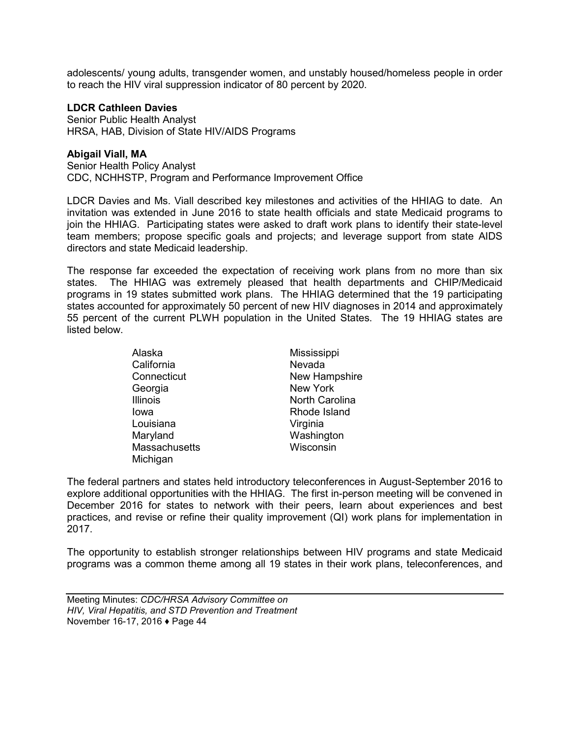adolescents/ young adults, transgender women, and unstably housed/homeless people in order to reach the HIV viral suppression indicator of 80 percent by 2020.

#### **LDCR Cathleen Davies**

Senior Public Health Analyst HRSA, HAB, Division of State HIV/AIDS Programs

#### **Abigail Viall, MA**

Senior Health Policy Analyst CDC, NCHHSTP, Program and Performance Improvement Office

LDCR Davies and Ms. Viall described key milestones and activities of the HHIAG to date. An invitation was extended in June 2016 to state health officials and state Medicaid programs to join the HHIAG. Participating states were asked to draft work plans to identify their state-level team members; propose specific goals and projects; and leverage support from state AIDS directors and state Medicaid leadership.

The response far exceeded the expectation of receiving work plans from no more than six states. The HHIAG was extremely pleased that health departments and CHIP/Medicaid programs in 19 states submitted work plans. The HHIAG determined that the 19 participating states accounted for approximately 50 percent of new HIV diagnoses in 2014 and approximately 55 percent of the current PLWH population in the United States. The 19 HHIAG states are listed below.

| Alaska          | Mississippi     |  |
|-----------------|-----------------|--|
| California      | Nevada          |  |
| Connecticut     | New Hampshire   |  |
| Georgia         | <b>New York</b> |  |
| <b>Illinois</b> | North Carolina  |  |
| lowa            | Rhode Island    |  |
| Louisiana       | Virginia        |  |
| Maryland        | Washington      |  |
| Massachusetts   | Wisconsin       |  |
| Michigan        |                 |  |

The federal partners and states held introductory teleconferences in August-September 2016 to explore additional opportunities with the HHIAG. The first in-person meeting will be convened in December 2016 for states to network with their peers, learn about experiences and best practices, and revise or refine their quality improvement (QI) work plans for implementation in 2017.

The opportunity to establish stronger relationships between HIV programs and state Medicaid programs was a common theme among all 19 states in their work plans, teleconferences, and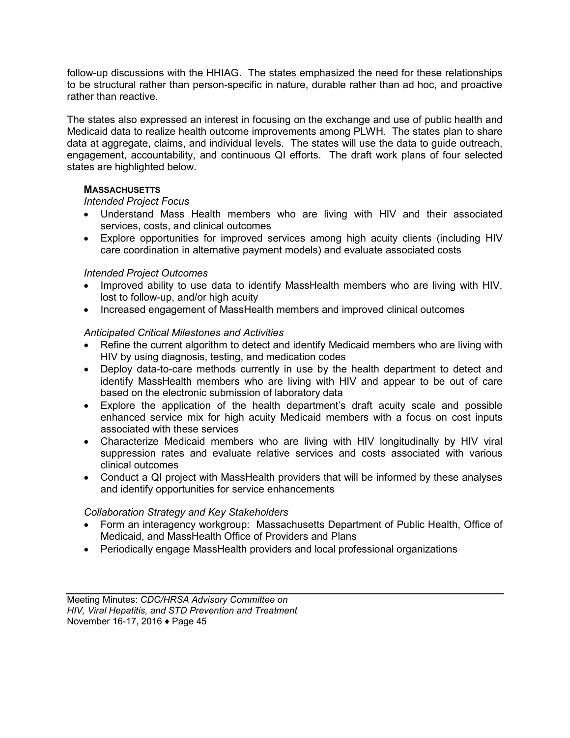follow-up discussions with the HHIAG. The states emphasized the need for these relationships to be structural rather than person-specific in nature, durable rather than ad hoc, and proactive rather than reactive.

The states also expressed an interest in focusing on the exchange and use of public health and Medicaid data to realize health outcome improvements among PLWH. The states plan to share data at aggregate, claims, and individual levels. The states will use the data to guide outreach, engagement, accountability, and continuous QI efforts. The draft work plans of four selected states are highlighted below.

## **MASSACHUSETTS**

#### *Intended Project Focus*

- Understand Mass Health members who are living with HIV and their associated services, costs, and clinical outcomes
- Explore opportunities for improved services among high acuity clients (including HIV care coordination in alternative payment models) and evaluate associated costs

## *Intended Project Outcomes*

- Improved ability to use data to identify MassHealth members who are living with HIV, lost to follow-up, and/or high acuity
- Increased engagement of MassHealth members and improved clinical outcomes

#### *Anticipated Critical Milestones and Activities*

- Refine the current algorithm to detect and identify Medicaid members who are living with HIV by using diagnosis, testing, and medication codes
- Deploy data-to-care methods currently in use by the health department to detect and identify MassHealth members who are living with HIV and appear to be out of care based on the electronic submission of laboratory data
- Explore the application of the health department's draft acuity scale and possible enhanced service mix for high acuity Medicaid members with a focus on cost inputs associated with these services
- Characterize Medicaid members who are living with HIV longitudinally by HIV viral suppression rates and evaluate relative services and costs associated with various clinical outcomes
- Conduct a QI project with MassHealth providers that will be informed by these analyses and identify opportunities for service enhancements

#### *Collaboration Strategy and Key Stakeholders*

- Form an interagency workgroup: Massachusetts Department of Public Health, Office of Medicaid, and MassHealth Office of Providers and Plans
- Periodically engage MassHealth providers and local professional organizations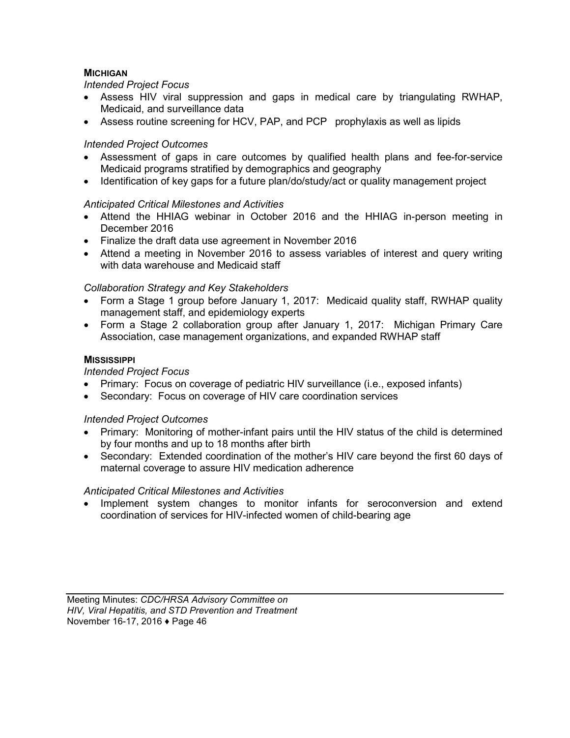## **MICHIGAN**

## *Intended Project Focus*

- Assess HIV viral suppression and gaps in medical care by triangulating RWHAP, Medicaid, and surveillance data
- Assess routine screening for HCV, PAP, and PCP prophylaxis as well as lipids

## *Intended Project Outcomes*

- Assessment of gaps in care outcomes by qualified health plans and fee-for-service Medicaid programs stratified by demographics and geography
- Identification of key gaps for a future plan/do/study/act or quality management project

## *Anticipated Critical Milestones and Activities*

- Attend the HHIAG webinar in October 2016 and the HHIAG in-person meeting in December 2016
- Finalize the draft data use agreement in November 2016
- Attend a meeting in November 2016 to assess variables of interest and query writing with data warehouse and Medicaid staff

## *Collaboration Strategy and Key Stakeholders*

- Form a Stage 1 group before January 1, 2017: Medicaid quality staff, RWHAP quality management staff, and epidemiology experts
- Form a Stage 2 collaboration group after January 1, 2017: Michigan Primary Care Association, case management organizations, and expanded RWHAP staff

#### **MISSISSIPPI**

### *Intended Project Focus*

- Primary: Focus on coverage of pediatric HIV surveillance (i.e., exposed infants)
- Secondary: Focus on coverage of HIV care coordination services

## *Intended Project Outcomes*

- Primary: Monitoring of mother-infant pairs until the HIV status of the child is determined by four months and up to 18 months after birth
- Secondary: Extended coordination of the mother's HIV care beyond the first 60 days of maternal coverage to assure HIV medication adherence

## *Anticipated Critical Milestones and Activities*

• Implement system changes to monitor infants for seroconversion and extend coordination of services for HIV-infected women of child-bearing age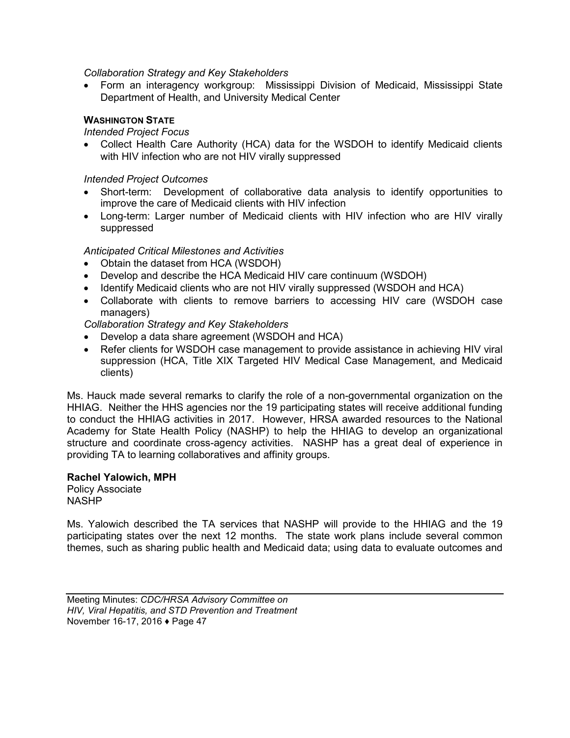#### *Collaboration Strategy and Key Stakeholders*

• Form an interagency workgroup: Mississippi Division of Medicaid, Mississippi State Department of Health, and University Medical Center

## **WASHINGTON STATE**

#### *Intended Project Focus*

• Collect Health Care Authority (HCA) data for the WSDOH to identify Medicaid clients with HIV infection who are not HIV virally suppressed

### *Intended Project Outcomes*

- Short-term: Development of collaborative data analysis to identify opportunities to improve the care of Medicaid clients with HIV infection
- Long-term: Larger number of Medicaid clients with HIV infection who are HIV virally suppressed

## *Anticipated Critical Milestones and Activities*

- Obtain the dataset from HCA (WSDOH)
- Develop and describe the HCA Medicaid HIV care continuum (WSDOH)
- Identify Medicaid clients who are not HIV virally suppressed (WSDOH and HCA)
- Collaborate with clients to remove barriers to accessing HIV care (WSDOH case managers)

*Collaboration Strategy and Key Stakeholders*

- Develop a data share agreement (WSDOH and HCA)
- Refer clients for WSDOH case management to provide assistance in achieving HIV viral suppression (HCA, Title XIX Targeted HIV Medical Case Management, and Medicaid clients)

Ms. Hauck made several remarks to clarify the role of a non-governmental organization on the HHIAG. Neither the HHS agencies nor the 19 participating states will receive additional funding to conduct the HHIAG activities in 2017. However, HRSA awarded resources to the National Academy for State Health Policy (NASHP) to help the HHIAG to develop an organizational structure and coordinate cross-agency activities. NASHP has a great deal of experience in providing TA to learning collaboratives and affinity groups.

#### **Rachel Yalowich, MPH**

Policy Associate NASHP

Ms. Yalowich described the TA services that NASHP will provide to the HHIAG and the 19 participating states over the next 12 months. The state work plans include several common themes, such as sharing public health and Medicaid data; using data to evaluate outcomes and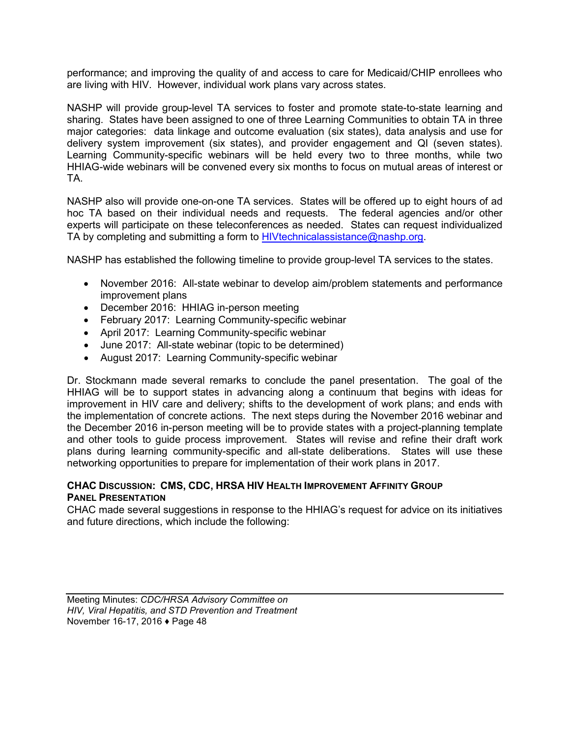performance; and improving the quality of and access to care for Medicaid/CHIP enrollees who are living with HIV. However, individual work plans vary across states.

NASHP will provide group-level TA services to foster and promote state-to-state learning and sharing. States have been assigned to one of three Learning Communities to obtain TA in three major categories: data linkage and outcome evaluation (six states), data analysis and use for delivery system improvement (six states), and provider engagement and QI (seven states). Learning Community-specific webinars will be held every two to three months, while two HHIAG-wide webinars will be convened every six months to focus on mutual areas of interest or TA.

NASHP also will provide one-on-one TA services. States will be offered up to eight hours of ad hoc TA based on their individual needs and requests. The federal agencies and/or other experts will participate on these teleconferences as needed. States can request individualized TA by completing and submitting a form to [HIVtechnicalassistance@nashp.org.](mailto:HIVtechnicalassistance@nashp.org)

NASHP has established the following timeline to provide group-level TA services to the states.

- November 2016: All-state webinar to develop aim/problem statements and performance improvement plans
- December 2016: HHIAG in-person meeting
- February 2017: Learning Community-specific webinar
- April 2017: Learning Community-specific webinar
- June 2017: All-state webinar (topic to be determined)
- August 2017: Learning Community-specific webinar

Dr. Stockmann made several remarks to conclude the panel presentation. The goal of the HHIAG will be to support states in advancing along a continuum that begins with ideas for improvement in HIV care and delivery; shifts to the development of work plans; and ends with the implementation of concrete actions. The next steps during the November 2016 webinar and the December 2016 in-person meeting will be to provide states with a project-planning template and other tools to guide process improvement. States will revise and refine their draft work plans during learning community-specific and all-state deliberations. States will use these networking opportunities to prepare for implementation of their work plans in 2017.

#### **CHAC DISCUSSION: CMS, CDC, HRSA HIV HEALTH IMPROVEMENT AFFINITY GROUP PANEL PRESENTATION**

CHAC made several suggestions in response to the HHIAG's request for advice on its initiatives and future directions, which include the following: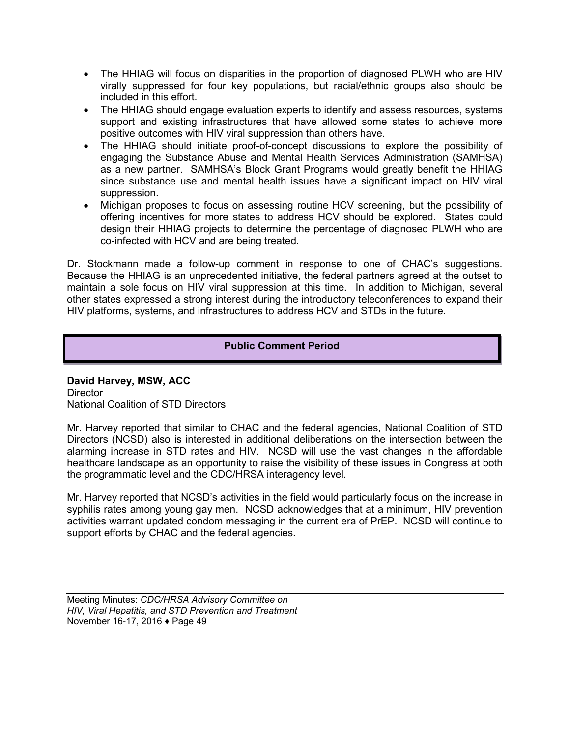- The HHIAG will focus on disparities in the proportion of diagnosed PLWH who are HIV virally suppressed for four key populations, but racial/ethnic groups also should be included in this effort.
- The HHIAG should engage evaluation experts to identify and assess resources, systems support and existing infrastructures that have allowed some states to achieve more positive outcomes with HIV viral suppression than others have.
- The HHIAG should initiate proof-of-concept discussions to explore the possibility of engaging the Substance Abuse and Mental Health Services Administration (SAMHSA) as a new partner. SAMHSA's Block Grant Programs would greatly benefit the HHIAG since substance use and mental health issues have a significant impact on HIV viral suppression.
- Michigan proposes to focus on assessing routine HCV screening, but the possibility of offering incentives for more states to address HCV should be explored. States could design their HHIAG projects to determine the percentage of diagnosed PLWH who are co-infected with HCV and are being treated.

Dr. Stockmann made a follow-up comment in response to one of CHAC's suggestions. Because the HHIAG is an unprecedented initiative, the federal partners agreed at the outset to maintain a sole focus on HIV viral suppression at this time. In addition to Michigan, several other states expressed a strong interest during the introductory teleconferences to expand their HIV platforms, systems, and infrastructures to address HCV and STDs in the future.

## **Public Comment Period**

**David Harvey, MSW, ACC Director** National Coalition of STD Directors

Mr. Harvey reported that similar to CHAC and the federal agencies, National Coalition of STD Directors (NCSD) also is interested in additional deliberations on the intersection between the alarming increase in STD rates and HIV. NCSD will use the vast changes in the affordable healthcare landscape as an opportunity to raise the visibility of these issues in Congress at both the programmatic level and the CDC/HRSA interagency level.

Mr. Harvey reported that NCSD's activities in the field would particularly focus on the increase in syphilis rates among young gay men. NCSD acknowledges that at a minimum, HIV prevention activities warrant updated condom messaging in the current era of PrEP. NCSD will continue to support efforts by CHAC and the federal agencies.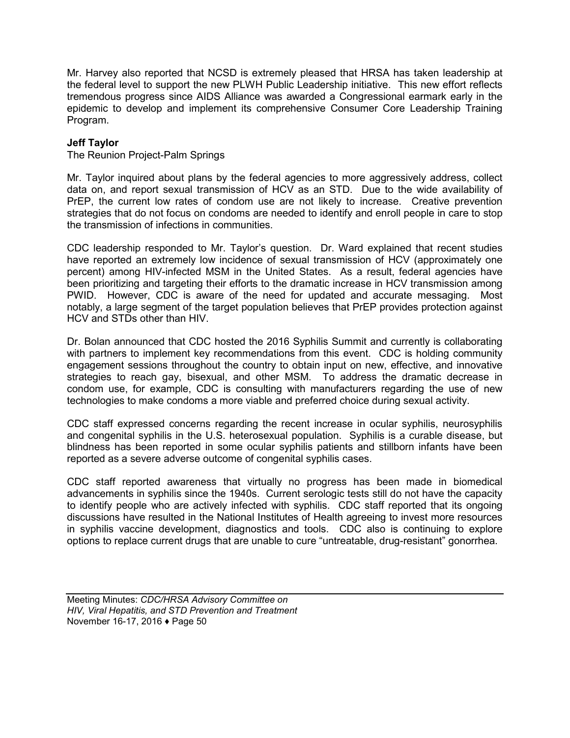Mr. Harvey also reported that NCSD is extremely pleased that HRSA has taken leadership at the federal level to support the new PLWH Public Leadership initiative. This new effort reflects tremendous progress since AIDS Alliance was awarded a Congressional earmark early in the epidemic to develop and implement its comprehensive Consumer Core Leadership Training Program.

## **Jeff Taylor**

The Reunion Project-Palm Springs

Mr. Taylor inquired about plans by the federal agencies to more aggressively address, collect data on, and report sexual transmission of HCV as an STD. Due to the wide availability of PrEP, the current low rates of condom use are not likely to increase. Creative prevention strategies that do not focus on condoms are needed to identify and enroll people in care to stop the transmission of infections in communities.

CDC leadership responded to Mr. Taylor's question. Dr. Ward explained that recent studies have reported an extremely low incidence of sexual transmission of HCV (approximately one percent) among HIV-infected MSM in the United States. As a result, federal agencies have been prioritizing and targeting their efforts to the dramatic increase in HCV transmission among PWID. However, CDC is aware of the need for updated and accurate messaging. Most notably, a large segment of the target population believes that PrEP provides protection against HCV and STDs other than HIV.

Dr. Bolan announced that CDC hosted the 2016 Syphilis Summit and currently is collaborating with partners to implement key recommendations from this event. CDC is holding community engagement sessions throughout the country to obtain input on new, effective, and innovative strategies to reach gay, bisexual, and other MSM. To address the dramatic decrease in condom use, for example, CDC is consulting with manufacturers regarding the use of new technologies to make condoms a more viable and preferred choice during sexual activity.

CDC staff expressed concerns regarding the recent increase in ocular syphilis, neurosyphilis and congenital syphilis in the U.S. heterosexual population. Syphilis is a curable disease, but blindness has been reported in some ocular syphilis patients and stillborn infants have been reported as a severe adverse outcome of congenital syphilis cases.

CDC staff reported awareness that virtually no progress has been made in biomedical advancements in syphilis since the 1940s. Current serologic tests still do not have the capacity to identify people who are actively infected with syphilis. CDC staff reported that its ongoing discussions have resulted in the National Institutes of Health agreeing to invest more resources in syphilis vaccine development, diagnostics and tools. CDC also is continuing to explore options to replace current drugs that are unable to cure "untreatable, drug-resistant" gonorrhea.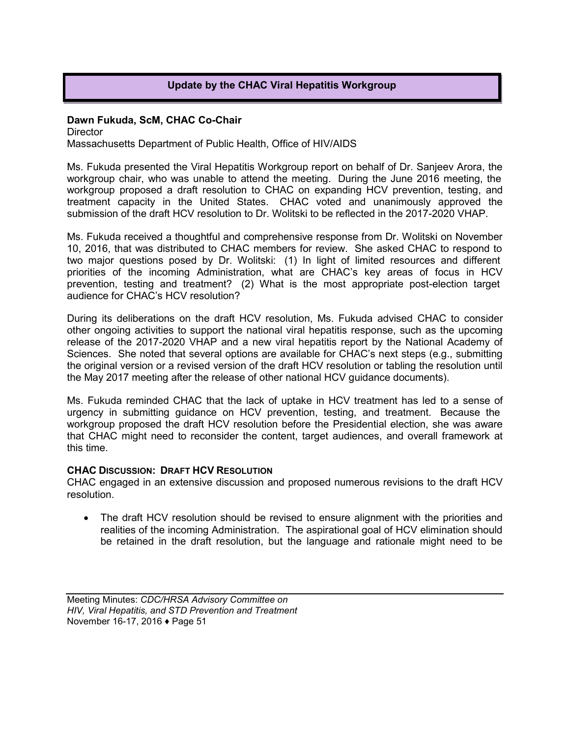## **Update by the CHAC Viral Hepatitis Workgroup**

#### **Dawn Fukuda, ScM, CHAC Co-Chair**

**Director** Massachusetts Department of Public Health, Office of HIV/AIDS

Ms. Fukuda presented the Viral Hepatitis Workgroup report on behalf of Dr. Sanjeev Arora, the workgroup chair, who was unable to attend the meeting. During the June 2016 meeting, the workgroup proposed a draft resolution to CHAC on expanding HCV prevention, testing, and treatment capacity in the United States. CHAC voted and unanimously approved the submission of the draft HCV resolution to Dr. Wolitski to be reflected in the 2017-2020 VHAP.

Ms. Fukuda received a thoughtful and comprehensive response from Dr. Wolitski on November 10, 2016, that was distributed to CHAC members for review. She asked CHAC to respond to two major questions posed by Dr. Wolitski: (1) In light of limited resources and different priorities of the incoming Administration, what are CHAC's key areas of focus in HCV prevention, testing and treatment? (2) What is the most appropriate post-election target audience for CHAC's HCV resolution?

During its deliberations on the draft HCV resolution, Ms. Fukuda advised CHAC to consider other ongoing activities to support the national viral hepatitis response, such as the upcoming release of the 2017-2020 VHAP and a new viral hepatitis report by the National Academy of Sciences. She noted that several options are available for CHAC's next steps (e.g., submitting the original version or a revised version of the draft HCV resolution or tabling the resolution until the May 2017 meeting after the release of other national HCV guidance documents).

Ms. Fukuda reminded CHAC that the lack of uptake in HCV treatment has led to a sense of urgency in submitting guidance on HCV prevention, testing, and treatment. Because the workgroup proposed the draft HCV resolution before the Presidential election, she was aware that CHAC might need to reconsider the content, target audiences, and overall framework at this time.

#### **CHAC DISCUSSION: DRAFT HCV RESOLUTION**

CHAC engaged in an extensive discussion and proposed numerous revisions to the draft HCV resolution.

• The draft HCV resolution should be revised to ensure alignment with the priorities and realities of the incoming Administration. The aspirational goal of HCV elimination should be retained in the draft resolution, but the language and rationale might need to be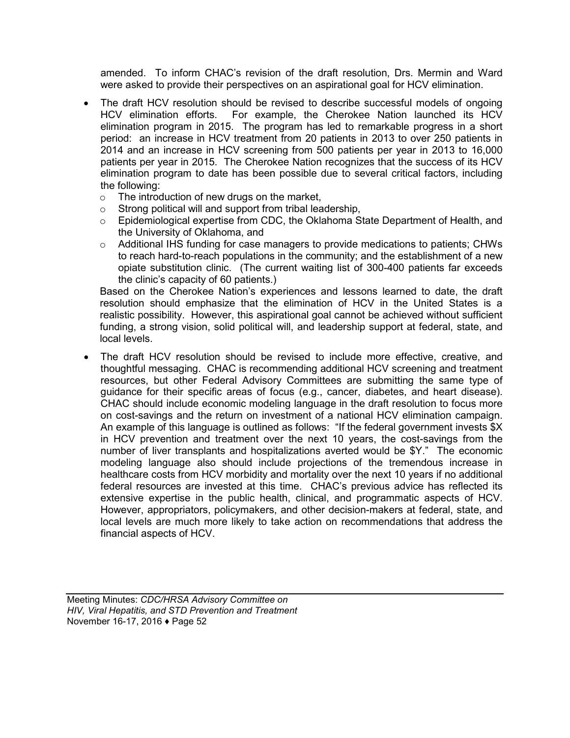amended. To inform CHAC's revision of the draft resolution, Drs. Mermin and Ward were asked to provide their perspectives on an aspirational goal for HCV elimination.

- The draft HCV resolution should be revised to describe successful models of ongoing HCV elimination efforts. For example, the Cherokee Nation launched its HCV elimination program in 2015. The program has led to remarkable progress in a short period: an increase in HCV treatment from 20 patients in 2013 to over 250 patients in 2014 and an increase in HCV screening from 500 patients per year in 2013 to 16,000 patients per year in 2015. The Cherokee Nation recognizes that the success of its HCV elimination program to date has been possible due to several critical factors, including the following:
	- $\circ$  The introduction of new drugs on the market,<br>  $\circ$  Strong political will and support from tribal lea
	-
	- $\circ$  Strong political will and support from tribal leadership,<br>  $\circ$  Epidemiological expertise from CDC. the Oklahoma S Epidemiological expertise from CDC, the Oklahoma State Department of Health, and the University of Oklahoma, and
	- $\circ$  Additional IHS funding for case managers to provide medications to patients; CHWs to reach hard-to-reach populations in the community; and the establishment of a new opiate substitution clinic. (The current waiting list of 300-400 patients far exceeds the clinic's capacity of 60 patients.)

Based on the Cherokee Nation's experiences and lessons learned to date, the draft resolution should emphasize that the elimination of HCV in the United States is a realistic possibility. However, this aspirational goal cannot be achieved without sufficient funding, a strong vision, solid political will, and leadership support at federal, state, and local levels.

• The draft HCV resolution should be revised to include more effective, creative, and thoughtful messaging. CHAC is recommending additional HCV screening and treatment resources, but other Federal Advisory Committees are submitting the same type of guidance for their specific areas of focus (e.g., cancer, diabetes, and heart disease). CHAC should include economic modeling language in the draft resolution to focus more on cost-savings and the return on investment of a national HCV elimination campaign. An example of this language is outlined as follows: "If the federal government invests \$X in HCV prevention and treatment over the next 10 years, the cost-savings from the number of liver transplants and hospitalizations averted would be \$Y." The economic modeling language also should include projections of the tremendous increase in healthcare costs from HCV morbidity and mortality over the next 10 years if no additional federal resources are invested at this time. CHAC's previous advice has reflected its extensive expertise in the public health, clinical, and programmatic aspects of HCV. However, appropriators, policymakers, and other decision-makers at federal, state, and local levels are much more likely to take action on recommendations that address the financial aspects of HCV.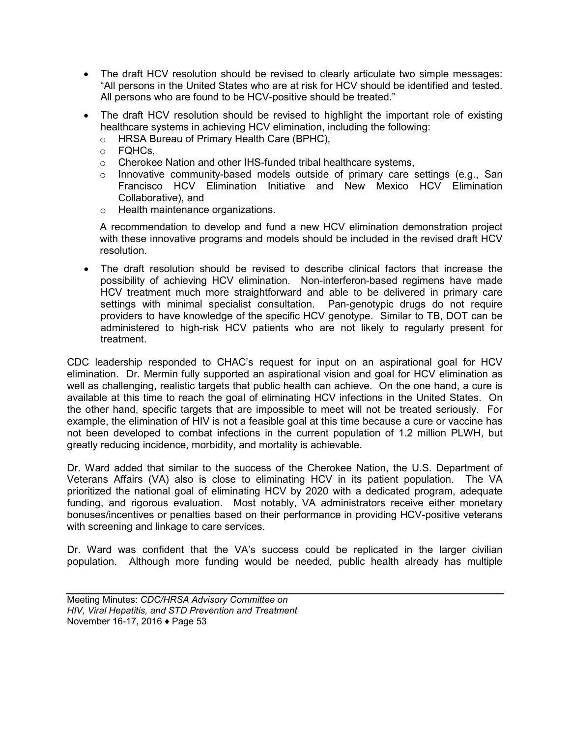- The draft HCV resolution should be revised to clearly articulate two simple messages: "All persons in the United States who are at risk for HCV should be identified and tested. All persons who are found to be HCV-positive should be treated."
- The draft HCV resolution should be revised to highlight the important role of existing healthcare systems in achieving HCV elimination, including the following:
	- o HRSA Bureau of Primary Health Care (BPHC),
	- o FQHCs,
	- o Cherokee Nation and other IHS-funded tribal healthcare systems,
	- $\circ$  Innovative community-based models outside of primary care settings (e.g., San Francisco HCV Elimination Initiative and New Mexico HCV Elimination Collaborative), and
	- o Health maintenance organizations.

A recommendation to develop and fund a new HCV elimination demonstration project with these innovative programs and models should be included in the revised draft HCV resolution.

• The draft resolution should be revised to describe clinical factors that increase the possibility of achieving HCV elimination. Non-interferon-based regimens have made HCV treatment much more straightforward and able to be delivered in primary care settings with minimal specialist consultation. Pan-genotypic drugs do not require providers to have knowledge of the specific HCV genotype. Similar to TB, DOT can be administered to high-risk HCV patients who are not likely to regularly present for treatment.

CDC leadership responded to CHAC's request for input on an aspirational goal for HCV elimination. Dr. Mermin fully supported an aspirational vision and goal for HCV elimination as well as challenging, realistic targets that public health can achieve. On the one hand, a cure is available at this time to reach the goal of eliminating HCV infections in the United States. On the other hand, specific targets that are impossible to meet will not be treated seriously. For example, the elimination of HIV is not a feasible goal at this time because a cure or vaccine has not been developed to combat infections in the current population of 1.2 million PLWH, but greatly reducing incidence, morbidity, and mortality is achievable.

Dr. Ward added that similar to the success of the Cherokee Nation, the U.S. Department of Veterans Affairs (VA) also is close to eliminating HCV in its patient population. The VA prioritized the national goal of eliminating HCV by 2020 with a dedicated program, adequate funding, and rigorous evaluation. Most notably, VA administrators receive either monetary bonuses/incentives or penalties based on their performance in providing HCV-positive veterans with screening and linkage to care services.

Dr. Ward was confident that the VA's success could be replicated in the larger civilian population. Although more funding would be needed, public health already has multiple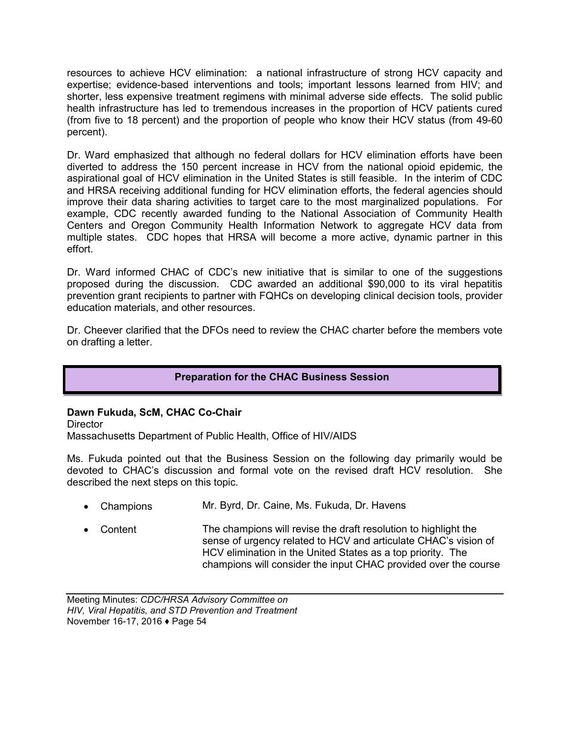resources to achieve HCV elimination: a national infrastructure of strong HCV capacity and expertise; evidence-based interventions and tools; important lessons learned from HIV; and shorter, less expensive treatment regimens with minimal adverse side effects. The solid public health infrastructure has led to tremendous increases in the proportion of HCV patients cured (from five to 18 percent) and the proportion of people who know their HCV status (from 49-60 percent).

Dr. Ward emphasized that although no federal dollars for HCV elimination efforts have been diverted to address the 150 percent increase in HCV from the national opioid epidemic, the aspirational goal of HCV elimination in the United States is still feasible. In the interim of CDC and HRSA receiving additional funding for HCV elimination efforts, the federal agencies should improve their data sharing activities to target care to the most marginalized populations. For example, CDC recently awarded funding to the National Association of Community Health Centers and Oregon Community Health Information Network to aggregate HCV data from multiple states. CDC hopes that HRSA will become a more active, dynamic partner in this effort.

Dr. Ward informed CHAC of CDC's new initiative that is similar to one of the suggestions proposed during the discussion. CDC awarded an additional \$90,000 to its viral hepatitis prevention grant recipients to partner with FQHCs on developing clinical decision tools, provider education materials, and other resources.

Dr. Cheever clarified that the DFOs need to review the CHAC charter before the members vote on drafting a letter.

## **Preparation for the CHAC Business Session**

## **Dawn Fukuda, ScM, CHAC Co-Chair**

**Director** 

Massachusetts Department of Public Health, Office of HIV/AIDS

Ms. Fukuda pointed out that the Business Session on the following day primarily would be devoted to CHAC's discussion and formal vote on the revised draft HCV resolution. She described the next steps on this topic.

- Champions Mr. Byrd, Dr. Caine, Ms. Fukuda, Dr. Havens
- Content The champions will revise the draft resolution to highlight the sense of urgency related to HCV and articulate CHAC's vision of HCV elimination in the United States as a top priority. The champions will consider the input CHAC provided over the course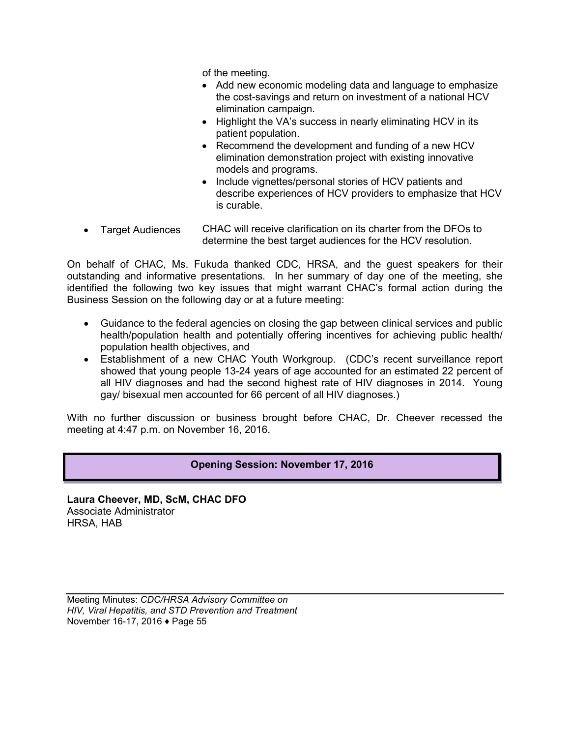of the meeting.

- Add new economic modeling data and language to emphasize the cost-savings and return on investment of a national HCV elimination campaign.
- Highlight the VA's success in nearly eliminating HCV in its patient population.
- Recommend the development and funding of a new HCV elimination demonstration project with existing innovative models and programs.
- Include vignettes/personal stories of HCV patients and describe experiences of HCV providers to emphasize that HCV is curable.
- Target Audiences CHAC will receive clarification on its charter from the DFOs to determine the best target audiences for the HCV resolution.

On behalf of CHAC, Ms. Fukuda thanked CDC, HRSA, and the guest speakers for their outstanding and informative presentations. In her summary of day one of the meeting, she identified the following two key issues that might warrant CHAC's formal action during the Business Session on the following day or at a future meeting:

- Guidance to the federal agencies on closing the gap between clinical services and public health/population health and potentially offering incentives for achieving public health/ population health objectives, and
- Establishment of a new CHAC Youth Workgroup. (CDC's recent surveillance report showed that young people 13-24 years of age accounted for an estimated 22 percent of all HIV diagnoses and had the second highest rate of HIV diagnoses in 2014. Young gay/ bisexual men accounted for 66 percent of all HIV diagnoses.)

With no further discussion or business brought before CHAC, Dr. Cheever recessed the meeting at 4:47 p.m. on November 16, 2016.

## **Opening Session: November 17, 2016**

**Laura Cheever, MD, ScM, CHAC DFO** Associate Administrator HRSA, HAB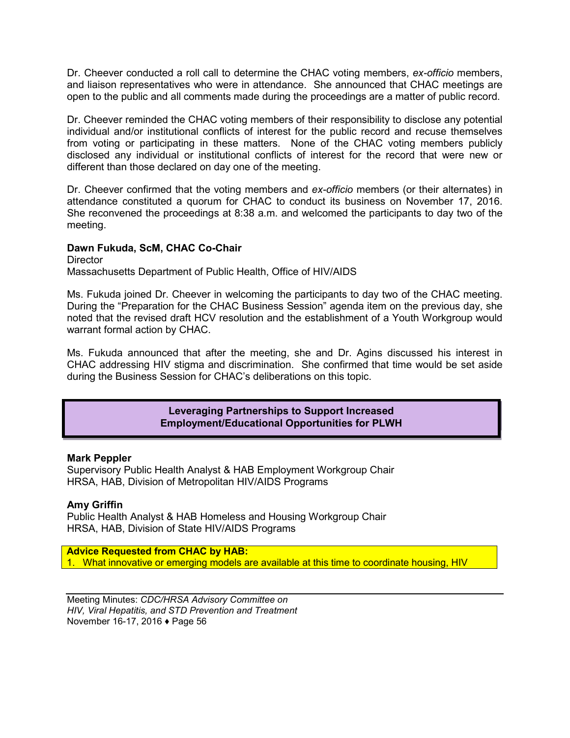Dr. Cheever conducted a roll call to determine the CHAC voting members, *ex-officio* members, and liaison representatives who were in attendance. She announced that CHAC meetings are open to the public and all comments made during the proceedings are a matter of public record.

Dr. Cheever reminded the CHAC voting members of their responsibility to disclose any potential individual and/or institutional conflicts of interest for the public record and recuse themselves from voting or participating in these matters. None of the CHAC voting members publicly disclosed any individual or institutional conflicts of interest for the record that were new or different than those declared on day one of the meeting.

Dr. Cheever confirmed that the voting members and *ex-officio* members (or their alternates) in attendance constituted a quorum for CHAC to conduct its business on November 17, 2016. She reconvened the proceedings at 8:38 a.m. and welcomed the participants to day two of the meeting.

## **Dawn Fukuda, ScM, CHAC Co-Chair**

**Director** Massachusetts Department of Public Health, Office of HIV/AIDS

Ms. Fukuda joined Dr. Cheever in welcoming the participants to day two of the CHAC meeting. During the "Preparation for the CHAC Business Session" agenda item on the previous day, she noted that the revised draft HCV resolution and the establishment of a Youth Workgroup would warrant formal action by CHAC.

Ms. Fukuda announced that after the meeting, she and Dr. Agins discussed his interest in CHAC addressing HIV stigma and discrimination. She confirmed that time would be set aside during the Business Session for CHAC's deliberations on this topic.

> **Leveraging Partnerships to Support Increased Employment/Educational Opportunities for PLWH**

#### **Mark Peppler**

Supervisory Public Health Analyst & HAB Employment Workgroup Chair HRSA, HAB, Division of Metropolitan HIV/AIDS Programs

#### **Amy Griffin**

Public Health Analyst & HAB Homeless and Housing Workgroup Chair HRSA, HAB, Division of State HIV/AIDS Programs

**Advice Requested from CHAC by HAB:** 1. What innovative or emerging models are available at this time to coordinate housing, HIV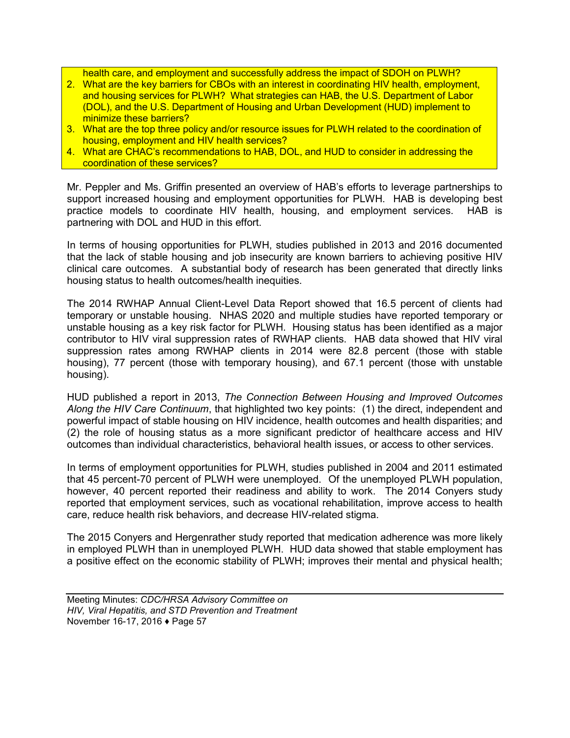health care, and employment and successfully address the impact of SDOH on PLWH?

- 2. What are the key barriers for CBOs with an interest in coordinating HIV health, employment, and housing services for PLWH? What strategies can HAB, the U.S. Department of Labor (DOL), and the U.S. Department of Housing and Urban Development (HUD) implement to minimize these barriers?
- 3. What are the top three policy and/or resource issues for PLWH related to the coordination of housing, employment and HIV health services?
- 4. What are CHAC's recommendations to HAB, DOL, and HUD to consider in addressing the coordination of these services?

Mr. Peppler and Ms. Griffin presented an overview of HAB's efforts to leverage partnerships to support increased housing and employment opportunities for PLWH. HAB is developing best practice models to coordinate HIV health, housing, and employment services. HAB is partnering with DOL and HUD in this effort.

In terms of housing opportunities for PLWH, studies published in 2013 and 2016 documented that the lack of stable housing and job insecurity are known barriers to achieving positive HIV clinical care outcomes. A substantial body of research has been generated that directly links housing status to health outcomes/health inequities.

The 2014 RWHAP Annual Client-Level Data Report showed that 16.5 percent of clients had temporary or unstable housing. NHAS 2020 and multiple studies have reported temporary or unstable housing as a key risk factor for PLWH. Housing status has been identified as a major contributor to HIV viral suppression rates of RWHAP clients. HAB data showed that HIV viral suppression rates among RWHAP clients in 2014 were 82.8 percent (those with stable housing), 77 percent (those with temporary housing), and 67.1 percent (those with unstable housing).

HUD published a report in 2013, *The Connection Between Housing and Improved Outcomes Along the HIV Care Continuum*, that highlighted two key points: (1) the direct, independent and powerful impact of stable housing on HIV incidence, health outcomes and health disparities; and (2) the role of housing status as a more significant predictor of healthcare access and HIV outcomes than individual characteristics, behavioral health issues, or access to other services.

In terms of employment opportunities for PLWH, studies published in 2004 and 2011 estimated that 45 percent-70 percent of PLWH were unemployed. Of the unemployed PLWH population, however, 40 percent reported their readiness and ability to work. The 2014 Conyers study reported that employment services, such as vocational rehabilitation, improve access to health care, reduce health risk behaviors, and decrease HIV-related stigma.

The 2015 Conyers and Hergenrather study reported that medication adherence was more likely in employed PLWH than in unemployed PLWH. HUD data showed that stable employment has a positive effect on the economic stability of PLWH; improves their mental and physical health;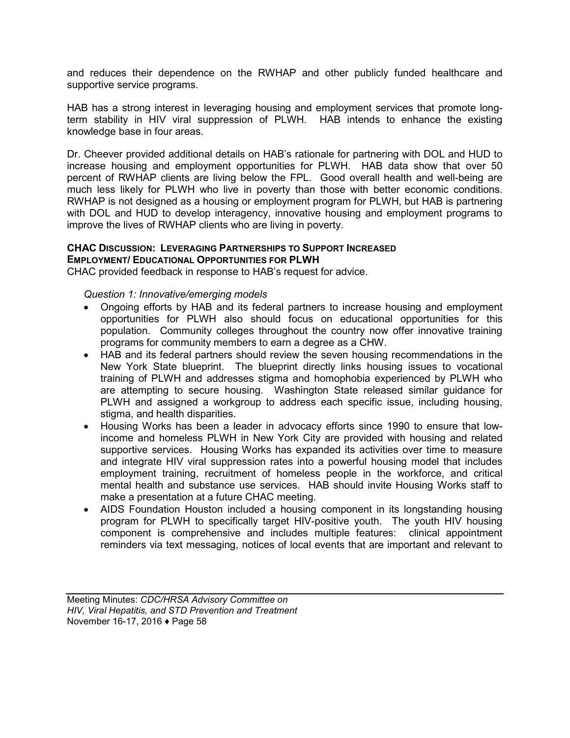and reduces their dependence on the RWHAP and other publicly funded healthcare and supportive service programs.

HAB has a strong interest in leveraging housing and employment services that promote longterm stability in HIV viral suppression of PLWH. HAB intends to enhance the existing knowledge base in four areas.

Dr. Cheever provided additional details on HAB's rationale for partnering with DOL and HUD to increase housing and employment opportunities for PLWH. HAB data show that over 50 percent of RWHAP clients are living below the FPL. Good overall health and well-being are much less likely for PLWH who live in poverty than those with better economic conditions. RWHAP is not designed as a housing or employment program for PLWH, but HAB is partnering with DOL and HUD to develop interagency, innovative housing and employment programs to improve the lives of RWHAP clients who are living in poverty.

#### **CHAC DISCUSSION: LEVERAGING PARTNERSHIPS TO SUPPORT INCREASED EMPLOYMENT/ EDUCATIONAL OPPORTUNITIES FOR PLWH**

CHAC provided feedback in response to HAB's request for advice.

#### *Question 1: Innovative/emerging models*

- Ongoing efforts by HAB and its federal partners to increase housing and employment opportunities for PLWH also should focus on educational opportunities for this population. Community colleges throughout the country now offer innovative training programs for community members to earn a degree as a CHW.
- HAB and its federal partners should review the seven housing recommendations in the New York State blueprint. The blueprint directly links housing issues to vocational training of PLWH and addresses stigma and homophobia experienced by PLWH who are attempting to secure housing. Washington State released similar guidance for PLWH and assigned a workgroup to address each specific issue, including housing, stigma, and health disparities.
- Housing Works has been a leader in advocacy efforts since 1990 to ensure that lowincome and homeless PLWH in New York City are provided with housing and related supportive services. Housing Works has expanded its activities over time to measure and integrate HIV viral suppression rates into a powerful housing model that includes employment training, recruitment of homeless people in the workforce, and critical mental health and substance use services. HAB should invite Housing Works staff to make a presentation at a future CHAC meeting.
- AIDS Foundation Houston included a housing component in its longstanding housing program for PLWH to specifically target HIV-positive youth. The youth HIV housing component is comprehensive and includes multiple features: clinical appointment reminders via text messaging, notices of local events that are important and relevant to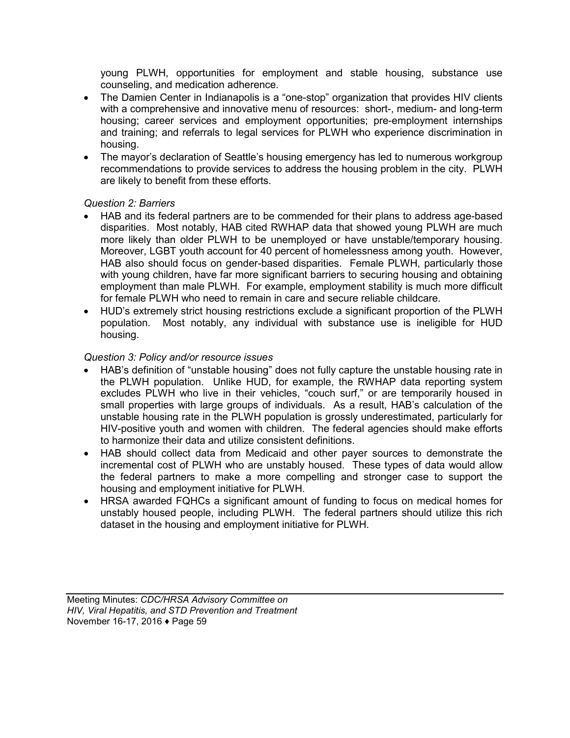young PLWH, opportunities for employment and stable housing, substance use counseling, and medication adherence.

- The Damien Center in Indianapolis is a "one-stop" organization that provides HIV clients with a comprehensive and innovative menu of resources: short-, medium- and long-term housing; career services and employment opportunities; pre-employment internships and training; and referrals to legal services for PLWH who experience discrimination in housing.
- The mayor's declaration of Seattle's housing emergency has led to numerous workgroup recommendations to provide services to address the housing problem in the city. PLWH are likely to benefit from these efforts.

## *Question 2: Barriers*

- HAB and its federal partners are to be commended for their plans to address age-based disparities. Most notably, HAB cited RWHAP data that showed young PLWH are much more likely than older PLWH to be unemployed or have unstable/temporary housing. Moreover, LGBT youth account for 40 percent of homelessness among youth. However, HAB also should focus on gender-based disparities. Female PLWH, particularly those with young children, have far more significant barriers to securing housing and obtaining employment than male PLWH. For example, employment stability is much more difficult for female PLWH who need to remain in care and secure reliable childcare.
- HUD's extremely strict housing restrictions exclude a significant proportion of the PLWH population. Most notably, any individual with substance use is ineligible for HUD housing.

## *Question 3: Policy and/or resource issues*

- HAB's definition of "unstable housing" does not fully capture the unstable housing rate in the PLWH population. Unlike HUD, for example, the RWHAP data reporting system excludes PLWH who live in their vehicles, "couch surf," or are temporarily housed in small properties with large groups of individuals. As a result, HAB's calculation of the unstable housing rate in the PLWH population is grossly underestimated, particularly for HIV-positive youth and women with children. The federal agencies should make efforts to harmonize their data and utilize consistent definitions.
- HAB should collect data from Medicaid and other payer sources to demonstrate the incremental cost of PLWH who are unstably housed. These types of data would allow the federal partners to make a more compelling and stronger case to support the housing and employment initiative for PLWH.
- HRSA awarded FQHCs a significant amount of funding to focus on medical homes for unstably housed people, including PLWH. The federal partners should utilize this rich dataset in the housing and employment initiative for PLWH.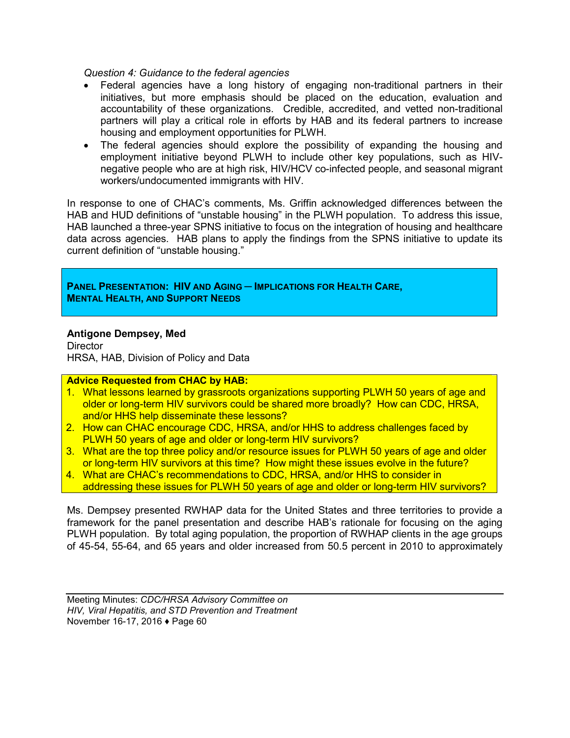*Question 4: Guidance to the federal agencies*

- Federal agencies have a long history of engaging non-traditional partners in their initiatives, but more emphasis should be placed on the education, evaluation and accountability of these organizations. Credible, accredited, and vetted non-traditional partners will play a critical role in efforts by HAB and its federal partners to increase housing and employment opportunities for PLWH.
- The federal agencies should explore the possibility of expanding the housing and employment initiative beyond PLWH to include other key populations, such as HIVnegative people who are at high risk, HIV/HCV co-infected people, and seasonal migrant workers/undocumented immigrants with HIV.

In response to one of CHAC's comments, Ms. Griffin acknowledged differences between the HAB and HUD definitions of "unstable housing" in the PLWH population. To address this issue, HAB launched a three-year SPNS initiative to focus on the integration of housing and healthcare data across agencies. HAB plans to apply the findings from the SPNS initiative to update its current definition of "unstable housing."

**PANEL PRESENTATION: HIV AND AGING ─ IMPLICATIONS FOR HEALTH CARE, MENTAL HEALTH, AND SUPPORT NEEDS**

#### **Antigone Dempsey, Med**

**Director** HRSA, HAB, Division of Policy and Data

#### **Advice Requested from CHAC by HAB:**

- 1. What lessons learned by grassroots organizations supporting PLWH 50 years of age and older or long-term HIV survivors could be shared more broadly? How can CDC, HRSA, and/or HHS help disseminate these lessons?
- 2. How can CHAC encourage CDC, HRSA, and/or HHS to address challenges faced by PLWH 50 years of age and older or long-term HIV survivors?
- 3. What are the top three policy and/or resource issues for PLWH 50 years of age and older or long-term HIV survivors at this time? How might these issues evolve in the future?
- 4. What are CHAC's recommendations to CDC, HRSA, and/or HHS to consider in addressing these issues for PLWH 50 years of age and older or long-term HIV survivors?

Ms. Dempsey presented RWHAP data for the United States and three territories to provide a framework for the panel presentation and describe HAB's rationale for focusing on the aging PLWH population. By total aging population, the proportion of RWHAP clients in the age groups of 45-54, 55-64, and 65 years and older increased from 50.5 percent in 2010 to approximately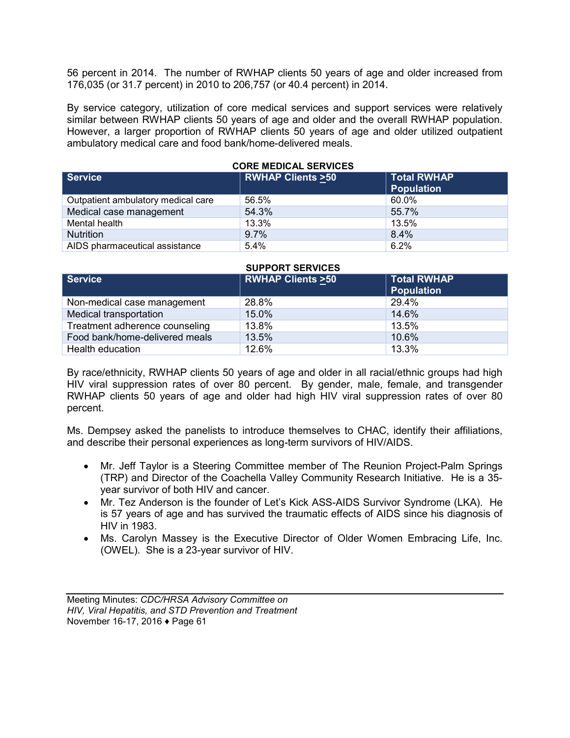56 percent in 2014. The number of RWHAP clients 50 years of age and older increased from 176,035 (or 31.7 percent) in 2010 to 206,757 (or 40.4 percent) in 2014.

By service category, utilization of core medical services and support services were relatively similar between RWHAP clients 50 years of age and older and the overall RWHAP population. However, a larger proportion of RWHAP clients 50 years of age and older utilized outpatient ambulatory medical care and food bank/home-delivered meals.

| <b>Service</b>                     | <b>RWHAP Clients &gt;50</b> | <b>Total RWHAP</b><br><b>Population</b> |
|------------------------------------|-----------------------------|-----------------------------------------|
| Outpatient ambulatory medical care | 56.5%                       | 60.0%                                   |
| Medical case management            | 54.3%                       | 55.7%                                   |
| Mental health                      | 13.3%                       | 13.5%                                   |
| <b>Nutrition</b>                   | 9.7%                        | 8.4%                                    |
| AIDS pharmaceutical assistance     | 5.4%                        | 6.2%                                    |

#### **CORE MEDICAL SERVICES**

#### **SUPPORT SERVICES**

| <b>Service</b>                 | <b>RWHAP Clients &gt;50</b> | <b>Total RWHAP</b><br><b>Population</b> |
|--------------------------------|-----------------------------|-----------------------------------------|
| Non-medical case management    | 28.8%                       | 29.4%                                   |
| Medical transportation         | 15.0%                       | 14.6%                                   |
| Treatment adherence counseling | 13.8%                       | 13.5%                                   |
| Food bank/home-delivered meals | 13.5%                       | 10.6%                                   |
| Health education               | 12.6%                       | 13.3%                                   |

By race/ethnicity, RWHAP clients 50 years of age and older in all racial/ethnic groups had high HIV viral suppression rates of over 80 percent. By gender, male, female, and transgender RWHAP clients 50 years of age and older had high HIV viral suppression rates of over 80 percent.

Ms. Dempsey asked the panelists to introduce themselves to CHAC, identify their affiliations, and describe their personal experiences as long-term survivors of HIV/AIDS.

- Mr. Jeff Taylor is a Steering Committee member of The Reunion Project-Palm Springs (TRP) and Director of the Coachella Valley Community Research Initiative. He is a 35 year survivor of both HIV and cancer.
- Mr. Tez Anderson is the founder of Let's Kick ASS-AIDS Survivor Syndrome (LKA). He is 57 years of age and has survived the traumatic effects of AIDS since his diagnosis of HIV in 1983.
- Ms. Carolyn Massey is the Executive Director of Older Women Embracing Life, Inc. (OWEL). She is a 23-year survivor of HIV.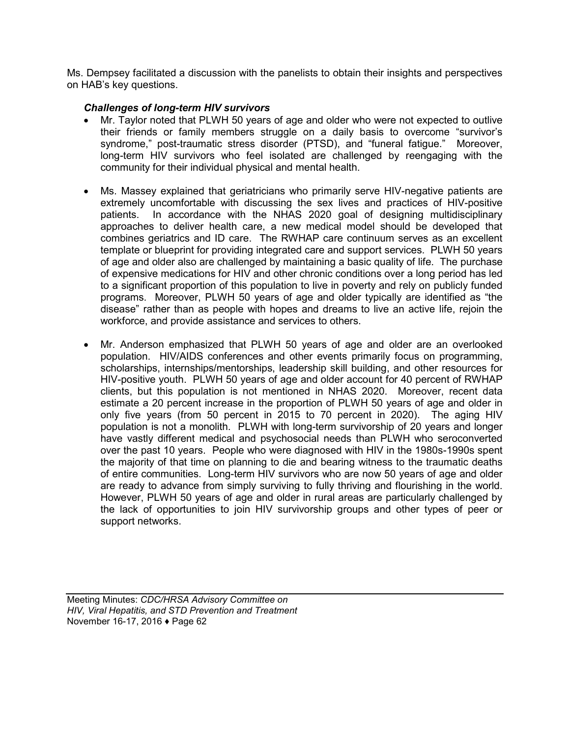Ms. Dempsey facilitated a discussion with the panelists to obtain their insights and perspectives on HAB's key questions.

## *Challenges of long-term HIV survivors*

- Mr. Taylor noted that PLWH 50 years of age and older who were not expected to outlive their friends or family members struggle on a daily basis to overcome "survivor's syndrome," post-traumatic stress disorder (PTSD), and "funeral fatigue." Moreover, long-term HIV survivors who feel isolated are challenged by reengaging with the community for their individual physical and mental health.
- Ms. Massey explained that geriatricians who primarily serve HIV-negative patients are extremely uncomfortable with discussing the sex lives and practices of HIV-positive patients. In accordance with the NHAS 2020 goal of designing multidisciplinary approaches to deliver health care, a new medical model should be developed that combines geriatrics and ID care. The RWHAP care continuum serves as an excellent template or blueprint for providing integrated care and support services. PLWH 50 years of age and older also are challenged by maintaining a basic quality of life. The purchase of expensive medications for HIV and other chronic conditions over a long period has led to a significant proportion of this population to live in poverty and rely on publicly funded programs. Moreover, PLWH 50 years of age and older typically are identified as "the disease" rather than as people with hopes and dreams to live an active life, rejoin the workforce, and provide assistance and services to others.
- Mr. Anderson emphasized that PLWH 50 years of age and older are an overlooked population. HIV/AIDS conferences and other events primarily focus on programming, scholarships, internships/mentorships, leadership skill building, and other resources for HIV-positive youth. PLWH 50 years of age and older account for 40 percent of RWHAP clients, but this population is not mentioned in NHAS 2020. Moreover, recent data estimate a 20 percent increase in the proportion of PLWH 50 years of age and older in only five years (from 50 percent in 2015 to 70 percent in 2020). The aging HIV population is not a monolith. PLWH with long-term survivorship of 20 years and longer have vastly different medical and psychosocial needs than PLWH who seroconverted over the past 10 years. People who were diagnosed with HIV in the 1980s-1990s spent the majority of that time on planning to die and bearing witness to the traumatic deaths of entire communities. Long-term HIV survivors who are now 50 years of age and older are ready to advance from simply surviving to fully thriving and flourishing in the world. However, PLWH 50 years of age and older in rural areas are particularly challenged by the lack of opportunities to join HIV survivorship groups and other types of peer or support networks.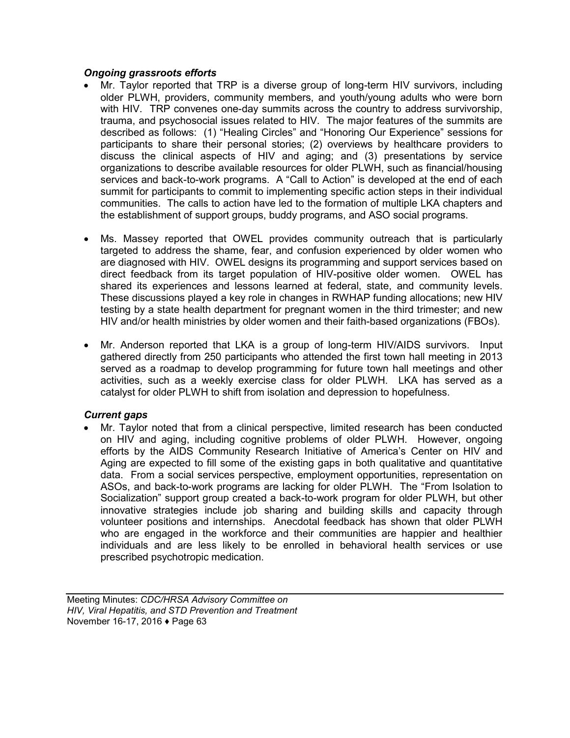### *Ongoing grassroots efforts*

- Mr. Taylor reported that TRP is a diverse group of long-term HIV survivors, including older PLWH, providers, community members, and youth/young adults who were born with HIV. TRP convenes one-day summits across the country to address survivorship, trauma, and psychosocial issues related to HIV. The major features of the summits are described as follows: (1) "Healing Circles" and "Honoring Our Experience" sessions for participants to share their personal stories; (2) overviews by healthcare providers to discuss the clinical aspects of HIV and aging; and (3) presentations by service organizations to describe available resources for older PLWH, such as financial/housing services and back-to-work programs. A "Call to Action" is developed at the end of each summit for participants to commit to implementing specific action steps in their individual communities. The calls to action have led to the formation of multiple LKA chapters and the establishment of support groups, buddy programs, and ASO social programs.
- Ms. Massey reported that OWEL provides community outreach that is particularly targeted to address the shame, fear, and confusion experienced by older women who are diagnosed with HIV. OWEL designs its programming and support services based on direct feedback from its target population of HIV-positive older women. OWEL has shared its experiences and lessons learned at federal, state, and community levels. These discussions played a key role in changes in RWHAP funding allocations; new HIV testing by a state health department for pregnant women in the third trimester; and new HIV and/or health ministries by older women and their faith-based organizations (FBOs).
- Mr. Anderson reported that LKA is a group of long-term HIV/AIDS survivors. Input gathered directly from 250 participants who attended the first town hall meeting in 2013 served as a roadmap to develop programming for future town hall meetings and other activities, such as a weekly exercise class for older PLWH. LKA has served as a catalyst for older PLWH to shift from isolation and depression to hopefulness.

## *Current gaps*

• Mr. Taylor noted that from a clinical perspective, limited research has been conducted on HIV and aging, including cognitive problems of older PLWH. However, ongoing efforts by the AIDS Community Research Initiative of America's Center on HIV and Aging are expected to fill some of the existing gaps in both qualitative and quantitative data. From a social services perspective, employment opportunities, representation on ASOs, and back-to-work programs are lacking for older PLWH. The "From Isolation to Socialization" support group created a back-to-work program for older PLWH, but other innovative strategies include job sharing and building skills and capacity through volunteer positions and internships. Anecdotal feedback has shown that older PLWH who are engaged in the workforce and their communities are happier and healthier individuals and are less likely to be enrolled in behavioral health services or use prescribed psychotropic medication.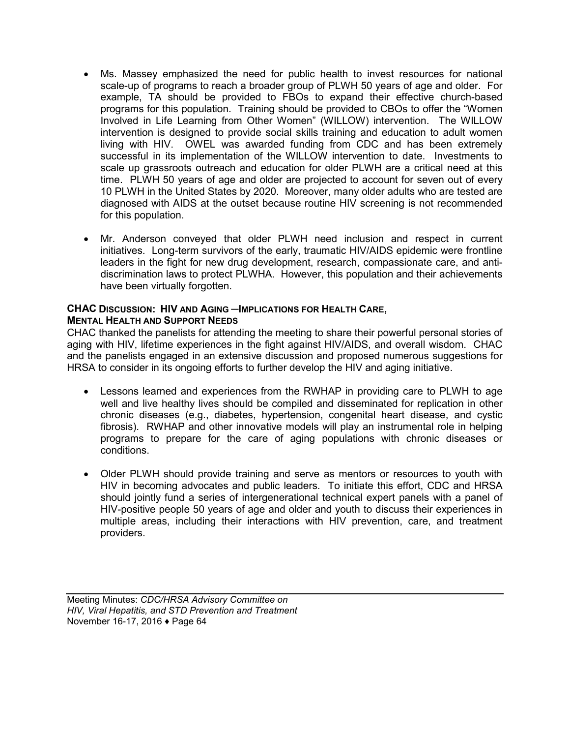- Ms. Massey emphasized the need for public health to invest resources for national scale-up of programs to reach a broader group of PLWH 50 years of age and older. For example, TA should be provided to FBOs to expand their effective church-based programs for this population. Training should be provided to CBOs to offer the "Women Involved in Life Learning from Other Women" (WILLOW) intervention. The WILLOW intervention is designed to provide social skills training and education to adult women living with HIV. OWEL was awarded funding from CDC and has been extremely successful in its implementation of the WILLOW intervention to date. Investments to scale up grassroots outreach and education for older PLWH are a critical need at this time. PLWH 50 years of age and older are projected to account for seven out of every 10 PLWH in the United States by 2020. Moreover, many older adults who are tested are diagnosed with AIDS at the outset because routine HIV screening is not recommended for this population.
- Mr. Anderson conveyed that older PLWH need inclusion and respect in current initiatives. Long-term survivors of the early, traumatic HIV/AIDS epidemic were frontline leaders in the fight for new drug development, research, compassionate care, and antidiscrimination laws to protect PLWHA. However, this population and their achievements have been virtually forgotten.

# **CHAC DISCUSSION: HIV AND AGING ─IMPLICATIONS FOR HEALTH CARE,**

## **MENTAL HEALTH AND SUPPORT NEEDS**

CHAC thanked the panelists for attending the meeting to share their powerful personal stories of aging with HIV, lifetime experiences in the fight against HIV/AIDS, and overall wisdom. CHAC and the panelists engaged in an extensive discussion and proposed numerous suggestions for HRSA to consider in its ongoing efforts to further develop the HIV and aging initiative.

- Lessons learned and experiences from the RWHAP in providing care to PLWH to age well and live healthy lives should be compiled and disseminated for replication in other chronic diseases (e.g., diabetes, hypertension, congenital heart disease, and cystic fibrosis). RWHAP and other innovative models will play an instrumental role in helping programs to prepare for the care of aging populations with chronic diseases or conditions.
- Older PLWH should provide training and serve as mentors or resources to youth with HIV in becoming advocates and public leaders. To initiate this effort, CDC and HRSA should jointly fund a series of intergenerational technical expert panels with a panel of HIV-positive people 50 years of age and older and youth to discuss their experiences in multiple areas, including their interactions with HIV prevention, care, and treatment providers.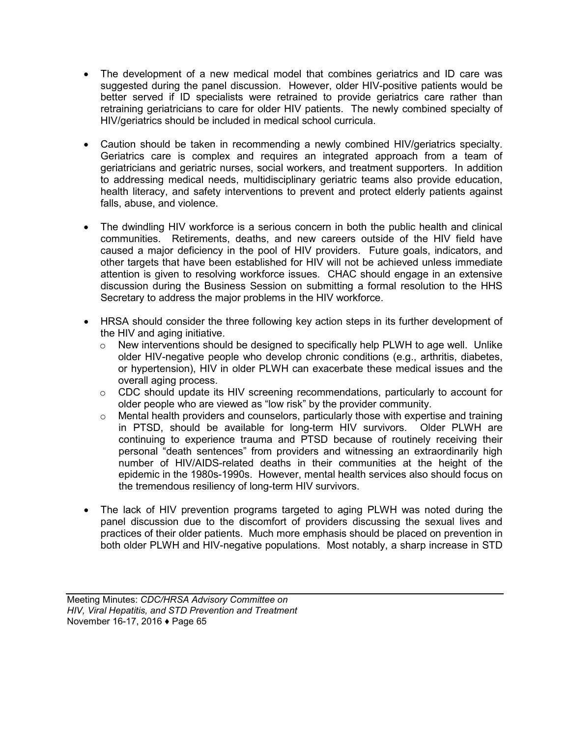- The development of a new medical model that combines geriatrics and ID care was suggested during the panel discussion. However, older HIV-positive patients would be better served if ID specialists were retrained to provide geriatrics care rather than retraining geriatricians to care for older HIV patients. The newly combined specialty of HIV/geriatrics should be included in medical school curricula.
- Caution should be taken in recommending a newly combined HIV/geriatrics specialty. Geriatrics care is complex and requires an integrated approach from a team of geriatricians and geriatric nurses, social workers, and treatment supporters. In addition to addressing medical needs, multidisciplinary geriatric teams also provide education, health literacy, and safety interventions to prevent and protect elderly patients against falls, abuse, and violence.
- The dwindling HIV workforce is a serious concern in both the public health and clinical communities. Retirements, deaths, and new careers outside of the HIV field have caused a major deficiency in the pool of HIV providers. Future goals, indicators, and other targets that have been established for HIV will not be achieved unless immediate attention is given to resolving workforce issues. CHAC should engage in an extensive discussion during the Business Session on submitting a formal resolution to the HHS Secretary to address the major problems in the HIV workforce.
- HRSA should consider the three following key action steps in its further development of the HIV and aging initiative.
	- $\circ$  New interventions should be designed to specifically help PLWH to age well. Unlike older HIV-negative people who develop chronic conditions (e.g., arthritis, diabetes, or hypertension), HIV in older PLWH can exacerbate these medical issues and the overall aging process.
	- $\circ$  CDC should update its HIV screening recommendations, particularly to account for older people who are viewed as "low risk" by the provider community.
	- o Mental health providers and counselors, particularly those with expertise and training in PTSD, should be available for long-term HIV survivors. Older PLWH are continuing to experience trauma and PTSD because of routinely receiving their personal "death sentences" from providers and witnessing an extraordinarily high number of HIV/AIDS-related deaths in their communities at the height of the epidemic in the 1980s-1990s. However, mental health services also should focus on the tremendous resiliency of long-term HIV survivors.
- The lack of HIV prevention programs targeted to aging PLWH was noted during the panel discussion due to the discomfort of providers discussing the sexual lives and practices of their older patients. Much more emphasis should be placed on prevention in both older PLWH and HIV-negative populations. Most notably, a sharp increase in STD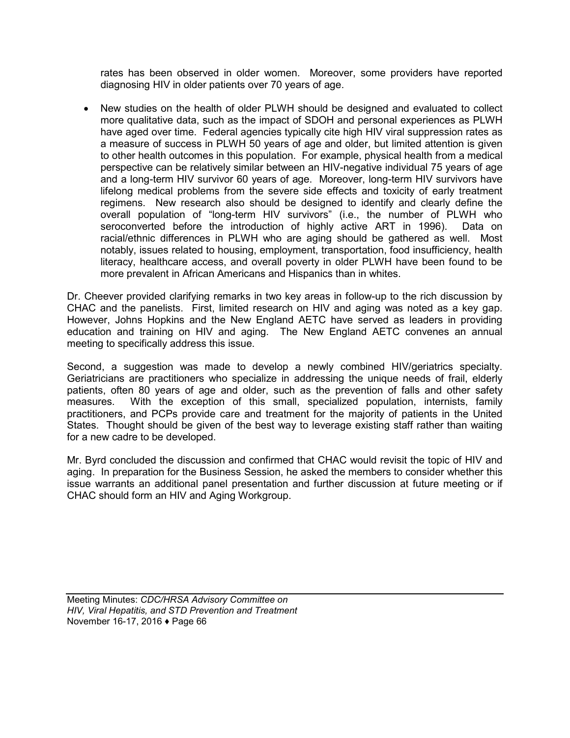rates has been observed in older women. Moreover, some providers have reported diagnosing HIV in older patients over 70 years of age.

• New studies on the health of older PLWH should be designed and evaluated to collect more qualitative data, such as the impact of SDOH and personal experiences as PLWH have aged over time. Federal agencies typically cite high HIV viral suppression rates as a measure of success in PLWH 50 years of age and older, but limited attention is given to other health outcomes in this population. For example, physical health from a medical perspective can be relatively similar between an HIV-negative individual 75 years of age and a long-term HIV survivor 60 years of age. Moreover, long-term HIV survivors have lifelong medical problems from the severe side effects and toxicity of early treatment regimens. New research also should be designed to identify and clearly define the overall population of "long-term HIV survivors" (i.e., the number of PLWH who seroconverted before the introduction of highly active ART in 1996). Data on racial/ethnic differences in PLWH who are aging should be gathered as well. Most notably, issues related to housing, employment, transportation, food insufficiency, health literacy, healthcare access, and overall poverty in older PLWH have been found to be more prevalent in African Americans and Hispanics than in whites.

Dr. Cheever provided clarifying remarks in two key areas in follow-up to the rich discussion by CHAC and the panelists. First, limited research on HIV and aging was noted as a key gap. However, Johns Hopkins and the New England AETC have served as leaders in providing education and training on HIV and aging. The New England AETC convenes an annual meeting to specifically address this issue.

Second, a suggestion was made to develop a newly combined HIV/geriatrics specialty. Geriatricians are practitioners who specialize in addressing the unique needs of frail, elderly patients, often 80 years of age and older, such as the prevention of falls and other safety measures. With the exception of this small, specialized population, internists, family practitioners, and PCPs provide care and treatment for the majority of patients in the United States. Thought should be given of the best way to leverage existing staff rather than waiting for a new cadre to be developed.

Mr. Byrd concluded the discussion and confirmed that CHAC would revisit the topic of HIV and aging. In preparation for the Business Session, he asked the members to consider whether this issue warrants an additional panel presentation and further discussion at future meeting or if CHAC should form an HIV and Aging Workgroup.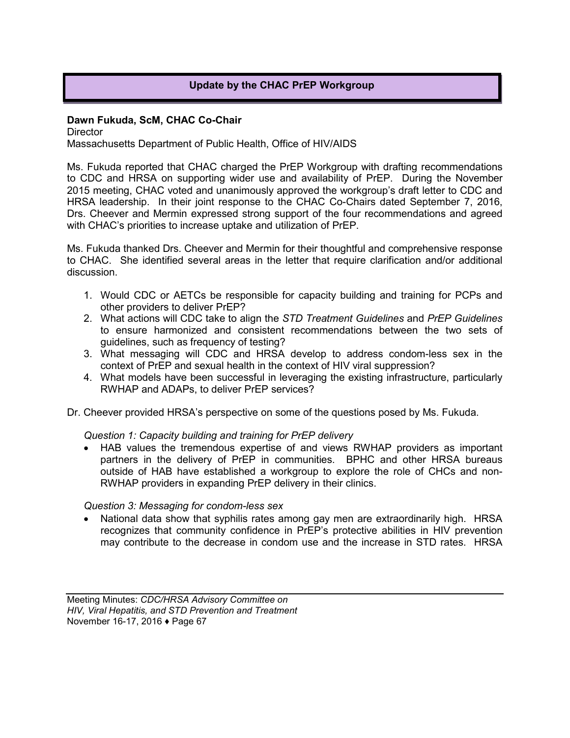## **Update by the CHAC PrEP Workgroup**

#### **Dawn Fukuda, ScM, CHAC Co-Chair**

**Director** 

Massachusetts Department of Public Health, Office of HIV/AIDS

Ms. Fukuda reported that CHAC charged the PrEP Workgroup with drafting recommendations to CDC and HRSA on supporting wider use and availability of PrEP. During the November 2015 meeting, CHAC voted and unanimously approved the workgroup's draft letter to CDC and HRSA leadership. In their joint response to the CHAC Co-Chairs dated September 7, 2016, Drs. Cheever and Mermin expressed strong support of the four recommendations and agreed with CHAC's priorities to increase uptake and utilization of PrEP.

Ms. Fukuda thanked Drs. Cheever and Mermin for their thoughtful and comprehensive response to CHAC. She identified several areas in the letter that require clarification and/or additional discussion.

- 1. Would CDC or AETCs be responsible for capacity building and training for PCPs and other providers to deliver PrEP?
- 2. What actions will CDC take to align the *STD Treatment Guidelines* and *PrEP Guidelines*  to ensure harmonized and consistent recommendations between the two sets of guidelines, such as frequency of testing?
- 3. What messaging will CDC and HRSA develop to address condom-less sex in the context of PrEP and sexual health in the context of HIV viral suppression?
- 4. What models have been successful in leveraging the existing infrastructure, particularly RWHAP and ADAPs, to deliver PrEP services?
- Dr. Cheever provided HRSA's perspective on some of the questions posed by Ms. Fukuda.

*Question 1: Capacity building and training for PrEP delivery*

• HAB values the tremendous expertise of and views RWHAP providers as important partners in the delivery of PrEP in communities. BPHC and other HRSA bureaus outside of HAB have established a workgroup to explore the role of CHCs and non-RWHAP providers in expanding PrEP delivery in their clinics.

*Question 3: Messaging for condom-less sex*

• National data show that syphilis rates among gay men are extraordinarily high. HRSA recognizes that community confidence in PrEP's protective abilities in HIV prevention may contribute to the decrease in condom use and the increase in STD rates. HRSA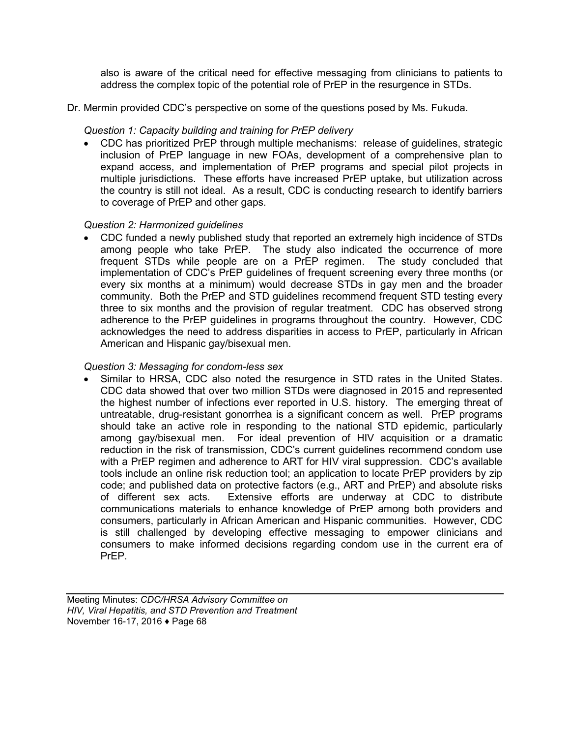also is aware of the critical need for effective messaging from clinicians to patients to address the complex topic of the potential role of PrEP in the resurgence in STDs.

Dr. Mermin provided CDC's perspective on some of the questions posed by Ms. Fukuda.

### *Question 1: Capacity building and training for PrEP delivery*

• CDC has prioritized PrEP through multiple mechanisms: release of guidelines, strategic inclusion of PrEP language in new FOAs, development of a comprehensive plan to expand access, and implementation of PrEP programs and special pilot projects in multiple jurisdictions. These efforts have increased PrEP uptake, but utilization across the country is still not ideal. As a result, CDC is conducting research to identify barriers to coverage of PrEP and other gaps.

#### *Question 2: Harmonized guidelines*

• CDC funded a newly published study that reported an extremely high incidence of STDs among people who take PrEP. The study also indicated the occurrence of more frequent STDs while people are on a PrEP regimen. The study concluded that implementation of CDC's PrEP guidelines of frequent screening every three months (or every six months at a minimum) would decrease STDs in gay men and the broader community. Both the PrEP and STD guidelines recommend frequent STD testing every three to six months and the provision of regular treatment. CDC has observed strong adherence to the PrEP guidelines in programs throughout the country. However, CDC acknowledges the need to address disparities in access to PrEP, particularly in African American and Hispanic gay/bisexual men.

#### *Question 3: Messaging for condom-less sex*

• Similar to HRSA, CDC also noted the resurgence in STD rates in the United States. CDC data showed that over two million STDs were diagnosed in 2015 and represented the highest number of infections ever reported in U.S. history. The emerging threat of untreatable, drug-resistant gonorrhea is a significant concern as well. PrEP programs should take an active role in responding to the national STD epidemic, particularly among gay/bisexual men. For ideal prevention of HIV acquisition or a dramatic reduction in the risk of transmission, CDC's current guidelines recommend condom use with a PrEP regimen and adherence to ART for HIV viral suppression. CDC's available tools include an online risk reduction tool; an application to locate PrEP providers by zip code; and published data on protective factors (e.g., ART and PrEP) and absolute risks of different sex acts. Extensive efforts are underway at CDC to distribute communications materials to enhance knowledge of PrEP among both providers and consumers, particularly in African American and Hispanic communities. However, CDC is still challenged by developing effective messaging to empower clinicians and consumers to make informed decisions regarding condom use in the current era of PrEP.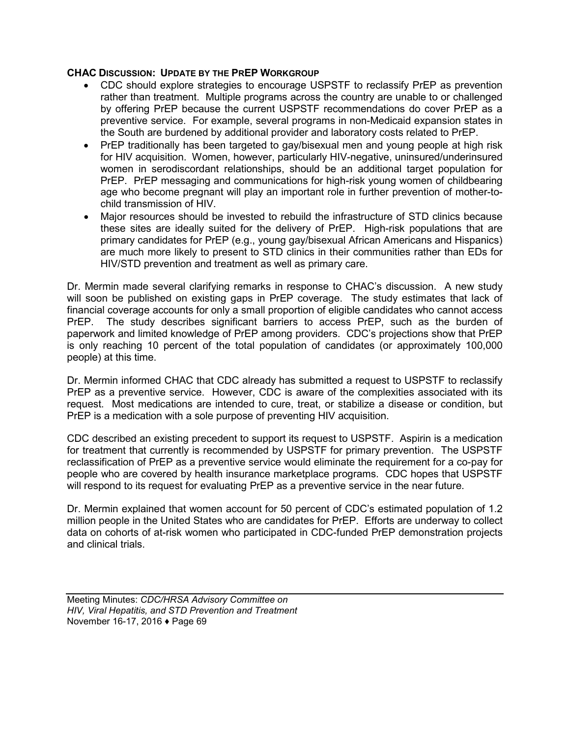#### **CHAC DISCUSSION: UPDATE BY THE PREP WORKGROUP**

- CDC should explore strategies to encourage USPSTF to reclassify PrEP as prevention rather than treatment. Multiple programs across the country are unable to or challenged by offering PrEP because the current USPSTF recommendations do cover PrEP as a preventive service. For example, several programs in non-Medicaid expansion states in the South are burdened by additional provider and laboratory costs related to PrEP.
- PrEP traditionally has been targeted to gay/bisexual men and young people at high risk for HIV acquisition. Women, however, particularly HIV-negative, uninsured/underinsured women in serodiscordant relationships, should be an additional target population for PrEP. PrEP messaging and communications for high-risk young women of childbearing age who become pregnant will play an important role in further prevention of mother-tochild transmission of HIV.
- Major resources should be invested to rebuild the infrastructure of STD clinics because these sites are ideally suited for the delivery of PrEP. High-risk populations that are primary candidates for PrEP (e.g., young gay/bisexual African Americans and Hispanics) are much more likely to present to STD clinics in their communities rather than EDs for HIV/STD prevention and treatment as well as primary care.

Dr. Mermin made several clarifying remarks in response to CHAC's discussion. A new study will soon be published on existing gaps in PrEP coverage. The study estimates that lack of financial coverage accounts for only a small proportion of eligible candidates who cannot access PrEP. The study describes significant barriers to access PrEP, such as the burden of paperwork and limited knowledge of PrEP among providers. CDC's projections show that PrEP is only reaching 10 percent of the total population of candidates (or approximately 100,000 people) at this time.

Dr. Mermin informed CHAC that CDC already has submitted a request to USPSTF to reclassify PrEP as a preventive service. However, CDC is aware of the complexities associated with its request. Most medications are intended to cure, treat, or stabilize a disease or condition, but PrEP is a medication with a sole purpose of preventing HIV acquisition.

CDC described an existing precedent to support its request to USPSTF. Aspirin is a medication for treatment that currently is recommended by USPSTF for primary prevention. The USPSTF reclassification of PrEP as a preventive service would eliminate the requirement for a co-pay for people who are covered by health insurance marketplace programs. CDC hopes that USPSTF will respond to its request for evaluating PrEP as a preventive service in the near future.

Dr. Mermin explained that women account for 50 percent of CDC's estimated population of 1.2 million people in the United States who are candidates for PrEP. Efforts are underway to collect data on cohorts of at-risk women who participated in CDC-funded PrEP demonstration projects and clinical trials.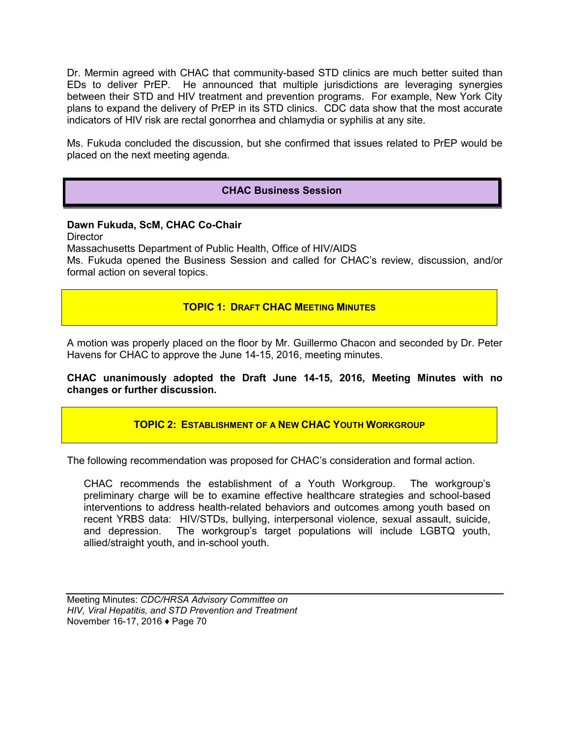Dr. Mermin agreed with CHAC that community-based STD clinics are much better suited than EDs to deliver PrEP. He announced that multiple jurisdictions are leveraging synergies between their STD and HIV treatment and prevention programs. For example, New York City plans to expand the delivery of PrEP in its STD clinics. CDC data show that the most accurate indicators of HIV risk are rectal gonorrhea and chlamydia or syphilis at any site.

Ms. Fukuda concluded the discussion, but she confirmed that issues related to PrEP would be placed on the next meeting agenda.

## **CHAC Business Session**

## **Dawn Fukuda, ScM, CHAC Co-Chair**

**Director** 

Massachusetts Department of Public Health, Office of HIV/AIDS

Ms. Fukuda opened the Business Session and called for CHAC's review, discussion, and/or formal action on several topics.

## **TOPIC 1: DRAFT CHAC MEETING MINUTES**

A motion was properly placed on the floor by Mr. Guillermo Chacon and seconded by Dr. Peter Havens for CHAC to approve the June 14-15, 2016, meeting minutes.

**CHAC unanimously adopted the Draft June 14-15, 2016, Meeting Minutes with no changes or further discussion.**

**TOPIC 2: ESTABLISHMENT OF A NEW CHAC YOUTH WORKGROUP**

The following recommendation was proposed for CHAC's consideration and formal action.

CHAC recommends the establishment of a Youth Workgroup. The workgroup's preliminary charge will be to examine effective healthcare strategies and school-based interventions to address health-related behaviors and outcomes among youth based on recent YRBS data: HIV/STDs, bullying, interpersonal violence, sexual assault, suicide, and depression. The workgroup's target populations will include LGBTQ youth, allied/straight youth, and in-school youth.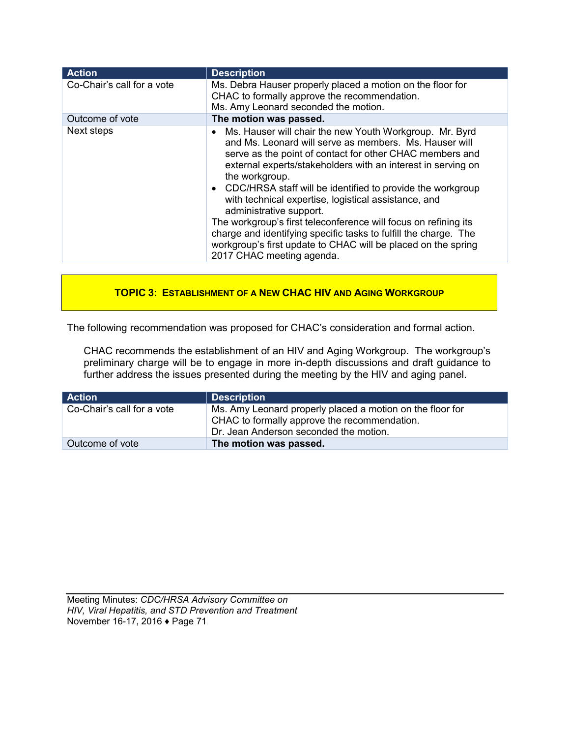| <b>Action</b>              | <b>Description</b>                                                                                                                                                                                                                                                                                                                                                                                                                                                                                                                                                                                                                                                   |
|----------------------------|----------------------------------------------------------------------------------------------------------------------------------------------------------------------------------------------------------------------------------------------------------------------------------------------------------------------------------------------------------------------------------------------------------------------------------------------------------------------------------------------------------------------------------------------------------------------------------------------------------------------------------------------------------------------|
| Co-Chair's call for a vote | Ms. Debra Hauser properly placed a motion on the floor for<br>CHAC to formally approve the recommendation.<br>Ms. Amy Leonard seconded the motion.                                                                                                                                                                                                                                                                                                                                                                                                                                                                                                                   |
| Outcome of vote            | The motion was passed.                                                                                                                                                                                                                                                                                                                                                                                                                                                                                                                                                                                                                                               |
| Next steps                 | Ms. Hauser will chair the new Youth Workgroup. Mr. Byrd<br>$\bullet$<br>and Ms. Leonard will serve as members. Ms. Hauser will<br>serve as the point of contact for other CHAC members and<br>external experts/stakeholders with an interest in serving on<br>the workgroup.<br>• CDC/HRSA staff will be identified to provide the workgroup<br>with technical expertise, logistical assistance, and<br>administrative support.<br>The workgroup's first teleconference will focus on refining its<br>charge and identifying specific tasks to fulfill the charge. The<br>workgroup's first update to CHAC will be placed on the spring<br>2017 CHAC meeting agenda. |

## **TOPIC 3: ESTABLISHMENT OF A NEW CHAC HIV AND AGING WORKGROUP**

The following recommendation was proposed for CHAC's consideration and formal action.

CHAC recommends the establishment of an HIV and Aging Workgroup. The workgroup's preliminary charge will be to engage in more in-depth discussions and draft guidance to further address the issues presented during the meeting by the HIV and aging panel.

| Action                     | Description                                                                                                                                         |
|----------------------------|-----------------------------------------------------------------------------------------------------------------------------------------------------|
| Co-Chair's call for a vote | Ms. Amy Leonard properly placed a motion on the floor for<br>CHAC to formally approve the recommendation.<br>Dr. Jean Anderson seconded the motion. |
| Outcome of vote            | The motion was passed.                                                                                                                              |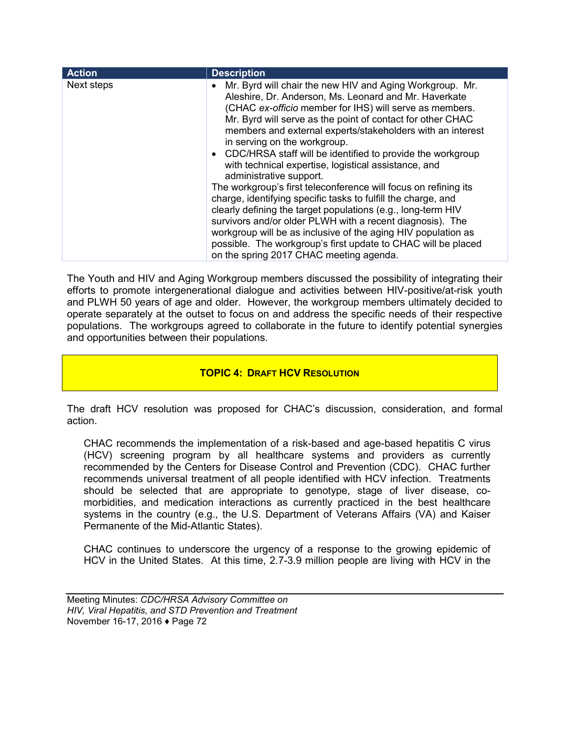| Next steps<br>Mr. Byrd will chair the new HIV and Aging Workgroup. Mr.<br>Aleshire, Dr. Anderson, Ms. Leonard and Mr. Haverkate<br>(CHAC ex-officio member for IHS) will serve as members.<br>Mr. Byrd will serve as the point of contact for other CHAC<br>members and external experts/stakeholders with an interest<br>in serving on the workgroup.                                                                                                                                                                        | <b>Action</b> | <b>Description</b>                                           |
|-------------------------------------------------------------------------------------------------------------------------------------------------------------------------------------------------------------------------------------------------------------------------------------------------------------------------------------------------------------------------------------------------------------------------------------------------------------------------------------------------------------------------------|---------------|--------------------------------------------------------------|
| with technical expertise, logistical assistance, and<br>administrative support.<br>The workgroup's first teleconference will focus on refining its<br>charge, identifying specific tasks to fulfill the charge, and<br>clearly defining the target populations (e.g., long-term HIV<br>survivors and/or older PLWH with a recent diagnosis). The<br>workgroup will be as inclusive of the aging HIV population as<br>possible. The workgroup's first update to CHAC will be placed<br>on the spring 2017 CHAC meeting agenda. |               | • CDC/HRSA staff will be identified to provide the workgroup |

The Youth and HIV and Aging Workgroup members discussed the possibility of integrating their efforts to promote intergenerational dialogue and activities between HIV-positive/at-risk youth and PLWH 50 years of age and older. However, the workgroup members ultimately decided to operate separately at the outset to focus on and address the specific needs of their respective populations. The workgroups agreed to collaborate in the future to identify potential synergies and opportunities between their populations.

## **TOPIC 4: DRAFT HCV RESOLUTION**

The draft HCV resolution was proposed for CHAC's discussion, consideration, and formal action.

CHAC recommends the implementation of a risk-based and age-based hepatitis C virus (HCV) screening program by all healthcare systems and providers as currently recommended by the Centers for Disease Control and Prevention (CDC). CHAC further recommends universal treatment of all people identified with HCV infection. Treatments should be selected that are appropriate to genotype, stage of liver disease, comorbidities, and medication interactions as currently practiced in the best healthcare systems in the country (e.g., the U.S. Department of Veterans Affairs (VA) and Kaiser Permanente of the Mid-Atlantic States).

CHAC continues to underscore the urgency of a response to the growing epidemic of HCV in the United States. At this time, 2.7-3.9 million people are living with HCV in the

Meeting Minutes: *CDC/HRSA Advisory Committee on HIV, Viral Hepatitis, and STD Prevention and Treatment* November 16-17, 2016 ♦ Page 72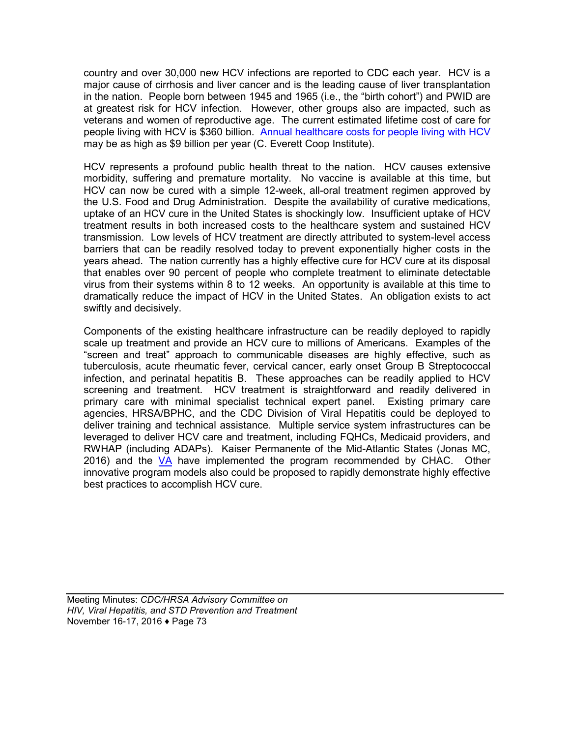country and over 30,000 new HCV infections are reported to CDC each year. HCV is a major cause of cirrhosis and liver cancer and is the leading cause of liver transplantation in the nation. People born between 1945 and 1965 (i.e., the "birth cohort") and PWID are at greatest risk for HCV infection. However, other groups also are impacted, such as veterans and women of reproductive age. The current estimated lifetime cost of care for people living with HCV is \$360 billion. [Annual healthcare costs for people](http://www.epidemic.org/thefacts/the%20epidemic/USHealthCareCosts) living with HCV may be as high as \$9 billion per year (C. Everett Coop Institute).

HCV represents a profound public health threat to the nation. HCV causes extensive morbidity, suffering and premature mortality. No vaccine is available at this time, but HCV can now be cured with a simple 12-week, all-oral treatment regimen approved by the U.S. Food and Drug Administration. Despite the availability of curative medications, uptake of an HCV cure in the United States is shockingly low. Insufficient uptake of HCV treatment results in both increased costs to the healthcare system and sustained HCV transmission. Low levels of HCV treatment are directly attributed to system-level access barriers that can be readily resolved today to prevent exponentially higher costs in the years ahead. The nation currently has a highly effective cure for HCV cure at its disposal that enables over 90 percent of people who complete treatment to eliminate detectable virus from their systems within 8 to 12 weeks. An opportunity is available at this time to dramatically reduce the impact of HCV in the United States. An obligation exists to act swiftly and decisively.

Components of the existing healthcare infrastructure can be readily deployed to rapidly scale up treatment and provide an HCV cure to millions of Americans. Examples of the "screen and treat" approach to communicable diseases are highly effective, such as tuberculosis, acute rheumatic fever, cervical cancer, early onset Group B Streptococcal infection, and perinatal hepatitis B. These approaches can be readily applied to HCV screening and treatment. HCV treatment is straightforward and readily delivered in primary care with minimal specialist technical expert panel. Existing primary care agencies, HRSA/BPHC, and the CDC Division of Viral Hepatitis could be deployed to deliver training and technical assistance. Multiple service system infrastructures can be leveraged to deliver HCV care and treatment, including FQHCs, Medicaid providers, and RWHAP (including ADAPs). Kaiser Permanente of the Mid-Atlantic States (Jonas MC, 2016) and the [VA](http://www.hepatitis.va.gov/provider/guidelines/hcv-treatment-considerations.asp) have implemented the program recommended by CHAC. Other innovative program models also could be proposed to rapidly demonstrate highly effective best practices to accomplish HCV cure.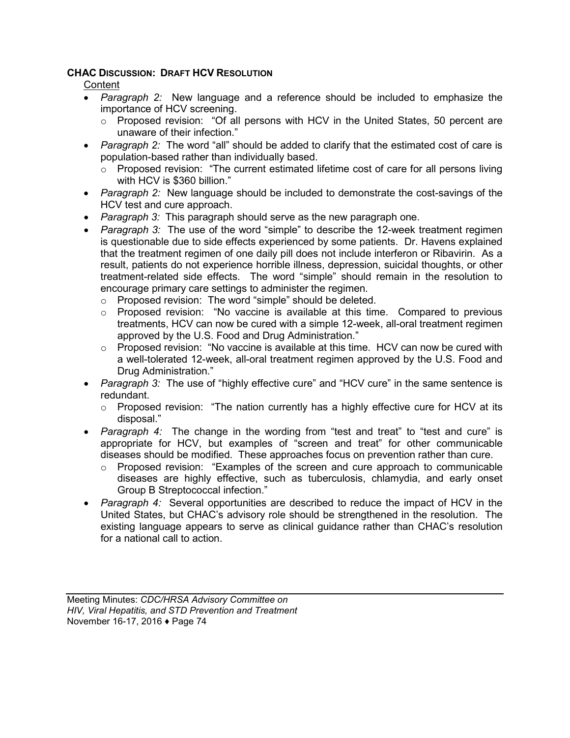#### **CHAC DISCUSSION: DRAFT HCV RESOLUTION**

**Content** 

- *Paragraph 2:* New language and a reference should be included to emphasize the importance of HCV screening.
	- $\circ$  Proposed revision: "Of all persons with HCV in the United States, 50 percent are unaware of their infection."
- *Paragraph 2:* The word "all" should be added to clarify that the estimated cost of care is population-based rather than individually based.
	- o Proposed revision: "The current estimated lifetime cost of care for all persons living with HCV is \$360 billion."
- *Paragraph 2:* New language should be included to demonstrate the cost-savings of the HCV test and cure approach.
- *Paragraph 3:* This paragraph should serve as the new paragraph one.
- *Paragraph 3:* The use of the word "simple" to describe the 12-week treatment regimen is questionable due to side effects experienced by some patients. Dr. Havens explained that the treatment regimen of one daily pill does not include interferon or Ribavirin. As a result, patients do not experience horrible illness, depression, suicidal thoughts, or other treatment-related side effects. The word "simple" should remain in the resolution to encourage primary care settings to administer the regimen.
	- o Proposed revision: The word "simple" should be deleted.
	- $\circ$  Proposed revision: "No vaccine is available at this time. Compared to previous treatments, HCV can now be cured with a simple 12-week, all-oral treatment regimen approved by the U.S. Food and Drug Administration."
	- $\circ$  Proposed revision: "No vaccine is available at this time. HCV can now be cured with a well-tolerated 12-week, all-oral treatment regimen approved by the U.S. Food and Drug Administration."
- *Paragraph 3:* The use of "highly effective cure" and "HCV cure" in the same sentence is redundant.
	- $\circ$  Proposed revision: "The nation currently has a highly effective cure for HCV at its disposal."
- *Paragraph 4:* The change in the wording from "test and treat" to "test and cure" is appropriate for HCV, but examples of "screen and treat" for other communicable diseases should be modified. These approaches focus on prevention rather than cure.
	- o Proposed revision: "Examples of the screen and cure approach to communicable diseases are highly effective, such as tuberculosis, chlamydia, and early onset Group B Streptococcal infection."
- *Paragraph 4:* Several opportunities are described to reduce the impact of HCV in the United States, but CHAC's advisory role should be strengthened in the resolution. The existing language appears to serve as clinical guidance rather than CHAC's resolution for a national call to action.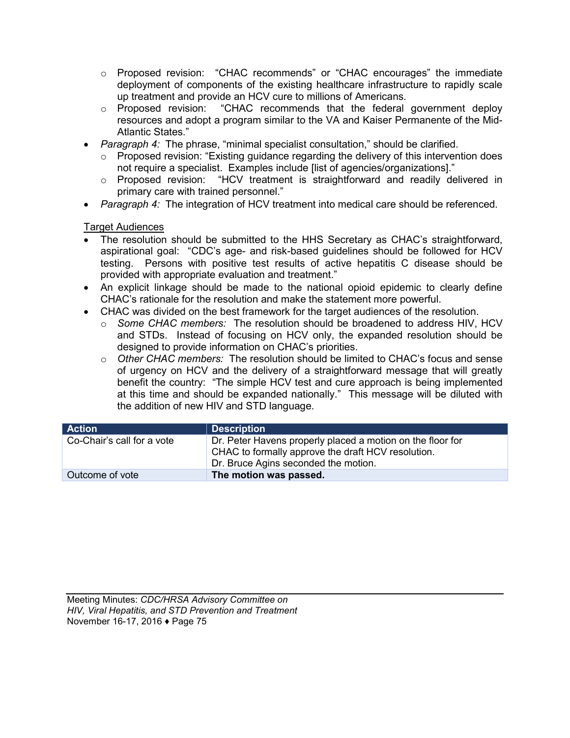- o Proposed revision: "CHAC recommends" or "CHAC encourages" the immediate deployment of components of the existing healthcare infrastructure to rapidly scale up treatment and provide an HCV cure to millions of Americans.
- o Proposed revision: "CHAC recommends that the federal government deploy resources and adopt a program similar to the VA and Kaiser Permanente of the Mid-Atlantic States."
- *Paragraph 4:* The phrase, "minimal specialist consultation," should be clarified.
	- o Proposed revision: "Existing guidance regarding the delivery of this intervention does not require a specialist. Examples include [list of agencies/organizations]."
	- o Proposed revision: "HCV treatment is straightforward and readily delivered in primary care with trained personnel."
- *Paragraph 4:* The integration of HCV treatment into medical care should be referenced.

#### Target Audiences

- The resolution should be submitted to the HHS Secretary as CHAC's straightforward, aspirational goal: "CDC's age- and risk-based guidelines should be followed for HCV testing. Persons with positive test results of active hepatitis C disease should be provided with appropriate evaluation and treatment."
- An explicit linkage should be made to the national opioid epidemic to clearly define CHAC's rationale for the resolution and make the statement more powerful.
- CHAC was divided on the best framework for the target audiences of the resolution.
	- o *Some CHAC members:* The resolution should be broadened to address HIV, HCV and STDs. Instead of focusing on HCV only, the expanded resolution should be designed to provide information on CHAC's priorities.
	- o *Other CHAC members:* The resolution should be limited to CHAC's focus and sense of urgency on HCV and the delivery of a straightforward message that will greatly benefit the country: "The simple HCV test and cure approach is being implemented at this time and should be expanded nationally." This message will be diluted with the addition of new HIV and STD language.

| Action                     | <b>Description</b>                                                                                                                                       |
|----------------------------|----------------------------------------------------------------------------------------------------------------------------------------------------------|
| Co-Chair's call for a vote | Dr. Peter Havens properly placed a motion on the floor for<br>CHAC to formally approve the draft HCV resolution.<br>Dr. Bruce Agins seconded the motion. |
| Outcome of vote            | The motion was passed.                                                                                                                                   |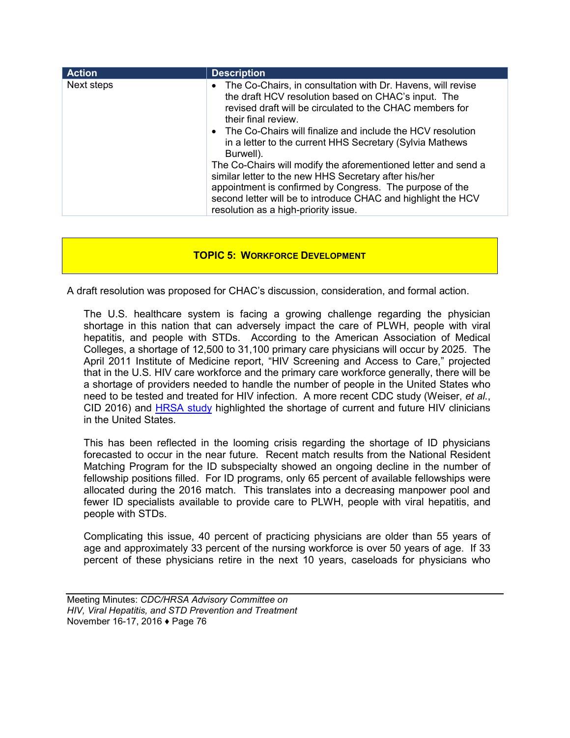| <b>Action</b> | <b>Description</b>                                                                                                                                                                                                                                                                                                                                                                                                                                                                                                                                                                                                                               |
|---------------|--------------------------------------------------------------------------------------------------------------------------------------------------------------------------------------------------------------------------------------------------------------------------------------------------------------------------------------------------------------------------------------------------------------------------------------------------------------------------------------------------------------------------------------------------------------------------------------------------------------------------------------------------|
| Next steps    | • The Co-Chairs, in consultation with Dr. Havens, will revise<br>the draft HCV resolution based on CHAC's input. The<br>revised draft will be circulated to the CHAC members for<br>their final review.<br>• The Co-Chairs will finalize and include the HCV resolution<br>in a letter to the current HHS Secretary (Sylvia Mathews<br>Burwell).<br>The Co-Chairs will modify the aforementioned letter and send a<br>similar letter to the new HHS Secretary after his/her<br>appointment is confirmed by Congress. The purpose of the<br>second letter will be to introduce CHAC and highlight the HCV<br>resolution as a high-priority issue. |

#### **TOPIC 5: WORKFORCE DEVELOPMENT**

A draft resolution was proposed for CHAC's discussion, consideration, and formal action.

The U.S. healthcare system is facing a growing challenge regarding the physician shortage in this nation that can adversely impact the care of PLWH, people with viral hepatitis, and people with STDs. According to the American Association of Medical Colleges, a shortage of 12,500 to 31,100 primary care physicians will occur by 2025. The April 2011 Institute of Medicine report, "HIV Screening and Access to Care," projected that in the U.S. HIV care workforce and the primary care workforce generally, there will be a shortage of providers needed to handle the number of people in the United States who need to be tested and treated for HIV infection. A more recent CDC study (Weiser, *et al.*, CID 2016) and [HRSA study](http://www.aahivm.org/HIV_Specialist/upload/FINAL%20AUGUST%20ISSUE%208.22.pdf) highlighted the shortage of current and future HIV clinicians in the United States.

This has been reflected in the looming crisis regarding the shortage of ID physicians forecasted to occur in the near future. Recent match results from the National Resident Matching Program for the ID subspecialty showed an ongoing decline in the number of fellowship positions filled. For ID programs, only 65 percent of available fellowships were allocated during the 2016 match. This translates into a decreasing manpower pool and fewer ID specialists available to provide care to PLWH, people with viral hepatitis, and people with STDs.

Complicating this issue, 40 percent of practicing physicians are older than 55 years of age and approximately 33 percent of the nursing workforce is over 50 years of age. If 33 percent of these physicians retire in the next 10 years, caseloads for physicians who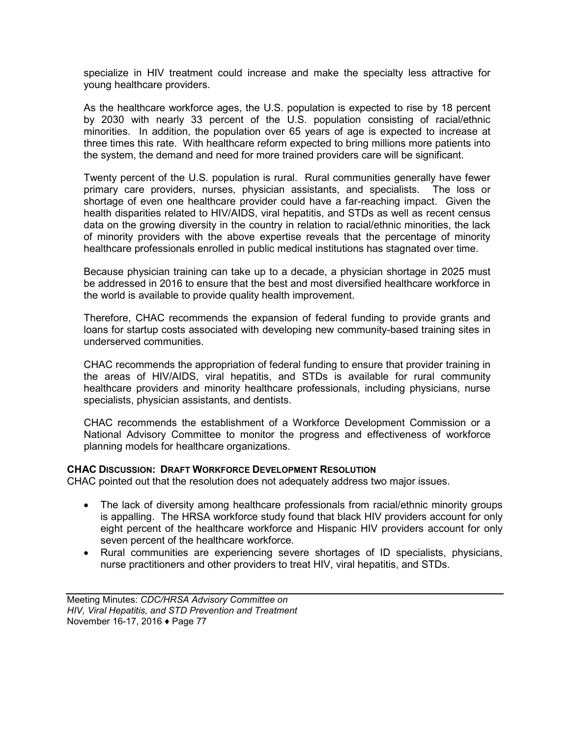specialize in HIV treatment could increase and make the specialty less attractive for young healthcare providers.

As the healthcare workforce ages, the U.S. population is expected to rise by 18 percent by 2030 with nearly 33 percent of the U.S. population consisting of racial/ethnic minorities. In addition, the population over 65 years of age is expected to increase at three times this rate. With healthcare reform expected to bring millions more patients into the system, the demand and need for more trained providers care will be significant.

Twenty percent of the U.S. population is rural. Rural communities generally have fewer primary care providers, nurses, physician assistants, and specialists. The loss or shortage of even one healthcare provider could have a far-reaching impact. Given the health disparities related to HIV/AIDS, viral hepatitis, and STDs as well as recent census data on the growing diversity in the country in relation to racial/ethnic minorities, the lack of minority providers with the above expertise reveals that the percentage of minority healthcare professionals enrolled in public medical institutions has stagnated over time.

Because physician training can take up to a decade, a physician shortage in 2025 must be addressed in 2016 to ensure that the best and most diversified healthcare workforce in the world is available to provide quality health improvement.

Therefore, CHAC recommends the expansion of federal funding to provide grants and loans for startup costs associated with developing new community-based training sites in underserved communities.

CHAC recommends the appropriation of federal funding to ensure that provider training in the areas of HIV/AIDS, viral hepatitis, and STDs is available for rural community healthcare providers and minority healthcare professionals, including physicians, nurse specialists, physician assistants, and dentists.

CHAC recommends the establishment of a Workforce Development Commission or a National Advisory Committee to monitor the progress and effectiveness of workforce planning models for healthcare organizations.

#### **CHAC DISCUSSION: DRAFT WORKFORCE DEVELOPMENT RESOLUTION**

CHAC pointed out that the resolution does not adequately address two major issues.

- The lack of diversity among healthcare professionals from racial/ethnic minority groups is appalling. The HRSA workforce study found that black HIV providers account for only eight percent of the healthcare workforce and Hispanic HIV providers account for only seven percent of the healthcare workforce.
- Rural communities are experiencing severe shortages of ID specialists, physicians, nurse practitioners and other providers to treat HIV, viral hepatitis, and STDs.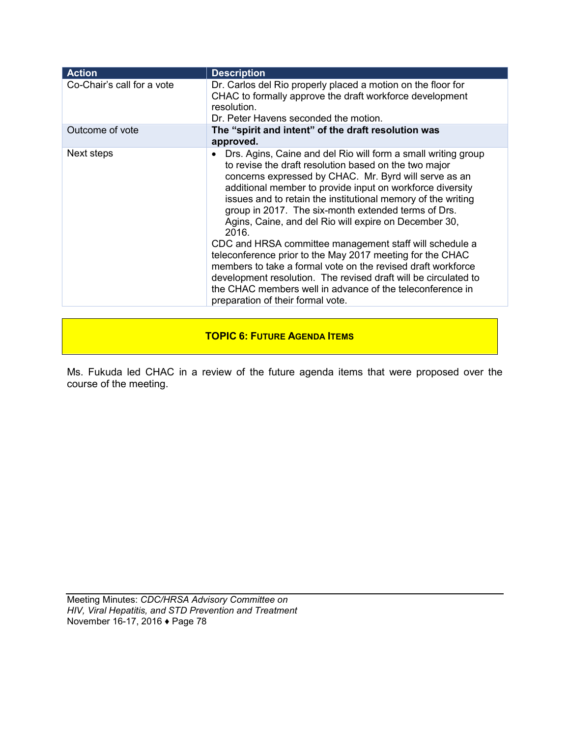| <b>Action</b>              | <b>Description</b>                                                                                                                                                                                                                                                                                                                                                                                                                                                                                                                                                                                                                                                                                                                                                                                              |
|----------------------------|-----------------------------------------------------------------------------------------------------------------------------------------------------------------------------------------------------------------------------------------------------------------------------------------------------------------------------------------------------------------------------------------------------------------------------------------------------------------------------------------------------------------------------------------------------------------------------------------------------------------------------------------------------------------------------------------------------------------------------------------------------------------------------------------------------------------|
| Co-Chair's call for a vote | Dr. Carlos del Rio properly placed a motion on the floor for<br>CHAC to formally approve the draft workforce development<br>resolution.<br>Dr. Peter Havens seconded the motion.                                                                                                                                                                                                                                                                                                                                                                                                                                                                                                                                                                                                                                |
| Outcome of vote            | The "spirit and intent" of the draft resolution was<br>approved.                                                                                                                                                                                                                                                                                                                                                                                                                                                                                                                                                                                                                                                                                                                                                |
| Next steps                 | Drs. Agins, Caine and del Rio will form a small writing group<br>$\bullet$<br>to revise the draft resolution based on the two major<br>concerns expressed by CHAC. Mr. Byrd will serve as an<br>additional member to provide input on workforce diversity<br>issues and to retain the institutional memory of the writing<br>group in 2017. The six-month extended terms of Drs.<br>Agins, Caine, and del Rio will expire on December 30,<br>2016.<br>CDC and HRSA committee management staff will schedule a<br>teleconference prior to the May 2017 meeting for the CHAC<br>members to take a formal vote on the revised draft workforce<br>development resolution. The revised draft will be circulated to<br>the CHAC members well in advance of the teleconference in<br>preparation of their formal vote. |

## **TOPIC 6: FUTURE AGENDA ITEMS**

Ms. Fukuda led CHAC in a review of the future agenda items that were proposed over the course of the meeting.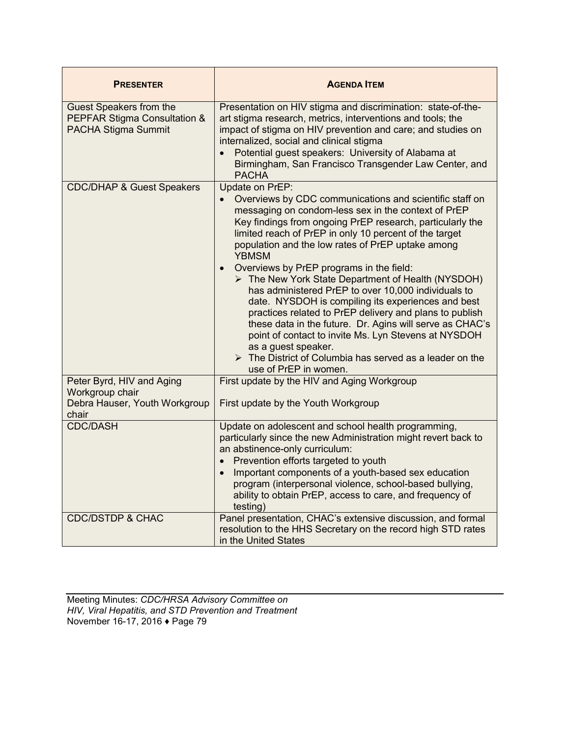| <b>PRESENTER</b>                                                                       | <b>AGENDA ITEM</b>                                                                                                                                                                                                                                                                                                                                                                                                                                                                                                                                                                                                                                                                                                                                                                                                                                                               |
|----------------------------------------------------------------------------------------|----------------------------------------------------------------------------------------------------------------------------------------------------------------------------------------------------------------------------------------------------------------------------------------------------------------------------------------------------------------------------------------------------------------------------------------------------------------------------------------------------------------------------------------------------------------------------------------------------------------------------------------------------------------------------------------------------------------------------------------------------------------------------------------------------------------------------------------------------------------------------------|
| Guest Speakers from the<br>PEPFAR Stigma Consultation &<br>PACHA Stigma Summit         | Presentation on HIV stigma and discrimination: state-of-the-<br>art stigma research, metrics, interventions and tools; the<br>impact of stigma on HIV prevention and care; and studies on<br>internalized, social and clinical stigma<br>Potential guest speakers: University of Alabama at<br>Birmingham, San Francisco Transgender Law Center, and<br><b>PACHA</b>                                                                                                                                                                                                                                                                                                                                                                                                                                                                                                             |
| <b>CDC/DHAP &amp; Guest Speakers</b>                                                   | Update on PrEP:<br>Overviews by CDC communications and scientific staff on<br>$\bullet$<br>messaging on condom-less sex in the context of PrEP<br>Key findings from ongoing PrEP research, particularly the<br>limited reach of PrEP in only 10 percent of the target<br>population and the low rates of PrEP uptake among<br><b>YBMSM</b><br>Overviews by PrEP programs in the field:<br>$\bullet$<br>> The New York State Department of Health (NYSDOH)<br>has administered PrEP to over 10,000 individuals to<br>date. NYSDOH is compiling its experiences and best<br>practices related to PrEP delivery and plans to publish<br>these data in the future. Dr. Agins will serve as CHAC's<br>point of contact to invite Ms. Lyn Stevens at NYSDOH<br>as a guest speaker.<br>$\triangleright$ The District of Columbia has served as a leader on the<br>use of PrEP in women. |
| Peter Byrd, HIV and Aging<br>Workgroup chair<br>Debra Hauser, Youth Workgroup<br>chair | First update by the HIV and Aging Workgroup<br>First update by the Youth Workgroup                                                                                                                                                                                                                                                                                                                                                                                                                                                                                                                                                                                                                                                                                                                                                                                               |
| <b>CDC/DASH</b><br><b>CDC/DSTDP &amp; CHAC</b>                                         | Update on adolescent and school health programming,<br>particularly since the new Administration might revert back to<br>an abstinence-only curriculum:<br>Prevention efforts targeted to youth<br>$\bullet$<br>Important components of a youth-based sex education<br>$\bullet$<br>program (interpersonal violence, school-based bullying,<br>ability to obtain PrEP, access to care, and frequency of<br>testing)<br>Panel presentation, CHAC's extensive discussion, and formal                                                                                                                                                                                                                                                                                                                                                                                               |
|                                                                                        | resolution to the HHS Secretary on the record high STD rates<br>in the United States                                                                                                                                                                                                                                                                                                                                                                                                                                                                                                                                                                                                                                                                                                                                                                                             |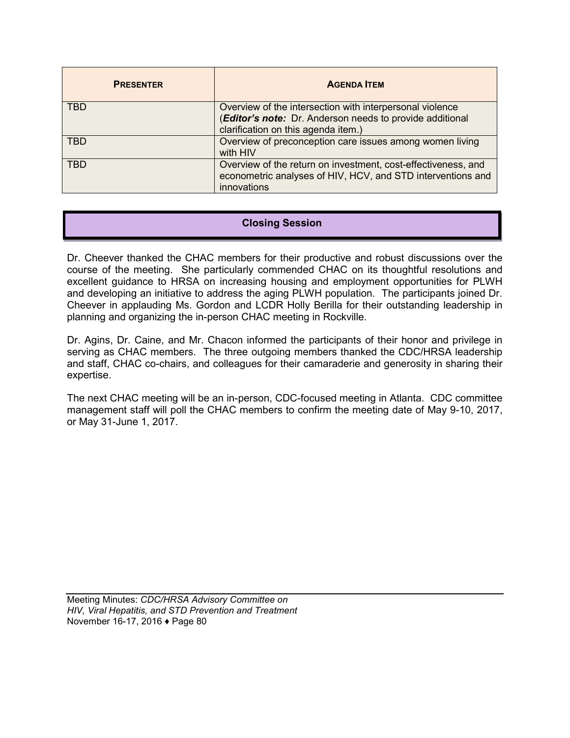| <b>PRESENTER</b> | <b>AGENDA ITEM</b>                                                                                                                                          |
|------------------|-------------------------------------------------------------------------------------------------------------------------------------------------------------|
| <b>TBD</b>       | Overview of the intersection with interpersonal violence<br>(Editor's note: Dr. Anderson needs to provide additional<br>clarification on this agenda item.) |
| <b>TBD</b>       | Overview of preconception care issues among women living<br>with HIV                                                                                        |
| <b>TBD</b>       | Overview of the return on investment, cost-effectiveness, and<br>econometric analyses of HIV, HCV, and STD interventions and<br>innovations                 |

# **Closing Session**

Dr. Cheever thanked the CHAC members for their productive and robust discussions over the course of the meeting. She particularly commended CHAC on its thoughtful resolutions and excellent guidance to HRSA on increasing housing and employment opportunities for PLWH and developing an initiative to address the aging PLWH population. The participants joined Dr. Cheever in applauding Ms. Gordon and LCDR Holly Berilla for their outstanding leadership in planning and organizing the in-person CHAC meeting in Rockville.

Dr. Agins, Dr. Caine, and Mr. Chacon informed the participants of their honor and privilege in serving as CHAC members. The three outgoing members thanked the CDC/HRSA leadership and staff, CHAC co-chairs, and colleagues for their camaraderie and generosity in sharing their expertise.

The next CHAC meeting will be an in-person, CDC-focused meeting in Atlanta. CDC committee management staff will poll the CHAC members to confirm the meeting date of May 9-10, 2017, or May 31-June 1, 2017.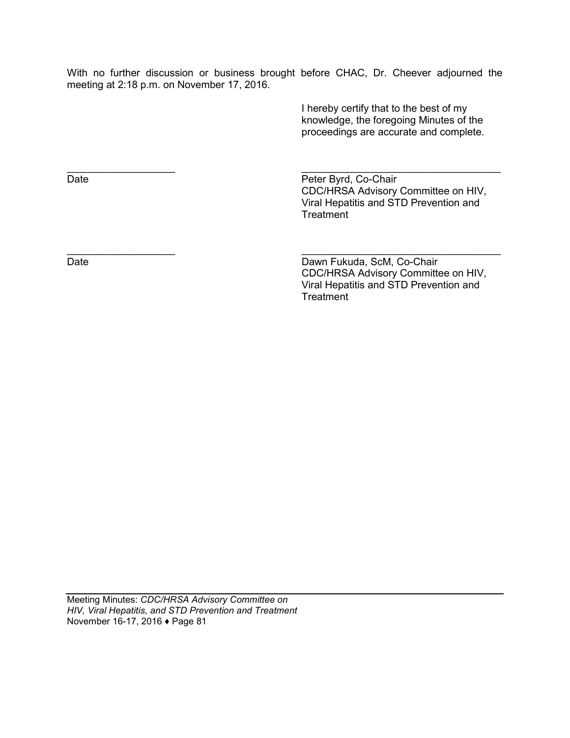With no further discussion or business brought before CHAC, Dr. Cheever adjourned the meeting at 2:18 p.m. on November 17, 2016.

> I hereby certify that to the best of my knowledge, the foregoing Minutes of the proceedings are accurate and complete.

 $\overline{\phantom{a}}$  , and the contract of the contract of the contract of the contract of the contract of the contract of the contract of the contract of the contract of the contract of the contract of the contract of the contrac Date **Date** Peter Byrd, Co-Chair CDC/HRSA Advisory Committee on HIV, Viral Hepatitis and STD Prevention and **Treatment** 

 $\overline{\phantom{a}}$  , and the contract of the contract of the contract of the contract of the contract of the contract of the contract of the contract of the contract of the contract of the contract of the contract of the contrac Date Date Dawn Fukuda, ScM, Co-Chair CDC/HRSA Advisory Committee on HIV, Viral Hepatitis and STD Prevention and **Treatment**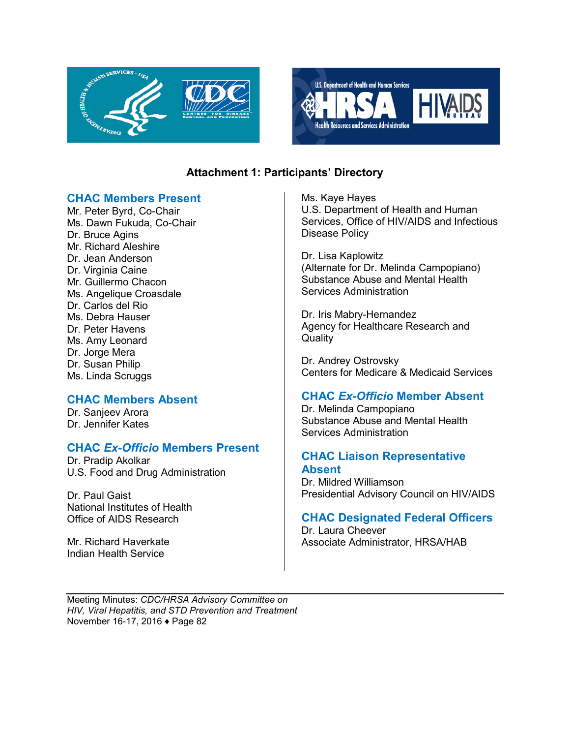



# **Attachment 1: Participants' Directory**

## **CHAC Members Present**

Mr. Peter Byrd, Co-Chair Ms. Dawn Fukuda, Co-Chair Dr. Bruce Agins Mr. Richard Aleshire Dr. Jean Anderson Dr. Virginia Caine Mr. Guillermo Chacon Ms. Angelique Croasdale Dr. Carlos del Rio Ms. Debra Hauser Dr. Peter Havens Ms. Amy Leonard Dr. Jorge Mera Dr. Susan Philip Ms. Linda Scruggs

## **CHAC Members Absent**

Dr. Sanjeev Arora Dr. Jennifer Kates

## **CHAC** *Ex-Officio* **Members Present**

Dr. Pradip Akolkar U.S. Food and Drug Administration

Dr. Paul Gaist National Institutes of Health Office of AIDS Research

Mr. Richard Haverkate Indian Health Service

Ms. Kaye Hayes U.S. Department of Health and Human Services, Office of HIV/AIDS and Infectious Disease Policy

Dr. Lisa Kaplowitz (Alternate for Dr. Melinda Campopiano) Substance Abuse and Mental Health Services Administration

Dr. Iris Mabry-Hernandez Agency for Healthcare Research and **Quality** 

Dr. Andrey Ostrovsky Centers for Medicare & Medicaid Services

# **CHAC** *Ex-Officio* **Member Absent**

Dr. Melinda Campopiano Substance Abuse and Mental Health Services Administration

## **CHAC Liaison Representative Absent**

Dr. Mildred Williamson Presidential Advisory Council on HIV/AIDS

## **CHAC Designated Federal Officers**

Dr. Laura Cheever Associate Administrator, HRSA/HAB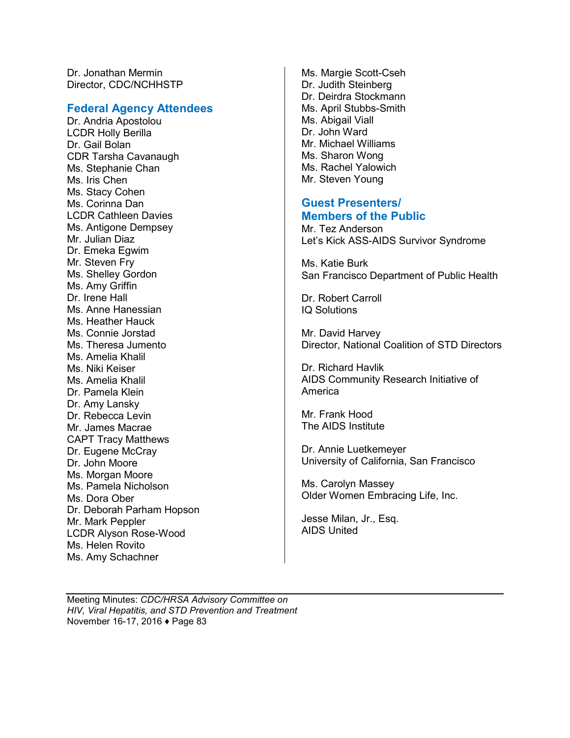Dr. Jonathan Mermin Director, CDC/NCHHSTP

#### **Federal Agency Attendees**

Dr. Andria Apostolou LCDR Holly Berilla Dr. Gail Bolan CDR Tarsha Cavanaugh Ms. Stephanie Chan Ms. Iris Chen Ms. Stacy Cohen Ms. Corinna Dan LCDR Cathleen Davies Ms. Antigone Dempsey Mr. Julian Diaz Dr. Emeka Egwim Mr. Steven Fry Ms. Shelley Gordon Ms. Amy Griffin Dr. Irene Hall Ms. Anne Hanessian Ms. Heather Hauck Ms. Connie Jorstad Ms. Theresa Jumento Ms. Amelia Khalil Ms. Niki Keiser Ms. Amelia Khalil Dr. Pamela Klein Dr. Amy Lansky Dr. Rebecca Levin Mr. James Macrae CAPT Tracy Matthews Dr. Eugene McCray Dr. John Moore Ms. Morgan Moore Ms. Pamela Nicholson Ms. Dora Ober Dr. Deborah Parham Hopson Mr. Mark Peppler LCDR Alyson Rose-Wood Ms. Helen Rovito Ms. Amy Schachner

Ms. Margie Scott-Cseh Dr. Judith Steinberg Dr. Deirdra Stockmann Ms. April Stubbs-Smith Ms. Abigail Viall Dr. John Ward Mr. Michael Williams Ms. Sharon Wong Ms. Rachel Yalowich Mr. Steven Young

#### **Guest Presenters/ Members of the Public**

Mr. Tez Anderson Let's Kick ASS-AIDS Survivor Syndrome

Ms. Katie Burk San Francisco Department of Public Health

Dr. Robert Carroll IQ Solutions

Mr. David Harvey Director, National Coalition of STD Directors

Dr. Richard Havlik AIDS Community Research Initiative of America

Mr. Frank Hood The AIDS Institute

Dr. Annie Luetkemeyer University of California, San Francisco

Ms. Carolyn Massey Older Women Embracing Life, Inc.

Jesse Milan, Jr., Esq. AIDS United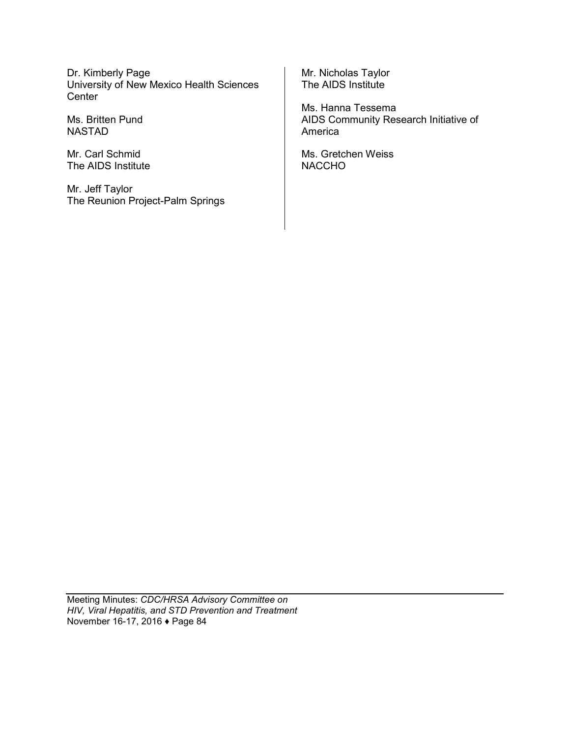Dr. Kimberly Page University of New Mexico Health Sciences **Center** 

Ms. Britten Pund NASTAD

Mr. Carl Schmid The AIDS Institute

Mr. Jeff Taylor The Reunion Project-Palm Springs Mr. Nicholas Taylor The AIDS Institute

Ms. Hanna Tessema AIDS Community Research Initiative of America

Ms. Gretchen Weiss NACCHO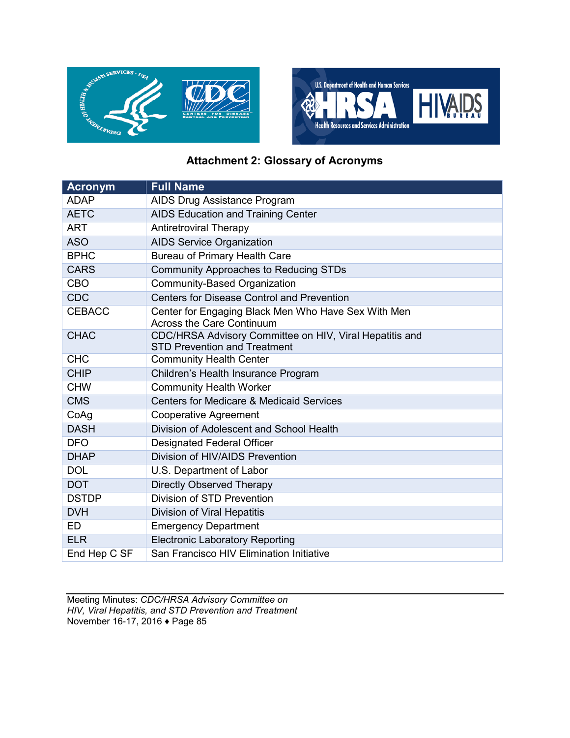



# **Attachment 2: Glossary of Acronyms**

| <b>Acronym</b> | <b>Full Name</b>                                                                               |
|----------------|------------------------------------------------------------------------------------------------|
| <b>ADAP</b>    | AIDS Drug Assistance Program                                                                   |
| <b>AETC</b>    | AIDS Education and Training Center                                                             |
| <b>ART</b>     | <b>Antiretroviral Therapy</b>                                                                  |
| <b>ASO</b>     | <b>AIDS Service Organization</b>                                                               |
| <b>BPHC</b>    | <b>Bureau of Primary Health Care</b>                                                           |
| <b>CARS</b>    | <b>Community Approaches to Reducing STDs</b>                                                   |
| <b>CBO</b>     | Community-Based Organization                                                                   |
| <b>CDC</b>     | <b>Centers for Disease Control and Prevention</b>                                              |
| <b>CEBACC</b>  | Center for Engaging Black Men Who Have Sex With Men<br><b>Across the Care Continuum</b>        |
| <b>CHAC</b>    | CDC/HRSA Advisory Committee on HIV, Viral Hepatitis and<br><b>STD Prevention and Treatment</b> |
| <b>CHC</b>     | <b>Community Health Center</b>                                                                 |
| <b>CHIP</b>    | Children's Health Insurance Program                                                            |
| <b>CHW</b>     | <b>Community Health Worker</b>                                                                 |
| <b>CMS</b>     | <b>Centers for Medicare &amp; Medicaid Services</b>                                            |
| CoAg           | <b>Cooperative Agreement</b>                                                                   |
| <b>DASH</b>    | Division of Adolescent and School Health                                                       |
| <b>DFO</b>     | <b>Designated Federal Officer</b>                                                              |
| <b>DHAP</b>    | Division of HIV/AIDS Prevention                                                                |
| <b>DOL</b>     | U.S. Department of Labor                                                                       |
| <b>DOT</b>     | <b>Directly Observed Therapy</b>                                                               |
| <b>DSTDP</b>   | Division of STD Prevention                                                                     |
| <b>DVH</b>     | Division of Viral Hepatitis                                                                    |
| <b>ED</b>      | <b>Emergency Department</b>                                                                    |
| <b>ELR</b>     | <b>Electronic Laboratory Reporting</b>                                                         |
| End Hep C SF   | San Francisco HIV Elimination Initiative                                                       |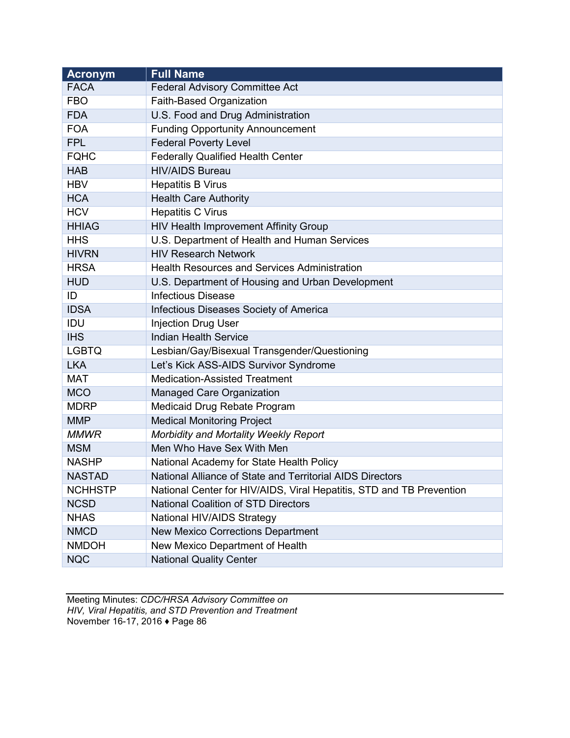| <b>Acronym</b> | <b>Full Name</b>                                                     |
|----------------|----------------------------------------------------------------------|
| <b>FACA</b>    | <b>Federal Advisory Committee Act</b>                                |
| <b>FBO</b>     | Faith-Based Organization                                             |
| <b>FDA</b>     | U.S. Food and Drug Administration                                    |
| <b>FOA</b>     | <b>Funding Opportunity Announcement</b>                              |
| <b>FPL</b>     | <b>Federal Poverty Level</b>                                         |
| <b>FQHC</b>    | <b>Federally Qualified Health Center</b>                             |
| <b>HAB</b>     | <b>HIV/AIDS Bureau</b>                                               |
| <b>HBV</b>     | <b>Hepatitis B Virus</b>                                             |
| <b>HCA</b>     | <b>Health Care Authority</b>                                         |
| <b>HCV</b>     | <b>Hepatitis C Virus</b>                                             |
| <b>HHIAG</b>   | HIV Health Improvement Affinity Group                                |
| <b>HHS</b>     | U.S. Department of Health and Human Services                         |
| <b>HIVRN</b>   | <b>HIV Research Network</b>                                          |
| <b>HRSA</b>    | <b>Health Resources and Services Administration</b>                  |
| <b>HUD</b>     | U.S. Department of Housing and Urban Development                     |
| ID             | <b>Infectious Disease</b>                                            |
| <b>IDSA</b>    | Infectious Diseases Society of America                               |
| IDU            | <b>Injection Drug User</b>                                           |
| <b>IHS</b>     | <b>Indian Health Service</b>                                         |
| <b>LGBTQ</b>   | Lesbian/Gay/Bisexual Transgender/Questioning                         |
| <b>LKA</b>     | Let's Kick ASS-AIDS Survivor Syndrome                                |
| <b>MAT</b>     | <b>Medication-Assisted Treatment</b>                                 |
| <b>MCO</b>     | Managed Care Organization                                            |
| <b>MDRP</b>    | Medicaid Drug Rebate Program                                         |
| <b>MMP</b>     | <b>Medical Monitoring Project</b>                                    |
| <b>MMWR</b>    | Morbidity and Mortality Weekly Report                                |
| <b>MSM</b>     | Men Who Have Sex With Men                                            |
| <b>NASHP</b>   | National Academy for State Health Policy                             |
| <b>NASTAD</b>  | National Alliance of State and Territorial AIDS Directors            |
| <b>NCHHSTP</b> | National Center for HIV/AIDS, Viral Hepatitis, STD and TB Prevention |
| <b>NCSD</b>    | <b>National Coalition of STD Directors</b>                           |
| <b>NHAS</b>    | National HIV/AIDS Strategy                                           |
| <b>NMCD</b>    | <b>New Mexico Corrections Department</b>                             |
| <b>NMDOH</b>   | New Mexico Department of Health                                      |
| <b>NQC</b>     | <b>National Quality Center</b>                                       |